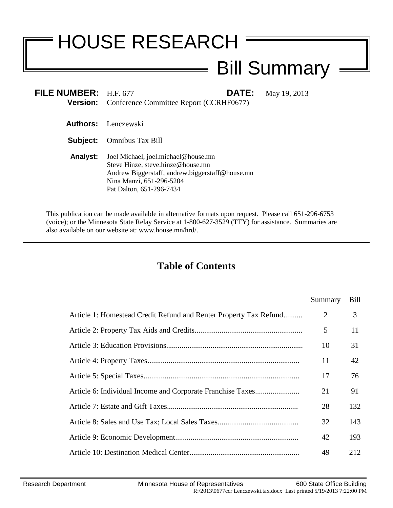# HOUSE RESEARCH

## Bill Summary

| FILE NUMBER: H.F. 677 | DATE:<br><b>Version:</b> Conference Committee Report (CCRHF0677)                                                                                                                    | May 19, 2013 |
|-----------------------|-------------------------------------------------------------------------------------------------------------------------------------------------------------------------------------|--------------|
|                       | <b>Authors:</b> Lenczewski                                                                                                                                                          |              |
| Subject:              | <b>Omnibus Tax Bill</b>                                                                                                                                                             |              |
| <b>Analyst:</b>       | Joel Michael, joel.michael@house.mn<br>Steve Hinze, steve.hinze@house.mn<br>Andrew Biggerstaff, andrew biggerstaff@house.mn<br>Nina Manzi, 651-296-5204<br>Pat Dalton, 651-296-7434 |              |

This publication can be made available in alternative formats upon request. Please call 651-296-6753 (voice); or the Minnesota State Relay Service at 1-800-627-3529 (TTY) for assistance. Summaries are also available on our website at: www.house.mn/hrd/.

 $\equiv$ 

## **Table of Contents**

|                                                                   | Summary        | <b>Bill</b> |
|-------------------------------------------------------------------|----------------|-------------|
| Article 1: Homestead Credit Refund and Renter Property Tax Refund | $\overline{2}$ | 3           |
|                                                                   | 5              | 11          |
|                                                                   | 10             | 31          |
|                                                                   | 11             | 42          |
|                                                                   | 17             | 76          |
|                                                                   | 21             | 91          |
|                                                                   | 28             | 132         |
|                                                                   | 32             | 143         |
|                                                                   | 42             | 193         |
|                                                                   | 49             | 212         |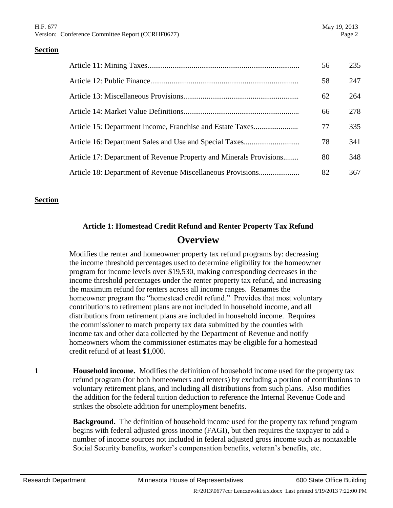|                                                                    | 56 | 235 |
|--------------------------------------------------------------------|----|-----|
|                                                                    | 58 | 247 |
|                                                                    | 62 | 264 |
|                                                                    | 66 | 278 |
|                                                                    | 77 | 335 |
|                                                                    | 78 | 341 |
| Article 17: Department of Revenue Property and Minerals Provisions | 80 | 348 |
|                                                                    | 82 | 367 |

#### **Section**

## **Article 1: Homestead Credit Refund and Renter Property Tax Refund Overview**

Modifies the renter and homeowner property tax refund programs by: decreasing the income threshold percentages used to determine eligibility for the homeowner program for income levels over \$19,530, making corresponding decreases in the income threshold percentages under the renter property tax refund, and increasing the maximum refund for renters across all income ranges. Renames the homeowner program the "homestead credit refund." Provides that most voluntary contributions to retirement plans are not included in household income, and all distributions from retirement plans are included in household income. Requires the commissioner to match property tax data submitted by the counties with income tax and other data collected by the Department of Revenue and notify homeowners whom the commissioner estimates may be eligible for a homestead credit refund of at least \$1,000.

**1 Household income.** Modifies the definition of household income used for the property tax refund program (for both homeowners and renters) by excluding a portion of contributions to voluntary retirement plans, and including all distributions from such plans. Also modifies the addition for the federal tuition deduction to reference the Internal Revenue Code and strikes the obsolete addition for unemployment benefits.

> **Background.** The definition of household income used for the property tax refund program begins with federal adjusted gross income (FAGI), but then requires the taxpayer to add a number of income sources not included in federal adjusted gross income such as nontaxable Social Security benefits, worker's compensation benefits, veteran's benefits, etc.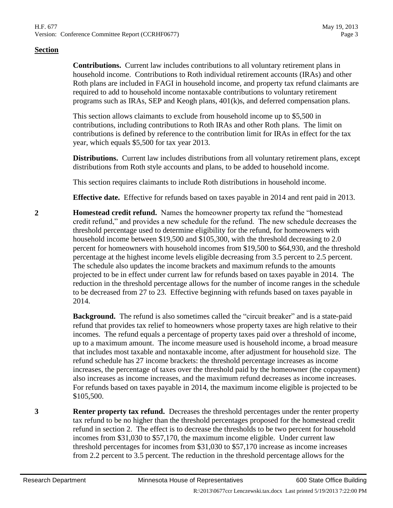**Contributions.** Current law includes contributions to all voluntary retirement plans in household income. Contributions to Roth individual retirement accounts (IRAs) and other Roth plans are included in FAGI in household income, and property tax refund claimants are required to add to household income nontaxable contributions to voluntary retirement programs such as IRAs, SEP and Keogh plans, 401(k)s, and deferred compensation plans.

This section allows claimants to exclude from household income up to \$5,500 in contributions, including contributions to Roth IRAs and other Roth plans. The limit on contributions is defined by reference to the contribution limit for IRAs in effect for the tax year, which equals \$5,500 for tax year 2013.

**Distributions.** Current law includes distributions from all voluntary retirement plans, except distributions from Roth style accounts and plans, to be added to household income.

This section requires claimants to include Roth distributions in household income.

**Effective date.** Effective for refunds based on taxes payable in 2014 and rent paid in 2013.

<span id="page-2-0"></span>**2 Homestead credit refund.** Names the homeowner property tax refund the "homestead credit refund," and provides a new schedule for the refund. The new schedule decreases the threshold percentage used to determine eligibility for the refund, for homeowners with household income between \$19,500 and \$105,300, with the threshold decreasing to 2.0 percent for homeowners with household incomes from \$19,500 to \$64,930, and the threshold percentage at the highest income levels eligible decreasing from 3.5 percent to 2.5 percent. The schedule also updates the income brackets and maximum refunds to the amounts projected to be in effect under current law for refunds based on taxes payable in 2014. The reduction in the threshold percentage allows for the number of income ranges in the schedule to be decreased from 27 to 23. Effective beginning with refunds based on taxes payable in 2014.

> **Background.** The refund is also sometimes called the "circuit breaker" and is a state-paid refund that provides tax relief to homeowners whose property taxes are high relative to their incomes. The refund equals a percentage of property taxes paid over a threshold of income, up to a maximum amount. The income measure used is household income, a broad measure that includes most taxable and nontaxable income, after adjustment for household size. The refund schedule has 27 income brackets: the threshold percentage increases as income increases, the percentage of taxes over the threshold paid by the homeowner (the copayment) also increases as income increases, and the maximum refund decreases as income increases. For refunds based on taxes payable in 2014, the maximum income eligible is projected to be \$105,500.

<span id="page-2-1"></span>**3 Renter property tax refund.** Decreases the threshold percentages under the renter property tax refund to be no higher than the threshold percentages proposed for the homestead credit refund in section [2.](#page-2-0) The effect is to decrease the thresholds to be two percent for household incomes from \$31,030 to \$57,170, the maximum income eligible. Under current law threshold percentages for incomes from \$31,030 to \$57,170 increase as income increases from 2.2 percent to 3.5 percent. The reduction in the threshold percentage allows for the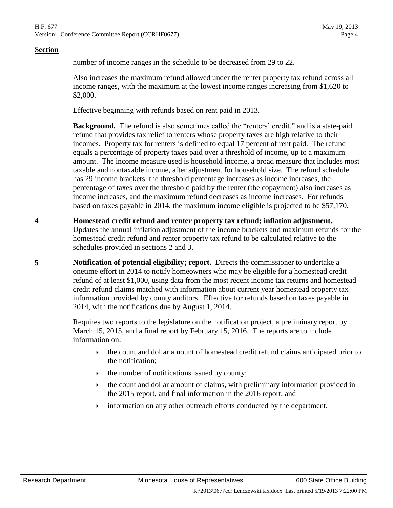number of income ranges in the schedule to be decreased from 29 to 22.

Also increases the maximum refund allowed under the renter property tax refund across all income ranges, with the maximum at the lowest income ranges increasing from \$1,620 to \$2,000.

Effective beginning with refunds based on rent paid in 2013.

**Background.** The refund is also sometimes called the "renters' credit," and is a state-paid refund that provides tax relief to renters whose property taxes are high relative to their incomes. Property tax for renters is defined to equal 17 percent of rent paid. The refund equals a percentage of property taxes paid over a threshold of income, up to a maximum amount. The income measure used is household income, a broad measure that includes most taxable and nontaxable income, after adjustment for household size. The refund schedule has 29 income brackets: the threshold percentage increases as income increases, the percentage of taxes over the threshold paid by the renter (the copayment) also increases as income increases, and the maximum refund decreases as income increases. For refunds based on taxes payable in 2014, the maximum income eligible is projected to be \$57,170.

- **4 Homestead credit refund and renter property tax refund; inflation adjustment.** Updates the annual inflation adjustment of the income brackets and maximum refunds for the homestead credit refund and renter property tax refund to be calculated relative to the schedules provided in sections [2](#page-2-0) and [3.](#page-2-1)
- **5 Notification of potential eligibility; report.** Directs the commissioner to undertake a onetime effort in 2014 to notify homeowners who may be eligible for a homestead credit refund of at least \$1,000, using data from the most recent income tax returns and homestead credit refund claims matched with information about current year homestead property tax information provided by county auditors. Effective for refunds based on taxes payable in 2014, with the notifications due by August 1, 2014.

Requires two reports to the legislature on the notification project, a preliminary report by March 15, 2015, and a final report by February 15, 2016. The reports are to include information on:

- $\rightarrow$  the count and dollar amount of homestead credit refund claims anticipated prior to the notification;
- $\rightarrow$  the number of notifications issued by county;
- the count and dollar amount of claims, with preliminary information provided in the 2015 report, and final information in the 2016 report; and
- information on any other outreach efforts conducted by the department.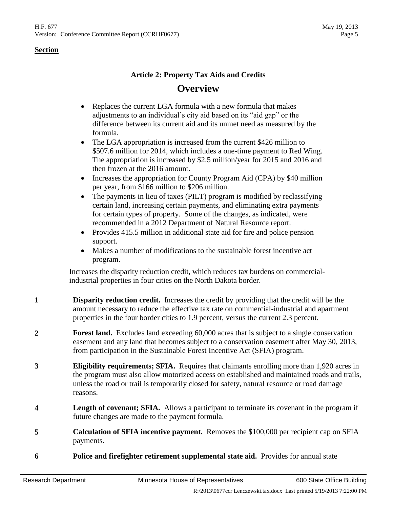## **Article 2: Property Tax Aids and Credits Overview**

- Replaces the current LGA formula with a new formula that makes adjustments to an individual's city aid based on its "aid gap" or the difference between its current aid and its unmet need as measured by the formula.
- The LGA appropriation is increased from the current \$426 million to \$507.6 million for 2014, which includes a one-time payment to Red Wing. The appropriation is increased by \$2.5 million/year for 2015 and 2016 and then frozen at the 2016 amount.
- Increases the appropriation for County Program Aid (CPA) by \$40 million per year, from \$166 million to \$206 million.
- The payments in lieu of taxes (PILT) program is modified by reclassifying certain land, increasing certain payments, and eliminating extra payments for certain types of property. Some of the changes, as indicated, were recommended in a 2012 Department of Natural Resource report.
- Provides 415.5 million in additional state aid for fire and police pension support.
- Makes a number of modifications to the sustainable forest incentive act program.

Increases the disparity reduction credit, which reduces tax burdens on commercialindustrial properties in four cities on the North Dakota border.

- **1 Disparity reduction credit.** Increases the credit by providing that the credit will be the amount necessary to reduce the effective tax rate on commercial-industrial and apartment properties in the four border cities to 1.9 percent, versus the current 2.3 percent.
- **2 Forest land.** Excludes land exceeding 60,000 acres that is subject to a single conservation easement and any land that becomes subject to a conservation easement after May 30, 2013, from participation in the Sustainable Forest Incentive Act (SFIA) program.
- **3 Eligibility requirements; SFIA.** Requires that claimants enrolling more than 1,920 acres in the program must also allow motorized access on established and maintained roads and trails, unless the road or trail is temporarily closed for safety, natural resource or road damage reasons.
- **4 Length of covenant; SFIA.** Allows a participant to terminate its covenant in the program if future changes are made to the payment formula.
- **5 Calculation of SFIA incentive payment.** Removes the \$100,000 per recipient cap on SFIA payments.
- **6 Police and firefighter retirement supplemental state aid.** Provides for annual state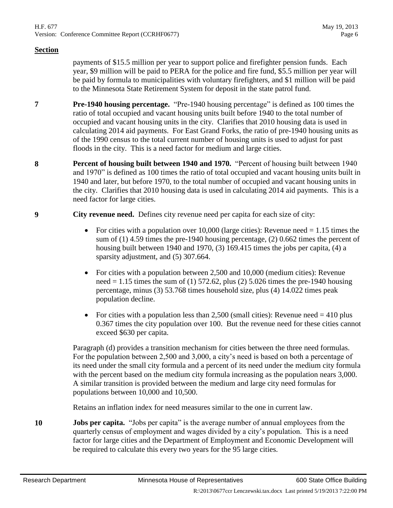payments of \$15.5 million per year to support police and firefighter pension funds. Each year, \$9 million will be paid to PERA for the police and fire fund, \$5.5 million per year will be paid by formula to municipalities with voluntary firefighters, and \$1 million will be paid to the Minnesota State Retirement System for deposit in the state patrol fund.

- **7 Pre-1940 housing percentage.** "Pre-1940 housing percentage" is defined as 100 times the ratio of total occupied and vacant housing units built before 1940 to the total number of occupied and vacant housing units in the city. Clarifies that 2010 housing data is used in calculating 2014 aid payments. For East Grand Forks, the ratio of pre-1940 housing units as of the 1990 census to the total current number of housing units is used to adjust for past floods in the city. This is a need factor for medium and large cities.
- **8 Percent of housing built between 1940 and 1970.** "Percent of housing built between 1940 and 1970" is defined as 100 times the ratio of total occupied and vacant housing units built in 1940 and later, but before 1970, to the total number of occupied and vacant housing units in the city. Clarifies that 2010 housing data is used in calculating 2014 aid payments. This is a need factor for large cities.
- **9 City revenue need.** Defines city revenue need per capita for each size of city:
	- For cities with a population over  $10,000$  (large cities): Revenue need  $= 1.15$  times the sum of (1) 4.59 times the pre-1940 housing percentage, (2) 0.662 times the percent of housing built between 1940 and 1970, (3) 169.415 times the jobs per capita, (4) a sparsity adjustment, and (5) 307.664.
	- For cities with a population between 2,500 and 10,000 (medium cities): Revenue need  $= 1.15$  times the sum of (1) 572.62, plus (2) 5.026 times the pre-1940 housing percentage, minus (3) 53.768 times household size, plus (4) 14.022 times peak population decline.
	- For cities with a population less than 2,500 (small cities): Revenue need  $=$  410 plus 0.367 times the city population over 100. But the revenue need for these cities cannot exceed \$630 per capita.

Paragraph (d) provides a transition mechanism for cities between the three need formulas. For the population between 2,500 and 3,000, a city's need is based on both a percentage of its need under the small city formula and a percent of its need under the medium city formula with the percent based on the medium city formula increasing as the population nears 3,000. A similar transition is provided between the medium and large city need formulas for populations between 10,000 and 10,500.

Retains an inflation index for need measures similar to the one in current law.

**10 Jobs per capita.** "Jobs per capita" is the average number of annual employees from the quarterly census of employment and wages divided by a city's population. This is a need factor for large cities and the Department of Employment and Economic Development will be required to calculate this every two years for the 95 large cities.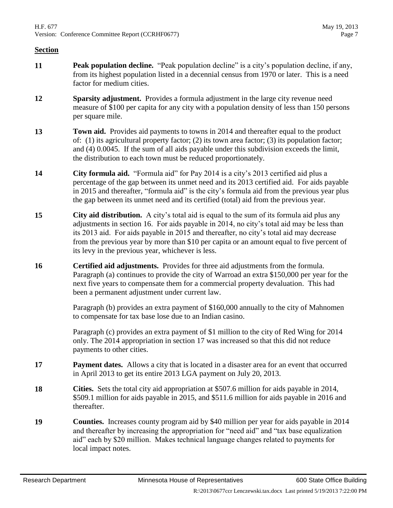- **11 Peak population decline.** "Peak population decline" is a city's population decline, if any, from its highest population listed in a decennial census from 1970 or later. This is a need factor for medium cities.
- **12 Sparsity adjustment.** Provides a formula adjustment in the large city revenue need measure of \$100 per capita for any city with a population density of less than 150 persons per square mile.
- **13 Town aid.** Provides aid payments to towns in 2014 and thereafter equal to the product of:  $(1)$  its agricultural property factor;  $(2)$  its town area factor;  $(3)$  its population factor; and (4) 0.0045. If the sum of all aids payable under this subdivision exceeds the limit, the distribution to each town must be reduced proportionately.
- **14 City formula aid.** "Formula aid" for Pay 2014 is a city's 2013 certified aid plus a percentage of the gap between its unmet need and its 2013 certified aid. For aids payable in 2015 and thereafter, "formula aid" is the city's formula aid from the previous year plus the gap between its unmet need and its certified (total) aid from the previous year.
- **15 City aid distribution.** A city's total aid is equal to the sum of its formula aid plus any adjustments in section [16.](#page-6-0) For aids payable in 2014, no city's total aid may be less than its 2013 aid. For aids payable in 2015 and thereafter, no city's total aid may decrease from the previous year by more than \$10 per capita or an amount equal to five percent of its levy in the previous year, whichever is less.
- <span id="page-6-0"></span>**16 Certified aid adjustments.** Provides for three aid adjustments from the formula. Paragraph (a) continues to provide the city of Warroad an extra \$150,000 per year for the next five years to compensate them for a commercial property devaluation. This had been a permanent adjustment under current law.

Paragraph (b) provides an extra payment of \$160,000 annually to the city of Mahnomen to compensate for tax base lose due to an Indian casino.

Paragraph (c) provides an extra payment of \$1 million to the city of Red Wing for 2014 only. The 2014 appropriation in section [17](#page-6-1) was increased so that this did not reduce payments to other cities.

- <span id="page-6-1"></span>**17 Payment dates.** Allows a city that is located in a disaster area for an event that occurred in April 2013 to get its entire 2013 LGA payment on July 20, 2013.
- **18 Cities.** Sets the total city aid appropriation at \$507.6 million for aids payable in 2014, \$509.1 million for aids payable in 2015, and \$511.6 million for aids payable in 2016 and thereafter.
- **19 Counties.** Increases county program aid by \$40 million per year for aids payable in 2014 and thereafter by increasing the appropriation for "need aid" and "tax base equalization aid" each by \$20 million. Makes technical language changes related to payments for local impact notes.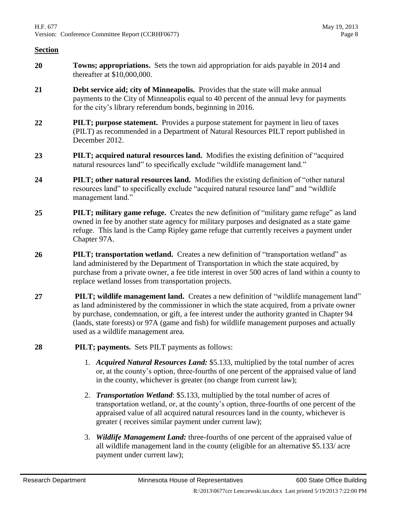- **20 Towns; appropriations.** Sets the town aid appropriation for aids payable in 2014 and thereafter at \$10,000,000.
- **21 Debt service aid; city of Minneapolis.** Provides that the state will make annual payments to the City of Minneapolis equal to 40 percent of the annual levy for payments for the city's library referendum bonds, beginning in 2016.
- **22 PILT; purpose statement.** Provides a purpose statement for payment in lieu of taxes (PILT) as recommended in a Department of Natural Resources PILT report published in December 2012.
- **23 PILT; acquired natural resources land.** Modifies the existing definition of "acquired natural resources land" to specifically exclude "wildlife management land."
- **24 PILT; other natural resources land.** Modifies the existing definition of "other natural resources land" to specifically exclude "acquired natural resource land" and "wildlife management land."
- **25 PILT; military game refuge.** Creates the new definition of "military game refuge" as land owned in fee by another state agency for military purposes and designated as a state game refuge. This land is the Camp Ripley game refuge that currently receives a payment under Chapter 97A.
- **26 PILT; transportation wetland.** Creates a new definition of "transportation wetland" as land administered by the Department of Transportation in which the state acquired, by purchase from a private owner, a fee title interest in over 500 acres of land within a county to replace wetland losses from transportation projects.
- **27 PILT; wildlife management land.** Creates a new definition of "wildlife management land" as land administered by the commissioner in which the state acquired, from a private owner by purchase, condemnation, or gift, a fee interest under the authority granted in Chapter 94 (lands, state forests) or 97A (game and fish) for wildlife management purposes and actually used as a wildlife management area.
- **28 PILT; payments.** Sets PILT payments as follows:
	- 1. *Acquired Natural Resources Land:* \$5.133, multiplied by the total number of acres or, at the county's option, three-fourths of one percent of the appraised value of land in the county, whichever is greater (no change from current law);
	- 2. *Transportation Wetland*: \$5.133, multiplied by the total number of acres of transportation wetland, or, at the county's option, three-fourths of one percent of the appraised value of all acquired natural resources land in the county, whichever is greater ( receives similar payment under current law);
	- 3. *Wildlife Management Land:* three-fourths of one percent of the appraised value of all wildlife management land in the county (eligible for an alternative \$5.133/ acre payment under current law);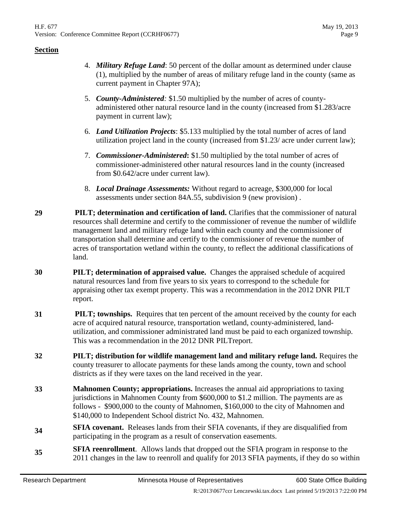- 4. *Military Refuge Land*: 50 percent of the dollar amount as determined under clause (1), multiplied by the number of areas of military refuge land in the county (same as current payment in Chapter 97A);
- 5. *County-Administered:* \$1.50 multiplied by the number of acres of countyadministered other natural resource land in the county (increased from \$1.283/acre payment in current law);
- 6. *Land Utilization Projects*: \$5.133 multiplied by the total number of acres of land utilization project land in the county (increased from \$1.23/ acre under current law);
- 7. *Commissioner-Administered***:** \$1.50 multiplied by the total number of acres of commissioner-administered other natural resources land in the county (increased from \$0.642/acre under current law).
- 8. *Local Drainage Assessments:* Without regard to acreage, \$300,000 for local assessments under section 84A.55, subdivision 9 (new provision) .
- **29 PILT; determination and certification of land.** Clarifies that the commissioner of natural resources shall determine and certify to the commissioner of revenue the number of wildlife management land and military refuge land within each county and the commissioner of transportation shall determine and certify to the commissioner of revenue the number of acres of transportation wetland within the county, to reflect the additional classifications of land.
- **30 PILT; determination of appraised value.** Changes the appraised schedule of acquired natural resources land from five years to six years to correspond to the schedule for appraising other tax exempt property. This was a recommendation in the 2012 DNR PILT report.
- **31 PILT; townships.** Requires that ten percent of the amount received by the county for each acre of acquired natural resource, transportation wetland, county-administered, landutilization, and commissioner administrated land must be paid to each organized township. This was a recommendation in the 2012 DNR PILTreport.
- **32 PILT; distribution for wildlife management land and military refuge land.** Requires the county treasurer to allocate payments for these lands among the county, town and school districts as if they were taxes on the land received in the year.
- **33 Mahnomen County; appropriations.** Increases the annual aid appropriations to taxing jurisdictions in Mahnomen County from \$600,000 to \$1.2 million. The payments are as follows - \$900,000 to the county of Mahnomen, \$160,000 to the city of Mahnomen and \$140,000 to Independent School district No. 432, Mahnomen.
- **34 SFIA covenant.** Releases lands from their SFIA covenants, if they are disqualified from participating in the program as a result of conservation easements.
- **35 SFIA reenrollment**. Allows lands that dropped out the SFIA program in response to the 2011 changes in the law to reenroll and qualify for 2013 SFIA payments, if they do so within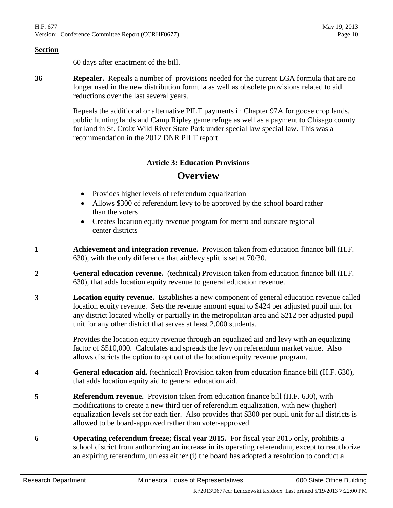60 days after enactment of the bill.

**36 Repealer.** Repeals a number of provisions needed for the current LGA formula that are no longer used in the new distribution formula as well as obsolete provisions related to aid reductions over the last several years.

> Repeals the additional or alternative PILT payments in Chapter 97A for goose crop lands, public hunting lands and Camp Ripley game refuge as well as a payment to Chisago county for land in St. Croix Wild River State Park under special law special law. This was a recommendation in the 2012 DNR PILT report.

#### **Article 3: Education Provisions**

## **Overview**

- Provides higher levels of referendum equalization
- Allows \$300 of referendum levy to be approved by the school board rather than the voters
- Creates location equity revenue program for metro and outstate regional center districts
- **1 Achievement and integration revenue.** Provision taken from education finance bill (H.F. 630), with the only difference that aid/levy split is set at 70/30.
- **2 General education revenue.** (technical) Provision taken from education finance bill (H.F. 630), that adds location equity revenue to general education revenue.
- **3 Location equity revenue.** Establishes a new component of general education revenue called location equity revenue. Sets the revenue amount equal to \$424 per adjusted pupil unit for any district located wholly or partially in the metropolitan area and \$212 per adjusted pupil unit for any other district that serves at least 2,000 students.

Provides the location equity revenue through an equalized aid and levy with an equalizing factor of \$510,000. Calculates and spreads the levy on referendum market value. Also allows districts the option to opt out of the location equity revenue program.

- **4 General education aid.** (technical) Provision taken from education finance bill (H.F. 630), that adds location equity aid to general education aid.
- **5 Referendum revenue.** Provision taken from education finance bill (H.F. 630), with modifications to create a new third tier of referendum equalization, with new (higher) equalization levels set for each tier. Also provides that \$300 per pupil unit for all districts is allowed to be board-approved rather than voter-approved.
- **6 Operating referendum freeze; fiscal year 2015.** For fiscal year 2015 only, prohibits a school district from authorizing an increase in its operating referendum, except to reauthorize an expiring referendum, unless either (i) the board has adopted a resolution to conduct a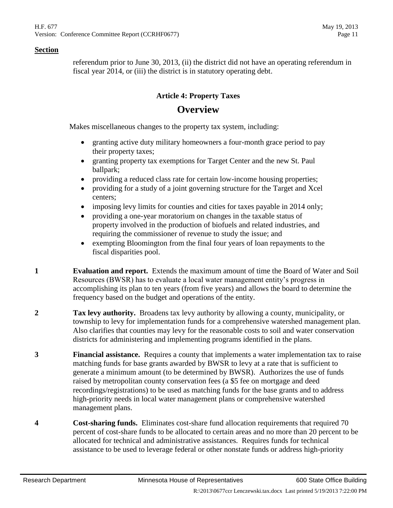referendum prior to June 30, 2013, (ii) the district did not have an operating referendum in fiscal year 2014, or (iii) the district is in statutory operating debt.

## **Article 4: Property Taxes Overview**

Makes miscellaneous changes to the property tax system, including:

- granting active duty military homeowners a four-month grace period to pay their property taxes;
- granting property tax exemptions for Target Center and the new St. Paul ballpark;
- providing a reduced class rate for certain low-income housing properties;
- providing for a study of a joint governing structure for the Target and Xcel centers;
- imposing levy limits for counties and cities for taxes payable in 2014 only;
- providing a one-year moratorium on changes in the taxable status of property involved in the production of biofuels and related industries, and requiring the commissioner of revenue to study the issue; and
- exempting Bloomington from the final four years of loan repayments to the fiscal disparities pool.
- **1 Evaluation and report.** Extends the maximum amount of time the Board of Water and Soil Resources (BWSR) has to evaluate a local water management entity's progress in accomplishing its plan to ten years (from five years) and allows the board to determine the frequency based on the budget and operations of the entity.
- **2 Tax levy authority.** Broadens tax levy authority by allowing a county, municipality, or township to levy for implementation funds for a comprehensive watershed management plan. Also clarifies that counties may levy for the reasonable costs to soil and water conservation districts for administering and implementing programs identified in the plans.
- **3 Financial assistance.** Requires a county that implements a water implementation tax to raise matching funds for base grants awarded by BWSR to levy at a rate that is sufficient to generate a minimum amount (to be determined by BWSR). Authorizes the use of funds raised by metropolitan county conservation fees (a \$5 fee on mortgage and deed recordings/registrations) to be used as matching funds for the base grants and to address high-priority needs in local water management plans or comprehensive watershed management plans.
- **4 Cost-sharing funds.** Eliminates cost-share fund allocation requirements that required 70 percent of cost-share funds to be allocated to certain areas and no more than 20 percent to be allocated for technical and administrative assistances. Requires funds for technical assistance to be used to leverage federal or other nonstate funds or address high-priority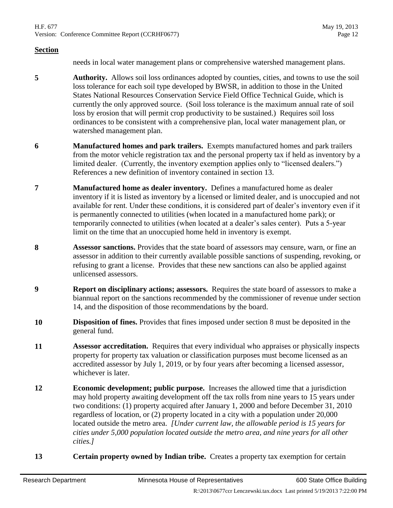H.F. 677 May 19, 2013 Version: Conference Committee Report (CCRHF0677) Page 12

#### **Section**

needs in local water management plans or comprehensive watershed management plans.

- **5 Authority.** Allows soil loss ordinances adopted by counties, cities, and towns to use the soil loss tolerance for each soil type developed by BWSR, in addition to those in the United States National Resources Conservation Service Field Office Technical Guide, which is currently the only approved source. (Soil loss tolerance is the maximum annual rate of soil loss by erosion that will permit crop productivity to be sustained.) Requires soil loss ordinances to be consistent with a comprehensive plan, local water management plan, or watershed management plan.
- **6 Manufactured homes and park trailers.** Exempts manufactured homes and park trailers from the motor vehicle registration tax and the personal property tax if held as inventory by a limited dealer. (Currently, the inventory exemption applies only to "licensed dealers.") References a new definition of inventory contained in section [13.](#page-11-0)
- **7 Manufactured home as dealer inventory.** Defines a manufactured home as dealer inventory if it is listed as inventory by a licensed or limited dealer, and is unoccupied and not available for rent. Under these conditions, it is considered part of dealer's inventory even if it is permanently connected to utilities (when located in a manufactured home park); or temporarily connected to utilities (when located at a dealer's sales center). Puts a 5-year limit on the time that an unoccupied home held in inventory is exempt.
- <span id="page-11-1"></span>**8 Assessor sanctions.** Provides that the state board of assessors may censure, warn, or fine an assessor in addition to their currently available possible sanctions of suspending, revoking, or refusing to grant a license. Provides that these new sanctions can also be applied against unlicensed assessors.
- **9 Report on disciplinary actions; assessors.** Requires the state board of assessors to make a biannual report on the sanctions recommended by the commissioner of revenue under section [14,](#page-12-0) and the disposition of those recommendations by the board.
- **10 Disposition of fines.** Provides that fines imposed under section [8](#page-11-1) must be deposited in the general fund.
- **11 Assessor accreditation.** Requires that every individual who appraises or physically inspects property for property tax valuation or classification purposes must become licensed as an accredited assessor by July 1, 2019, or by four years after becoming a licensed assessor, whichever is later.
- **12 Economic development; public purpose.** Increases the allowed time that a jurisdiction may hold property awaiting development off the tax rolls from nine years to 15 years under two conditions: (1) property acquired after January 1, 2000 and before December 31, 2010 regardless of location, or (2) property located in a city with a population under 20,000 located outside the metro area. *[Under current law, the allowable period is 15 years for cities under 5,000 population located outside the metro area, and nine years for all other cities.]*
- <span id="page-11-0"></span>**13 Certain property owned by Indian tribe.** Creates a property tax exemption for certain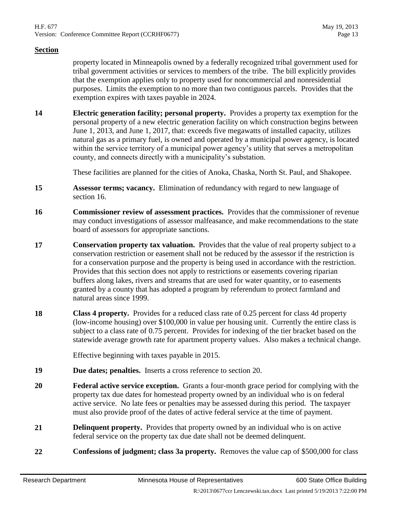property located in Minneapolis owned by a federally recognized tribal government used for tribal government activities or services to members of the tribe. The bill explicitly provides that the exemption applies only to property used for noncommercial and nonresidential purposes. Limits the exemption to no more than two contiguous parcels. Provides that the exemption expires with taxes payable in 2024.

<span id="page-12-0"></span>**14 Electric generation facility; personal property.** Provides a property tax exemption for the personal property of a new electric generation facility on which construction begins between June 1, 2013, and June 1, 2017, that: exceeds five megawatts of installed capacity, utilizes natural gas as a primary fuel, is owned and operated by a municipal power agency, is located within the service territory of a municipal power agency's utility that serves a metropolitan county, and connects directly with a municipality's substation.

These facilities are planned for the cities of Anoka, Chaska, North St. Paul, and Shakopee.

- **15 Assessor terms; vacancy.** Elimination of redundancy with regard to new language of section [16.](#page-12-1)
- <span id="page-12-1"></span>**16 Commissioner review of assessment practices.** Provides that the commissioner of revenue may conduct investigations of assessor malfeasance, and make recommendations to the state board of assessors for appropriate sanctions.
- **17 Conservation property tax valuation.** Provides that the value of real property subject to a conservation restriction or easement shall not be reduced by the assessor if the restriction is for a conservation purpose and the property is being used in accordance with the restriction. Provides that this section does not apply to restrictions or easements covering riparian buffers along lakes, rivers and streams that are used for water quantity, or to easements granted by a county that has adopted a program by referendum to protect farmland and natural areas since 1999.
- <span id="page-12-3"></span>**18 Class 4 property.** Provides for a reduced class rate of 0.25 percent for class 4d property (low-income housing) over \$100,000 in value per housing unit. Currently the entire class is subject to a class rate of 0.75 percent. Provides for indexing of the tier bracket based on the statewide average growth rate for apartment property values. Also makes a technical change.

Effective beginning with taxes payable in 2015.

- **19 Due dates; penalties.** Inserts a cross reference to section [20.](#page-12-2)
- <span id="page-12-2"></span>**20 Federal active service exception.** Grants a four-month grace period for complying with the property tax due dates for homestead property owned by an individual who is on federal active service. No late fees or penalties may be assessed during this period. The taxpayer must also provide proof of the dates of active federal service at the time of payment.
- **21 Delinquent property.** Provides that property owned by an individual who is on active federal service on the property tax due date shall not be deemed delinquent.
- **22 Confessions of judgment; class 3a property.** Removes the value cap of \$500,000 for class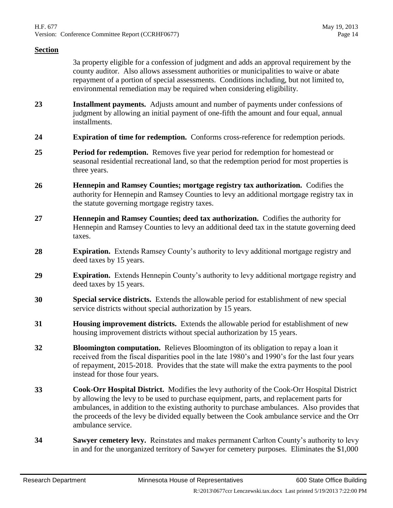3a property eligible for a confession of judgment and adds an approval requirement by the county auditor. Also allows assessment authorities or municipalities to waive or abate repayment of a portion of special assessments. Conditions including, but not limited to, environmental remediation may be required when considering eligibility.

- **23 Installment payments.** Adjusts amount and number of payments under confessions of judgment by allowing an initial payment of one-fifth the amount and four equal, annual installments.
- **24 Expiration of time for redemption.** Conforms cross-reference for redemption periods.
- **25 Period for redemption.** Removes five year period for redemption for homestead or seasonal residential recreational land, so that the redemption period for most properties is three years.
- **26 Hennepin and Ramsey Counties; mortgage registry tax authorization.** Codifies the authority for Hennepin and Ramsey Counties to levy an additional mortgage registry tax in the statute governing mortgage registry taxes.
- **27 Hennepin and Ramsey Counties; deed tax authorization.** Codifies the authority for Hennepin and Ramsey Counties to levy an additional deed tax in the statute governing deed taxes.
- **28 Expiration.** Extends Ramsey County's authority to levy additional mortgage registry and deed taxes by 15 years.
- **29 Expiration.** Extends Hennepin County's authority to levy additional mortgage registry and deed taxes by 15 years.
- **30 Special service districts.** Extends the allowable period for establishment of new special service districts without special authorization by 15 years.
- **31 Housing improvement districts.** Extends the allowable period for establishment of new housing improvement districts without special authorization by 15 years.
- **32 Bloomington computation.** Relieves Bloomington of its obligation to repay a loan it received from the fiscal disparities pool in the late 1980's and 1990's for the last four years of repayment, 2015-2018. Provides that the state will make the extra payments to the pool instead for those four years.
- **33 Cook-Orr Hospital District.** Modifies the levy authority of the Cook-Orr Hospital District by allowing the levy to be used to purchase equipment, parts, and replacement parts for ambulances, in addition to the existing authority to purchase ambulances. Also provides that the proceeds of the levy be divided equally between the Cook ambulance service and the Orr ambulance service.
- **34 Sawyer cemetery levy.** Reinstates and makes permanent Carlton County's authority to levy in and for the unorganized territory of Sawyer for cemetery purposes. Eliminates the \$1,000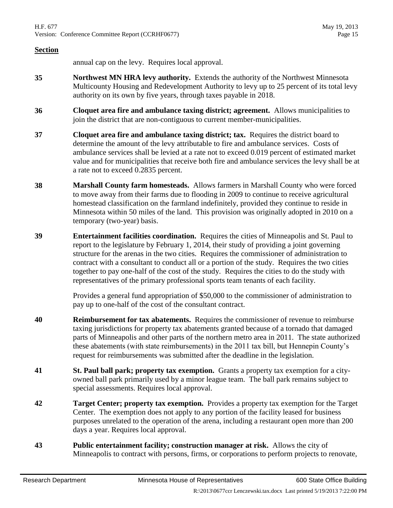annual cap on the levy. Requires local approval.

- **35 Northwest MN HRA levy authority.** Extends the authority of the Northwest Minnesota Multicounty Housing and Redevelopment Authority to levy up to 25 percent of its total levy authority on its own by five years, through taxes payable in 2018.
- **36 Cloquet area fire and ambulance taxing district; agreement.** Allows municipalities to join the district that are non-contiguous to current member-municipalities.
- **37 Cloquet area fire and ambulance taxing district; tax.** Requires the district board to determine the amount of the levy attributable to fire and ambulance services. Costs of ambulance services shall be levied at a rate not to exceed 0.019 percent of estimated market value and for municipalities that receive both fire and ambulance services the levy shall be at a rate not to exceed 0.2835 percent.
- **38 Marshall County farm homesteads.** Allows farmers in Marshall County who were forced to move away from their farms due to flooding in 2009 to continue to receive agricultural homestead classification on the farmland indefinitely, provided they continue to reside in Minnesota within 50 miles of the land. This provision was originally adopted in 2010 on a temporary (two-year) basis.
- **39 Entertainment facilities coordination.** Requires the cities of Minneapolis and St. Paul to report to the legislature by February 1, 2014, their study of providing a joint governing structure for the arenas in the two cities. Requires the commissioner of administration to contract with a consultant to conduct all or a portion of the study. Requires the two cities together to pay one-half of the cost of the study. Requires the cities to do the study with representatives of the primary professional sports team tenants of each facility.

Provides a general fund appropriation of \$50,000 to the commissioner of administration to pay up to one-half of the cost of the consultant contract.

- **40 Reimbursement for tax abatements.** Requires the commissioner of revenue to reimburse taxing jurisdictions for property tax abatements granted because of a tornado that damaged parts of Minneapolis and other parts of the northern metro area in 2011. The state authorized these abatements (with state reimbursements) in the 2011 tax bill, but Hennepin County's request for reimbursements was submitted after the deadline in the legislation.
- **41 St. Paul ball park; property tax exemption.** Grants a property tax exemption for a cityowned ball park primarily used by a minor league team. The ball park remains subject to special assessments. Requires local approval.
- **42 Target Center; property tax exemption.** Provides a property tax exemption for the Target Center. The exemption does not apply to any portion of the facility leased for business purposes unrelated to the operation of the arena, including a restaurant open more than 200 days a year. Requires local approval.
- **43 Public entertainment facility; construction manager at risk.** Allows the city of Minneapolis to contract with persons, firms, or corporations to perform projects to renovate,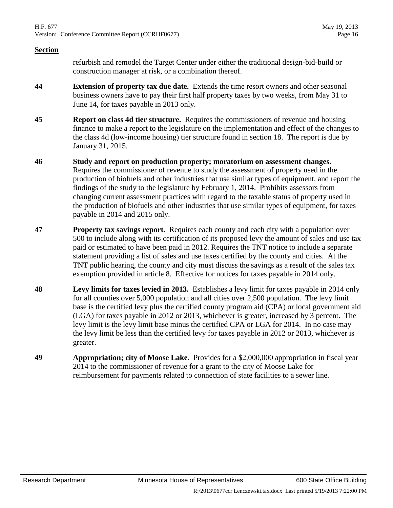H.F. 677 May 19, 2013 Version: Conference Committee Report (CCRHF0677) Page 16

#### **Section**

refurbish and remodel the Target Center under either the traditional design-bid-build or construction manager at risk, or a combination thereof.

- **44 Extension of property tax due date.** Extends the time resort owners and other seasonal business owners have to pay their first half property taxes by two weeks, from May 31 to June 14, for taxes payable in 2013 only.
- **45 Report on class 4d tier structure.** Requires the commissioners of revenue and housing finance to make a report to the legislature on the implementation and effect of the changes to the class 4d (low-income housing) tier structure found in section [18.](#page-12-3) The report is due by January 31, 2015.
- **46 Study and report on production property; moratorium on assessment changes.** Requires the commissioner of revenue to study the assessment of property used in the production of biofuels and other industries that use similar types of equipment, and report the findings of the study to the legislature by February 1, 2014. Prohibits assessors from changing current assessment practices with regard to the taxable status of property used in the production of biofuels and other industries that use similar types of equipment, for taxes payable in 2014 and 2015 only.
- **47 Property tax savings report.** Requires each county and each city with a population over 500 to include along with its certification of its proposed levy the amount of sales and use tax paid or estimated to have been paid in 2012. Requires the TNT notice to include a separate statement providing a list of sales and use taxes certified by the county and cities. At the TNT public hearing, the county and city must discuss the savings as a result of the sales tax exemption provided in article 8. Effective for notices for taxes payable in 2014 only.
- **48 Levy limits for taxes levied in 2013.** Establishes a levy limit for taxes payable in 2014 only for all counties over 5,000 population and all cities over 2,500 population. The levy limit base is the certified levy plus the certified county program aid (CPA) or local government aid (LGA) for taxes payable in 2012 or 2013, whichever is greater, increased by 3 percent. The levy limit is the levy limit base minus the certified CPA or LGA for 2014. In no case may the levy limit be less than the certified levy for taxes payable in 2012 or 2013, whichever is greater.
- **49 Appropriation; city of Moose Lake.** Provides for a \$2,000,000 appropriation in fiscal year 2014 to the commissioner of revenue for a grant to the city of Moose Lake for reimbursement for payments related to connection of state facilities to a sewer line.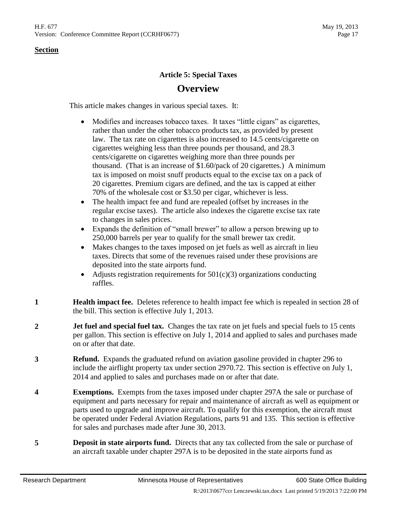## **Article 5: Special Taxes**

## **Overview**

This article makes changes in various special taxes. It:

- Modifies and increases tobacco taxes. It taxes "little cigars" as cigarettes, rather than under the other tobacco products tax, as provided by present law. The tax rate on cigarettes is also increased to 14.5 cents/cigarette on cigarettes weighing less than three pounds per thousand, and 28.3 cents/cigarette on cigarettes weighing more than three pounds per thousand. (That is an increase of \$1.60/pack of 20 cigarettes.) A minimum tax is imposed on moist snuff products equal to the excise tax on a pack of 20 cigarettes. Premium cigars are defined, and the tax is capped at either 70% of the wholesale cost or \$3.50 per cigar, whichever is less.
- The health impact fee and fund are repealed (offset by increases in the regular excise taxes). The article also indexes the cigarette excise tax rate to changes in sales prices.
- Expands the definition of "small brewer" to allow a person brewing up to 250,000 barrels per year to qualify for the small brewer tax credit.
- Makes changes to the taxes imposed on jet fuels as well as aircraft in lieu taxes. Directs that some of the revenues raised under these provisions are deposited into the state airports fund.
- Adjusts registration requirements for  $501(c)(3)$  organizations conducting raffles.
- **1 Health impact fee.** Deletes reference to health impact fee which is repealed in section [28](#page-19-0) of the bill. This section is effective July 1, 2013.
- **2 Jet fuel and special fuel tax.** Changes the tax rate on jet fuels and special fuels to 15 cents per gallon. This section is effective on July 1, 2014 and applied to sales and purchases made on or after that date.
- **3 Refund.** Expands the graduated refund on aviation gasoline provided in chapter 296 to include the airflight property tax under section 2970.72. This section is effective on July 1, 2014 and applied to sales and purchases made on or after that date.
- **4 Exemptions.** Exempts from the taxes imposed under chapter 297A the sale or purchase of equipment and parts necessary for repair and maintenance of aircraft as well as equipment or parts used to upgrade and improve aircraft. To qualify for this exemption, the aircraft must be operated under Federal Aviation Regulations, parts 91 and 135. This section is effective for sales and purchases made after June 30, 2013.
- **5 Deposit in state airports fund.** Directs that any tax collected from the sale or purchase of an aircraft taxable under chapter 297A is to be deposited in the state airports fund as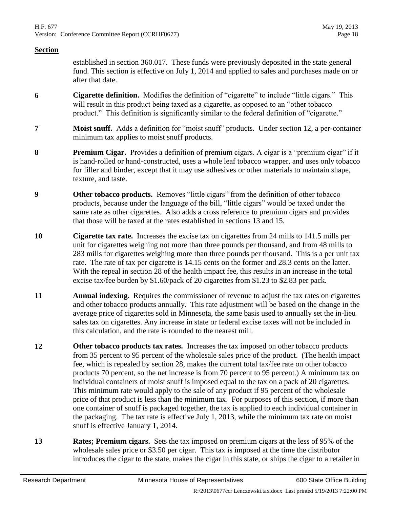established in section 360.017. These funds were previously deposited in the state general fund. This section is effective on July 1, 2014 and applied to sales and purchases made on or after that date.

- <span id="page-17-2"></span>**6 Cigarette definition.** Modifies the definition of "cigarette" to include "little cigars." This will result in this product being taxed as a cigarette, as opposed to an "other tobacco" product." This definition is significantly similar to the federal definition of "cigarette."
- **7 Moist snuff.** Adds a definition for "moist snuff" products. Under section [12,](#page-17-0) a per-container minimum tax applies to moist snuff products.
- **8 Premium Cigar.** Provides a definition of premium cigars. A cigar is a "premium cigar" if it is hand-rolled or hand-constructed, uses a whole leaf tobacco wrapper, and uses only tobacco for filler and binder, except that it may use adhesives or other materials to maintain shape, texture, and taste.
- **9 Other tobacco products.** Removes "little cigars" from the definition of other tobacco products, because under the language of the bill, "little cigars" would be taxed under the same rate as other cigarettes. Also adds a cross reference to premium cigars and provides that those will be taxed at the rates established in sections [13](#page-17-1) and [15.](#page-18-0)
- <span id="page-17-3"></span>**10 Cigarette tax rate.** Increases the excise tax on cigarettes from 24 mills to 141.5 mills per unit for cigarettes weighing not more than three pounds per thousand, and from 48 mills to 283 mills for cigarettes weighing more than three pounds per thousand. This is a per unit tax rate. The rate of tax per cigarette is 14.15 cents on the former and 28.3 cents on the latter. With the repeal in section [28](#page-19-0) of the health impact fee, this results in an increase in the total excise tax/fee burden by \$1.60/pack of 20 cigarettes from \$1.23 to \$2.83 per pack.
- **11 Annual indexing.** Requires the commissioner of revenue to adjust the tax rates on cigarettes and other tobacco products annually. This rate adjustment will be based on the change in the average price of cigarettes sold in Minnesota, the same basis used to annually set the in-lieu sales tax on cigarettes. Any increase in state or federal excise taxes will not be included in this calculation, and the rate is rounded to the nearest mill.
- <span id="page-17-0"></span>**12 Other tobacco products tax rates.** Increases the tax imposed on other tobacco products from 35 percent to 95 percent of the wholesale sales price of the product. (The health impact fee, which is repealed by section [28,](#page-19-0) makes the current total tax/fee rate on other tobacco products 70 percent, so the net increase is from 70 percent to 95 percent.) A minimum tax on individual containers of moist snuff is imposed equal to the tax on a pack of 20 cigarettes. This minimum rate would apply to the sale of any product if 95 percent of the wholesale price of that product is less than the minimum tax. For purposes of this section, if more than one container of snuff is packaged together, the tax is applied to each individual container in the packaging. The tax rate is effective July 1, 2013, while the minimum tax rate on moist snuff is effective January 1, 2014.
- <span id="page-17-1"></span>**13 Rates; Premium cigars.** Sets the tax imposed on premium cigars at the less of 95% of the wholesale sales price or \$3.50 per cigar. This tax is imposed at the time the distributor introduces the cigar to the state, makes the cigar in this state, or ships the cigar to a retailer in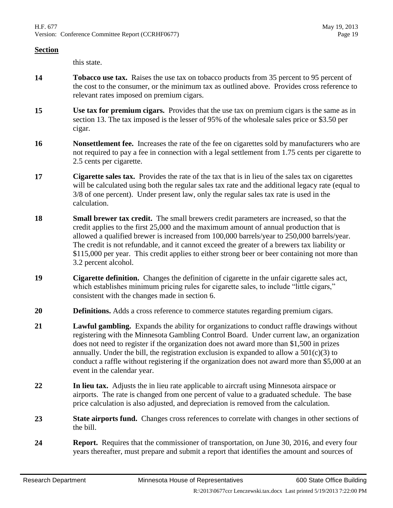this state.

- **14 Tobacco use tax.** Raises the use tax on tobacco products from 35 percent to 95 percent of the cost to the consumer, or the minimum tax as outlined above. Provides cross reference to relevant rates imposed on premium cigars.
- <span id="page-18-0"></span>**15 Use tax for premium cigars.** Provides that the use tax on premium cigars is the same as in section [13.](#page-17-1) The tax imposed is the lesser of 95% of the wholesale sales price or \$3.50 per cigar.
- **16 Nonsettlement fee.** Increases the rate of the fee on cigarettes sold by manufacturers who are not required to pay a fee in connection with a legal settlement from 1.75 cents per cigarette to 2.5 cents per cigarette.
- **17 Cigarette sales tax.** Provides the rate of the tax that is in lieu of the sales tax on cigarettes will be calculated using both the regular sales tax rate and the additional legacy rate (equal to 3/8 of one percent). Under present law, only the regular sales tax rate is used in the calculation.
- **18 Small brewer tax credit.** The small brewers credit parameters are increased, so that the credit applies to the first 25,000 and the maximum amount of annual production that is allowed a qualified brewer is increased from 100,000 barrels/year to 250,000 barrels/year. The credit is not refundable, and it cannot exceed the greater of a brewers tax liability or \$115,000 per year. This credit applies to either strong beer or beer containing not more than 3.2 percent alcohol.
- **19 Cigarette definition.** Changes the definition of cigarette in the unfair cigarette sales act, which establishes minimum pricing rules for cigarette sales, to include "little cigars," consistent with the changes made in section [6.](#page-17-2)
- **20 Definitions.** Adds a cross reference to commerce statutes regarding premium cigars.
- **21 Lawful gambling.** Expands the ability for organizations to conduct raffle drawings without registering with the Minnesota Gambling Control Board. Under current law, an organization does not need to register if the organization does not award more than \$1,500 in prizes annually. Under the bill, the registration exclusion is expanded to allow a  $501(c)(3)$  to conduct a raffle without registering if the organization does not award more than \$5,000 at an event in the calendar year.
- **22 In lieu tax.** Adjusts the in lieu rate applicable to aircraft using Minnesota airspace or airports. The rate is changed from one percent of value to a graduated schedule. The base price calculation is also adjusted, and depreciation is removed from the calculation.
- **23 State airports fund.** Changes cross references to correlate with changes in other sections of the bill.
- **24 Report.** Requires that the commissioner of transportation, on June 30, 2016, and every four years thereafter, must prepare and submit a report that identifies the amount and sources of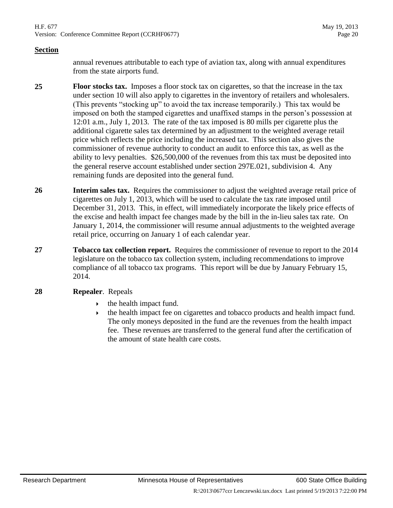H.F. 677 May 19, 2013 Version: Conference Committee Report (CCRHF0677) Page 20

#### **Section**

annual revenues attributable to each type of aviation tax, along with annual expenditures from the state airports fund.

**25 Floor stocks tax.** Imposes a floor stock tax on cigarettes, so that the increase in the tax under section [10](#page-17-3) will also apply to cigarettes in the inventory of retailers and wholesalers. (This prevents "stocking up" to avoid the tax increase temporarily.) This tax would be imposed on both the stamped cigarettes and unaffixed stamps in the person's possession at 12:01 a.m., July 1, 2013. The rate of the tax imposed is 80 mills per cigarette plus the additional cigarette sales tax determined by an adjustment to the weighted average retail price which reflects the price including the increased tax. This section also gives the commissioner of revenue authority to conduct an audit to enforce this tax, as well as the ability to levy penalties. \$26,500,000 of the revenues from this tax must be deposited into the general reserve account established under section 297E.021, subdivision 4. Any remaining funds are deposited into the general fund.

- **26 Interim sales tax.** Requires the commissioner to adjust the weighted average retail price of cigarettes on July 1, 2013, which will be used to calculate the tax rate imposed until December 31, 2013. This, in effect, will immediately incorporate the likely price effects of the excise and health impact fee changes made by the bill in the in-lieu sales tax rate. On January 1, 2014, the commissioner will resume annual adjustments to the weighted average retail price, occurring on January 1 of each calendar year.
- **27 Tobacco tax collection report.** Requires the commissioner of revenue to report to the 2014 legislature on the tobacco tax collection system, including recommendations to improve compliance of all tobacco tax programs. This report will be due by January February 15, 2014.
- <span id="page-19-0"></span>**28 Repealer**. Repeals
	- the health impact fund.
	- $\rightarrow$  the health impact fee on cigarettes and tobacco products and health impact fund. The only moneys deposited in the fund are the revenues from the health impact fee. These revenues are transferred to the general fund after the certification of the amount of state health care costs.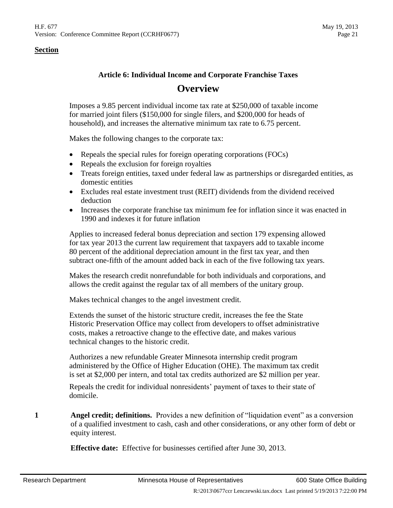## **Article 6: Individual Income and Corporate Franchise Taxes Overview**

Imposes a 9.85 percent individual income tax rate at \$250,000 of taxable income for married joint filers (\$150,000 for single filers, and \$200,000 for heads of household), and increases the alternative minimum tax rate to 6.75 percent.

Makes the following changes to the corporate tax:

- Repeals the special rules for foreign operating corporations (FOCs)
- Repeals the exclusion for foreign royalties
- Treats foreign entities, taxed under federal law as partnerships or disregarded entities, as domestic entities
- Excludes real estate investment trust (REIT) dividends from the dividend received deduction
- Increases the corporate franchise tax minimum fee for inflation since it was enacted in 1990 and indexes it for future inflation

Applies to increased federal bonus depreciation and section 179 expensing allowed for tax year 2013 the current law requirement that taxpayers add to taxable income 80 percent of the additional depreciation amount in the first tax year, and then subtract one-fifth of the amount added back in each of the five following tax years.

Makes the research credit nonrefundable for both individuals and corporations, and allows the credit against the regular tax of all members of the unitary group.

Makes technical changes to the angel investment credit.

Extends the sunset of the historic structure credit, increases the fee the State Historic Preservation Office may collect from developers to offset administrative costs, makes a retroactive change to the effective date, and makes various technical changes to the historic credit.

Authorizes a new refundable Greater Minnesota internship credit program administered by the Office of Higher Education (OHE). The maximum tax credit is set at \$2,000 per intern, and total tax credits authorized are \$2 million per year.

Repeals the credit for individual nonresidents' payment of taxes to their state of domicile.

<span id="page-20-0"></span>**1 Angel credit; definitions.** Provides a new definition of "liquidation event" as a conversion of a qualified investment to cash, cash and other considerations, or any other form of debt or equity interest.

**Effective date:** Effective for businesses certified after June 30, 2013.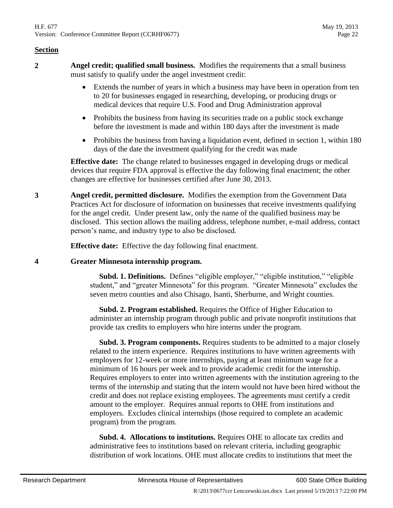- **2 Angel credit; qualified small business.** Modifies the requirements that a small business must satisfy to qualify under the angel investment credit:
	- Extends the number of years in which a business may have been in operation from ten to 20 for businesses engaged in researching, developing, or producing drugs or medical devices that require U.S. Food and Drug Administration approval
	- Prohibits the business from having its securities trade on a public stock exchange before the investment is made and within 180 days after the investment is made
	- Prohibits the business from having a liquidation event, defined in section [1,](#page-20-0) within 180 days of the date the investment qualifying for the credit was made

**Effective date:** The change related to businesses engaged in developing drugs or medical devices that require FDA approval is effective the day following final enactment; the other changes are effective for businesses certified after June 30, 2013.

**3 Angel credit, permitted disclosure.** Modifies the exemption from the Government Data Practices Act for disclosure of information on businesses that receive investments qualifying for the angel credit. Under present law, only the name of the qualified business may be disclosed. This section allows the mailing address, telephone number, e-mail address, contact person's name, and industry type to also be disclosed.

**Effective date:** Effective the day following final enactment.

#### <span id="page-21-0"></span>**4 Greater Minnesota internship program.**

 **Subd. 1. Definitions.** Defines "eligible employer," "eligible institution," "eligible student," and "greater Minnesota" for this program. "Greater Minnesota" excludes the seven metro counties and also Chisago, Isanti, Sherburne, and Wright counties.

 **Subd. 2. Program established.** Requires the Office of Higher Education to administer an internship program through public and private nonprofit institutions that provide tax credits to employers who hire interns under the program.

 **Subd. 3. Program components.** Requires students to be admitted to a major closely related to the intern experience. Requires institutions to have written agreements with employers for 12-week or more internships, paying at least minimum wage for a minimum of 16 hours per week and to provide academic credit for the internship. Requires employers to enter into written agreements with the institution agreeing to the terms of the internship and stating that the intern would not have been hired without the credit and does not replace existing employees. The agreements must certify a credit amount to the employer. Requires annual reports to OHE from institutions and employers. Excludes clinical internships (those required to complete an academic program) from the program.

 **Subd. 4. Allocations to institutions.** Requires OHE to allocate tax credits and administrative fees to institutions based on relevant criteria, including geographic distribution of work locations. OHE must allocate credits to institutions that meet the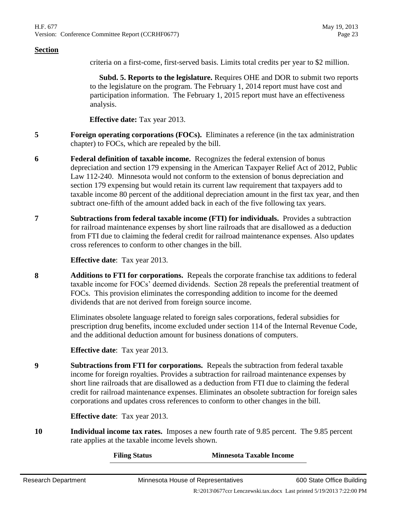criteria on a first-come, first-served basis. Limits total credits per year to \$2 million.

 **Subd. 5. Reports to the legislature.** Requires OHE and DOR to submit two reports to the legislature on the program. The February 1, 2014 report must have cost and participation information. The February 1, 2015 report must have an effectiveness analysis.

**Effective date:** Tax year 2013.

- **5 Foreign operating corporations (FOCs).** Eliminates a reference (in the tax administration chapter) to FOCs, which are repealed by the bill.
- **6 Federal definition of taxable income.** Recognizes the federal extension of bonus depreciation and section 179 expensing in the American Taxpayer Relief Act of 2012, Public Law 112-240. Minnesota would not conform to the extension of bonus depreciation and section 179 expensing but would retain its current law requirement that taxpayers add to taxable income 80 percent of the additional depreciation amount in the first tax year, and then subtract one-fifth of the amount added back in each of the five following tax years.
- **7 Subtractions from federal taxable income (FTI) for individuals.** Provides a subtraction for railroad maintenance expenses by short line railroads that are disallowed as a deduction from FTI due to claiming the federal credit for railroad maintenance expenses. Also updates cross references to conform to other changes in the bill.

**Effective date**: Tax year 2013.

<span id="page-22-2"></span>**8 Additions to FTI for corporations.** Repeals the corporate franchise tax additions to federal taxable income for FOCs' deemed dividends. Section [28](#page-25-0) repeals the preferential treatment of FOCs. This provision eliminates the corresponding addition to income for the deemed dividends that are not derived from foreign source income.

> Eliminates obsolete language related to foreign sales corporations, federal subsidies for prescription drug benefits, income excluded under section 114 of the Internal Revenue Code, and the additional deduction amount for business donations of computers.

**Effective date**: Tax year 2013.

<span id="page-22-1"></span>**9 Subtractions from FTI for corporations.** Repeals the subtraction from federal taxable income for foreign royalties. Provides a subtraction for railroad maintenance expenses by short line railroads that are disallowed as a deduction from FTI due to claiming the federal credit for railroad maintenance expenses. Eliminates an obsolete subtraction for foreign sales corporations and updates cross references to conform to other changes in the bill.

**Effective date**: Tax year 2013.

<span id="page-22-0"></span>**10 Individual income tax rates.** Imposes a new fourth rate of 9.85 percent. The 9.85 percent rate applies at the taxable income levels shown.

**Filing Status Minnesota Taxable Income**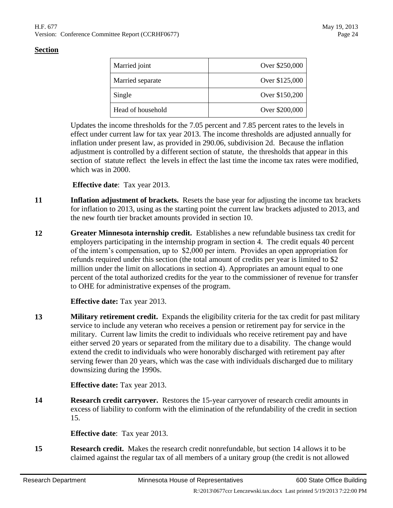| Married joint     | Over \$250,000 |
|-------------------|----------------|
| Married separate  | Over \$125,000 |
| Single            | Over \$150,200 |
| Head of household | Over \$200,000 |

Updates the income thresholds for the 7.05 percent and 7.85 percent rates to the levels in effect under current law for tax year 2013. The income thresholds are adjusted annually for inflation under present law, as provided in 290.06, subdivision 2d. Because the inflation adjustment is controlled by a different section of statute, the thresholds that appear in this section of statute reflect the levels in effect the last time the income tax rates were modified, which was in 2000.

**Effective date**: Tax year 2013.

- **11 Inflation adjustment of brackets.** Resets the base year for adjusting the income tax brackets for inflation to 2013, using as the starting point the current law brackets adjusted to 2013, and the new fourth tier bracket amounts provided in section [10.](#page-22-0)
- **12 Greater Minnesota internship credit.** Establishes a new refundable business tax credit for employers participating in the internship program in section [4.](#page-21-0) The credit equals 40 percent of the intern's compensation, up to \$2,000 per intern. Provides an open appropriation for refunds required under this section (the total amount of credits per year is limited to \$2 million under the limit on allocations in section [4\)](#page-21-0). Appropriates an amount equal to one percent of the total authorized credits for the year to the commissioner of revenue for transfer to OHE for administrative expenses of the program.

**Effective date:** Tax year 2013.

**13 Military retirement credit.** Expands the eligibility criteria for the tax credit for past military service to include any veteran who receives a pension or retirement pay for service in the military. Current law limits the credit to individuals who receive retirement pay and have either served 20 years or separated from the military due to a disability. The change would extend the credit to individuals who were honorably discharged with retirement pay after serving fewer than 20 years, which was the case with individuals discharged due to military downsizing during the 1990s.

**Effective date:** Tax year 2013.

<span id="page-23-1"></span>**14 Research credit carryover.** Restores the 15-year carryover of research credit amounts in excess of liability to conform with the elimination of the refundability of the credit in section [15.](#page-23-0)

**Effective date**: Tax year 2013.

<span id="page-23-0"></span>**15 Research credit.** Makes the research credit nonrefundable, but section [14](#page-23-1) allows it to be claimed against the regular tax of all members of a unitary group (the credit is not allowed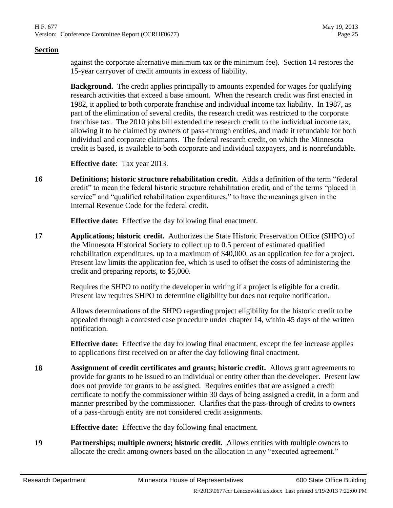against the corporate alternative minimum tax or the minimum fee). Section [14](#page-23-1) restores the 15-year carryover of credit amounts in excess of liability.

**Background.** The credit applies principally to amounts expended for wages for qualifying research activities that exceed a base amount. When the research credit was first enacted in 1982, it applied to both corporate franchise and individual income tax liability. In 1987, as part of the elimination of several credits, the research credit was restricted to the corporate franchise tax. The 2010 jobs bill extended the research credit to the individual income tax, allowing it to be claimed by owners of pass-through entities, and made it refundable for both individual and corporate claimants. The federal research credit, on which the Minnesota credit is based, is available to both corporate and individual taxpayers, and is nonrefundable.

**Effective date**: Tax year 2013.

**16 Definitions; historic structure rehabilitation credit.** Adds a definition of the term "federal credit" to mean the federal historic structure rehabilitation credit, and of the terms "placed in service" and "qualified rehabilitation expenditures," to have the meanings given in the Internal Revenue Code for the federal credit.

**Effective date:** Effective the day following final enactment.

**17 Applications; historic credit.** Authorizes the State Historic Preservation Office (SHPO) of the Minnesota Historical Society to collect up to 0.5 percent of estimated qualified rehabilitation expenditures, up to a maximum of \$40,000, as an application fee for a project. Present law limits the application fee, which is used to offset the costs of administering the credit and preparing reports, to \$5,000.

> Requires the SHPO to notify the developer in writing if a project is eligible for a credit. Present law requires SHPO to determine eligibility but does not require notification.

Allows determinations of the SHPO regarding project eligibility for the historic credit to be appealed through a contested case procedure under chapter 14, within 45 days of the written notification.

**Effective date:** Effective the day following final enactment, except the fee increase applies to applications first received on or after the day following final enactment.

**18 Assignment of credit certificates and grants; historic credit.** Allows grant agreements to provide for grants to be issued to an individual or entity other than the developer. Present law does not provide for grants to be assigned. Requires entities that are assigned a credit certificate to notify the commissioner within 30 days of being assigned a credit, in a form and manner prescribed by the commissioner. Clarifies that the pass-through of credits to owners of a pass-through entity are not considered credit assignments.

**Effective date:** Effective the day following final enactment.

**19 Partnerships; multiple owners; historic credit.** Allows entities with multiple owners to allocate the credit among owners based on the allocation in any "executed agreement."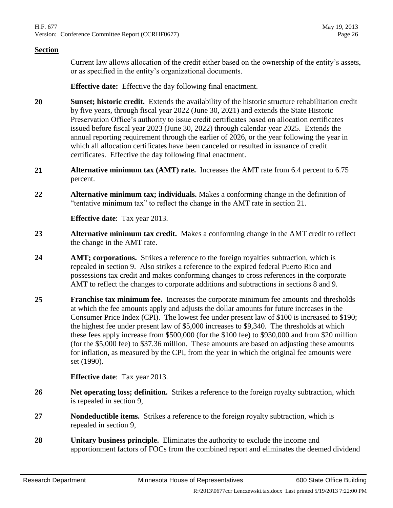Current law allows allocation of the credit either based on the ownership of the entity's assets, or as specified in the entity's organizational documents.

**Effective date:** Effective the day following final enactment.

- **20 Sunset; historic credit.** Extends the availability of the historic structure rehabilitation credit by five years, through fiscal year 2022 (June 30, 2021) and extends the State Historic Preservation Office's authority to issue credit certificates based on allocation certificates issued before fiscal year 2023 (June 30, 2022) through calendar year 2025. Extends the annual reporting requirement through the earlier of 2026, or the year following the year in which all allocation certificates have been canceled or resulted in issuance of credit certificates. Effective the day following final enactment.
- <span id="page-25-1"></span>**21 Alternative minimum tax (AMT) rate.** Increases the AMT rate from 6.4 percent to 6.75 percent.
- **22 Alternative minimum tax; individuals.** Makes a conforming change in the definition of "tentative minimum tax" to reflect the change in the AMT rate in section [21.](#page-25-1)

**Effective date**: Tax year 2013.

- **23 Alternative minimum tax credit.** Makes a conforming change in the AMT credit to reflect the change in the AMT rate.
- **24 AMT; corporations.** Strikes a reference to the foreign royalties subtraction, which is repealed in section [9.](#page-22-1) Also strikes a reference to the expired federal Puerto Rico and possessions tax credit and makes conforming changes to cross references in the corporate AMT to reflect the changes to corporate additions and subtractions in sections [8](#page-22-2) and [9.](#page-22-1)
- **25 Franchise tax minimum fee.** Increases the corporate minimum fee amounts and thresholds at which the fee amounts apply and adjusts the dollar amounts for future increases in the Consumer Price Index (CPI). The lowest fee under present law of \$100 is increased to \$190; the highest fee under present law of \$5,000 increases to \$9,340. The thresholds at which these fees apply increase from \$500,000 (for the \$100 fee) to \$930,000 and from \$20 million (for the \$5,000 fee) to \$37.36 million. These amounts are based on adjusting these amounts for inflation, as measured by the CPI, from the year in which the original fee amounts were set (1990).

**Effective date**: Tax year 2013.

- **26 Net operating loss; definition.** Strikes a reference to the foreign royalty subtraction, which is repealed in section [9,](#page-22-1)
- **27 Nondeductible items.** Strikes a reference to the foreign royalty subtraction, which is repealed in section [9,](#page-22-1)
- <span id="page-25-0"></span>**28 Unitary business principle.** Eliminates the authority to exclude the income and apportionment factors of FOCs from the combined report and eliminates the deemed dividend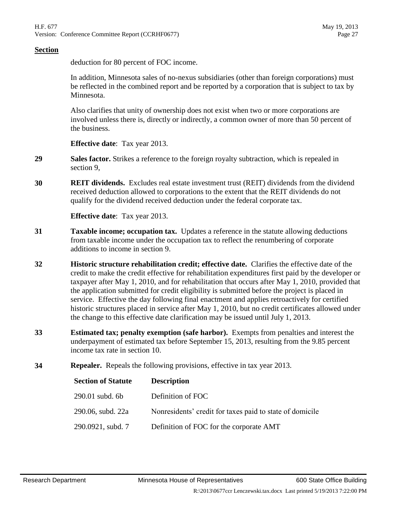deduction for 80 percent of FOC income.

In addition, Minnesota sales of no-nexus subsidiaries (other than foreign corporations) must be reflected in the combined report and be reported by a corporation that is subject to tax by Minnesota.

Also clarifies that unity of ownership does not exist when two or more corporations are involved unless there is, directly or indirectly, a common owner of more than 50 percent of the business.

**Effective date**: Tax year 2013.

- **29 Sales factor.** Strikes a reference to the foreign royalty subtraction, which is repealed in section [9,](#page-22-1)
- **30 REIT dividends.** Excludes real estate investment trust (REIT) dividends from the dividend received deduction allowed to corporations to the extent that the REIT dividends do not qualify for the dividend received deduction under the federal corporate tax.

**Effective date**: Tax year 2013.

- **31 Taxable income; occupation tax.** Updates a reference in the statute allowing deductions from taxable income under the occupation tax to reflect the renumbering of corporate additions to income in section [9.](#page-22-1)
- **32 Historic structure rehabilitation credit; effective date.** Clarifies the effective date of the credit to make the credit effective for rehabilitation expenditures first paid by the developer or taxpayer after May 1, 2010, and for rehabilitation that occurs after May 1, 2010, provided that the application submitted for credit eligibility is submitted before the project is placed in service. Effective the day following final enactment and applies retroactively for certified historic structures placed in service after May 1, 2010, but no credit certificates allowed under the change to this effective date clarification may be issued until July 1, 2013.
- **33 Estimated tax; penalty exemption (safe harbor).** Exempts from penalties and interest the underpayment of estimated tax before September 15, 2013, resulting from the 9.85 percent income tax rate in section [10.](#page-22-0)
- **34 Repealer.** Repeals the following provisions, effective in tax year 2013.

| <b>Section of Statute</b> | <b>Description</b>                                       |
|---------------------------|----------------------------------------------------------|
| 290.01 subd. 6b           | Definition of FOC                                        |
| 290.06, subd. 22a         | Nonresidents' credit for taxes paid to state of domicile |
| 290.0921, subd. 7         | Definition of FOC for the corporate AMT                  |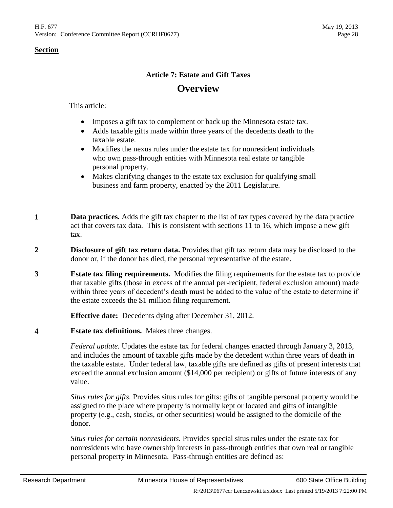## **Article 7: Estate and Gift Taxes Overview**

This article:

- Imposes a gift tax to complement or back up the Minnesota estate tax.
- Adds taxable gifts made within three years of the decedents death to the taxable estate.
- Modifies the nexus rules under the estate tax for nonresident individuals who own pass-through entities with Minnesota real estate or tangible personal property.
- Makes clarifying changes to the estate tax exclusion for qualifying small business and farm property, enacted by the 2011 Legislature.
- **1 Data practices.** Adds the gift tax chapter to the list of tax types covered by the data practice act that covers tax data. This is consistent with sections [11](#page-29-0) to [16,](#page-30-0) which impose a new gift tax.
- **2 Disclosure of gift tax return data.** Provides that gift tax return data may be disclosed to the donor or, if the donor has died, the personal representative of the estate.
- **3 Estate tax filing requirements.** Modifies the filing requirements for the estate tax to provide that taxable gifts (those in excess of the annual per-recipient, federal exclusion amount) made within three years of decedent's death must be added to the value of the estate to determine if the estate exceeds the \$1 million filing requirement.

**Effective date:** Decedents dying after December 31, 2012.

<span id="page-27-0"></span>**4 Estate tax definitions.** Makes three changes.

*Federal update.* Updates the estate tax for federal changes enacted through January 3, 2013, and includes the amount of taxable gifts made by the decedent within three years of death in the taxable estate. Under federal law, taxable gifts are defined as gifts of present interests that exceed the annual exclusion amount (\$14,000 per recipient) or gifts of future interests of any value.

*Situs rules for gifts.* Provides situs rules for gifts: gifts of tangible personal property would be assigned to the place where property is normally kept or located and gifts of intangible property (e.g., cash, stocks, or other securities) would be assigned to the domicile of the donor.

*Situs rules for certain nonresidents.* Provides special situs rules under the estate tax for nonresidents who have ownership interests in pass-through entities that own real or tangible personal property in Minnesota. Pass-through entities are defined as: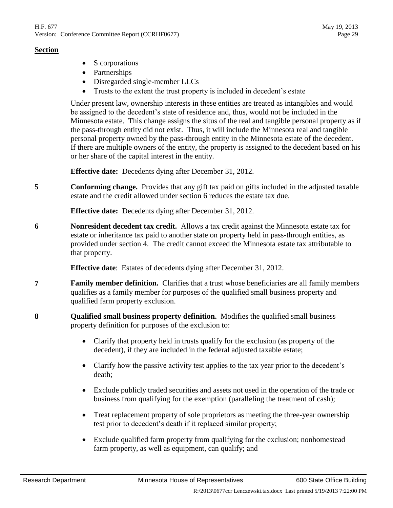- S corporations
- Partnerships
- Disregarded single-member LLCs
- Trusts to the extent the trust property is included in decedent's estate

Under present law, ownership interests in these entities are treated as intangibles and would be assigned to the decedent's state of residence and, thus, would not be included in the Minnesota estate. This change assigns the situs of the real and tangible personal property as if the pass-through entity did not exist. Thus, it will include the Minnesota real and tangible personal property owned by the pass-through entity in the Minnesota estate of the decedent. If there are multiple owners of the entity, the property is assigned to the decedent based on his or her share of the capital interest in the entity.

**Effective date:** Decedents dying after December 31, 2012.

**5 Conforming change.** Provides that any gift tax paid on gifts included in the adjusted taxable estate and the credit allowed under section [6](#page-28-0) reduces the estate tax due.

**Effective date:** Decedents dying after December 31, 2012.

<span id="page-28-0"></span>**6 Nonresident decedent tax credit.** Allows a tax credit against the Minnesota estate tax for estate or inheritance tax paid to another state on property held in pass-through entities, as provided under section [4.](#page-27-0) The credit cannot exceed the Minnesota estate tax attributable to that property.

**Effective date**: Estates of decedents dying after December 31, 2012.

- **7 Family member definition.** Clarifies that a trust whose beneficiaries are all family members qualifies as a family member for purposes of the qualified small business property and qualified farm property exclusion.
- **8 Qualified small business property definition.** Modifies the qualified small business property definition for purposes of the exclusion to:
	- Clarify that property held in trusts qualify for the exclusion (as property of the decedent), if they are included in the federal adjusted taxable estate;
	- Clarify how the passive activity test applies to the tax year prior to the decedent's death;
	- Exclude publicly traded securities and assets not used in the operation of the trade or business from qualifying for the exemption (paralleling the treatment of cash);
	- Treat replacement property of sole proprietors as meeting the three-year ownership test prior to decedent's death if it replaced similar property;
	- Exclude qualified farm property from qualifying for the exclusion; nonhomestead farm property, as well as equipment, can qualify; and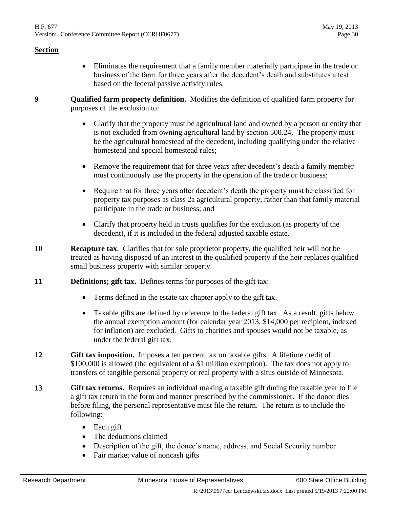- Eliminates the requirement that a family member materially participate in the trade or business of the farm for three years after the decedent's death and substitutes a test based on the federal passive activity rules.
- **9 Qualified farm property definition.** Modifies the definition of qualified farm property for purposes of the exclusion to:
	- Clarify that the property must be agricultural land and owned by a person or entity that is not excluded from owning agricultural land by section 500.24. The property must be the agricultural homestead of the decedent, including qualifying under the relative homestead and special homestead rules;
	- Remove the requirement that for three years after decedent's death a family member must continuously use the property in the operation of the trade or business;
	- Require that for three years after decedent's death the property must be classified for property tax purposes as class 2a agricultural property, rather than that family material participate in the trade or business; and
	- Clarify that property held in trusts qualifies for the exclusion (as property of the decedent), if it is included in the federal adjusted taxable estate.
- **10 Recapture tax**. Clarifies that for sole proprietor property, the qualified heir will not be treated as having disposed of an interest in the qualified property if the heir replaces qualified small business property with similar property.
- <span id="page-29-0"></span>**11 Definitions; gift tax.** Defines terms for purposes of the gift tax:
	- Terms defined in the estate tax chapter apply to the gift tax.
	- Taxable gifts are defined by reference to the federal gift tax. As a result, gifts below the annual exemption amount (for calendar year 2013, \$14,000 per recipient, indexed for inflation) are excluded. Gifts to charities and spouses would not be taxable, as under the federal gift tax.
- **12 Gift tax imposition.** Imposes a ten percent tax on taxable gifts. A lifetime credit of \$100,000 is allowed (the equivalent of a \$1 million exemption). The tax does not apply to transfers of tangible personal property or real property with a situs outside of Minnesota.
- **13 Gift tax returns.** Requires an individual making a taxable gift during the taxable year to file a gift tax return in the form and manner prescribed by the commissioner. If the donor dies before filing, the personal representative must file the return. The return is to include the following:
	- Each gift
	- The deductions claimed
	- Description of the gift, the donee's name, address, and Social Security number
	- Fair market value of noncash gifts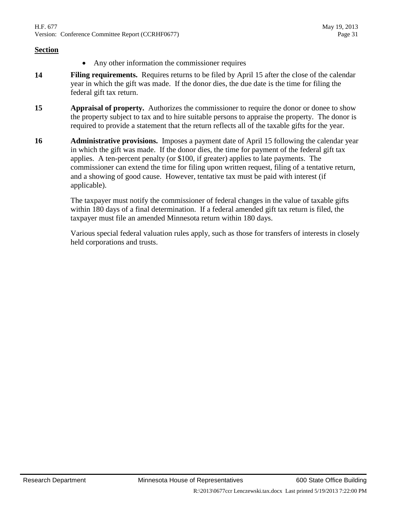- Any other information the commissioner requires
- **14 Filing requirements.** Requires returns to be filed by April 15 after the close of the calendar year in which the gift was made. If the donor dies, the due date is the time for filing the federal gift tax return.
- **15 Appraisal of property.** Authorizes the commissioner to require the donor or donee to show the property subject to tax and to hire suitable persons to appraise the property. The donor is required to provide a statement that the return reflects all of the taxable gifts for the year.
- <span id="page-30-0"></span>**16 Administrative provisions.** Imposes a payment date of April 15 following the calendar year in which the gift was made. If the donor dies, the time for payment of the federal gift tax applies. A ten-percent penalty (or \$100, if greater) applies to late payments. The commissioner can extend the time for filing upon written request, filing of a tentative return, and a showing of good cause. However, tentative tax must be paid with interest (if applicable).

The taxpayer must notify the commissioner of federal changes in the value of taxable gifts within 180 days of a final determination. If a federal amended gift tax return is filed, the taxpayer must file an amended Minnesota return within 180 days.

Various special federal valuation rules apply, such as those for transfers of interests in closely held corporations and trusts.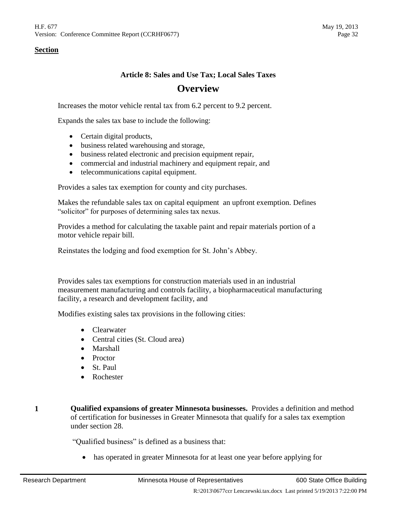## **Article 8: Sales and Use Tax; Local Sales Taxes Overview**

Increases the motor vehicle rental tax from 6.2 percent to 9.2 percent.

Expands the sales tax base to include the following:

- Certain digital products,
- business related warehousing and storage,
- business related electronic and precision equipment repair,
- commercial and industrial machinery and equipment repair, and
- telecommunications capital equipment.

Provides a sales tax exemption for county and city purchases.

Makes the refundable sales tax on capital equipment an upfront exemption. Defines "solicitor" for purposes of determining sales tax nexus.

Provides a method for calculating the taxable paint and repair materials portion of a motor vehicle repair bill.

Reinstates the lodging and food exemption for St. John's Abbey.

Provides sales tax exemptions for construction materials used in an industrial measurement manufacturing and controls facility, a biopharmaceutical manufacturing facility, a research and development facility, and

Modifies existing sales tax provisions in the following cities:

- Clearwater
- Central cities (St. Cloud area)
- Marshall
- Proctor
- St. Paul
- Rochester
- **1 Qualified expansions of greater Minnesota businesses.** Provides a definition and method of certification for businesses in Greater Minnesota that qualify for a sales tax exemption under section 28.

"Qualified business" is defined as a business that:

has operated in greater Minnesota for at least one year before applying for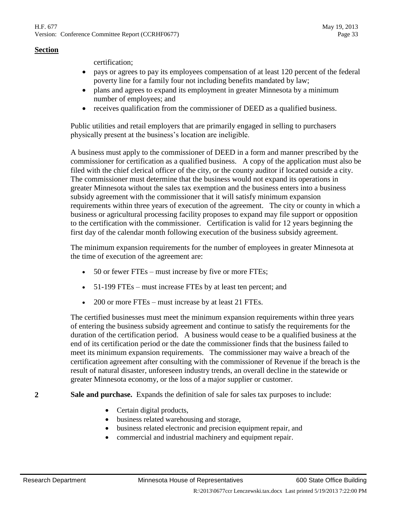certification;

- pays or agrees to pay its employees compensation of at least 120 percent of the federal poverty line for a family four not including benefits mandated by law;
- plans and agrees to expand its employment in greater Minnesota by a minimum number of employees; and
- receives qualification from the commissioner of DEED as a qualified business.

Public utilities and retail employers that are primarily engaged in selling to purchasers physically present at the business's location are ineligible.

A business must apply to the commissioner of DEED in a form and manner prescribed by the commissioner for certification as a qualified business. A copy of the application must also be filed with the chief clerical officer of the city, or the county auditor if located outside a city. The commissioner must determine that the business would not expand its operations in greater Minnesota without the sales tax exemption and the business enters into a business subsidy agreement with the commissioner that it will satisfy minimum expansion requirements within three years of execution of the agreement. The city or county in which a business or agricultural processing facility proposes to expand may file support or opposition to the certification with the commissioner. Certification is valid for 12 years beginning the first day of the calendar month following execution of the business subsidy agreement.

The minimum expansion requirements for the number of employees in greater Minnesota at the time of execution of the agreement are:

- 50 or fewer FTEs must increase by five or more FTEs;
- 51-199 FTEs must increase FTEs by at least ten percent; and
- 200 or more FTEs must increase by at least 21 FTEs.

The certified businesses must meet the minimum expansion requirements within three years of entering the business subsidy agreement and continue to satisfy the requirements for the duration of the certification period. A business would cease to be a qualified business at the end of its certification period or the date the commissioner finds that the business failed to meet its minimum expansion requirements. The commissioner may waive a breach of the certification agreement after consulting with the commissioner of Revenue if the breach is the result of natural disaster, unforeseen industry trends, an overall decline in the statewide or greater Minnesota economy, or the loss of a major supplier or customer.

#### <span id="page-32-0"></span>**2 Sale and purchase.** Expands the definition of sale for sales tax purposes to include:

- Certain digital products,
- business related warehousing and storage,
- business related electronic and precision equipment repair, and
- commercial and industrial machinery and equipment repair.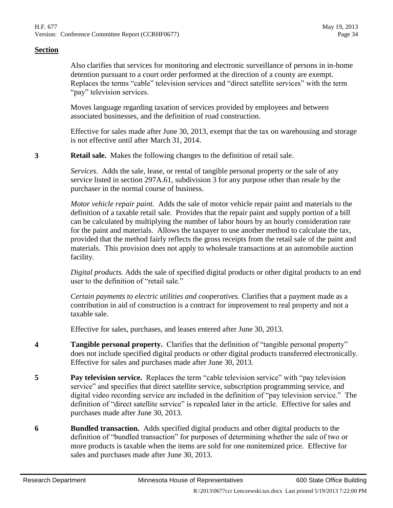Also clarifies that services for monitoring and electronic surveillance of persons in in-home detention pursuant to a court order performed at the direction of a county are exempt. Replaces the terms "cable" television services and "direct satellite services" with the term "pay" television services.

Moves language regarding taxation of services provided by employees and between associated businesses, and the definition of road construction.

Effective for sales made after June 30, 2013, exempt that the tax on warehousing and storage is not effective until after March 31, 2014.

**3 Retail sale.** Makes the following changes to the definition of retail sale.

*Services.* Adds the sale, lease, or rental of tangible personal property or the sale of any service listed in section 297A.61, subdivision 3 for any purpose other than resale by the purchaser in the normal course of business.

*Motor vehicle repair paint.* Adds the sale of motor vehicle repair paint and materials to the definition of a taxable retail sale. Provides that the repair paint and supply portion of a bill can be calculated by multiplying the number of labor hours by an hourly consideration rate for the paint and materials. Allows the taxpayer to use another method to calculate the tax, provided that the method fairly reflects the gross receipts from the retail sale of the paint and materials. This provision does not apply to wholesale transactions at an automobile auction facility.

*Digital products.* Adds the sale of specified digital products or other digital products to an end user to the definition of "retail sale."

*Certain payments to electric utilities and cooperatives.* Clarifies that a payment made as a contribution in aid of construction is a contract for improvement to real property and not a taxable sale.

Effective for sales, purchases, and leases entered after June 30, 2013.

- **4 Tangible personal property.** Clarifies that the definition of "tangible personal property" does not include specified digital products or other digital products transferred electronically. Effective for sales and purchases made after June 30, 2013.
- **5 Pay television service.** Replaces the term "cable television service" with "pay television service" and specifies that direct satellite service, subscription programming service, and digital video recording service are included in the definition of "pay television service." The definition of "direct satellite service" is repealed later in the article. Effective for sales and purchases made after June 30, 2013.
- **6 Bundled transaction.** Adds specified digital products and other digital products to the definition of "bundled transaction" for purposes of determining whether the sale of two or more products is taxable when the items are sold for one nonitemized price. Effective for sales and purchases made after June 30, 2013.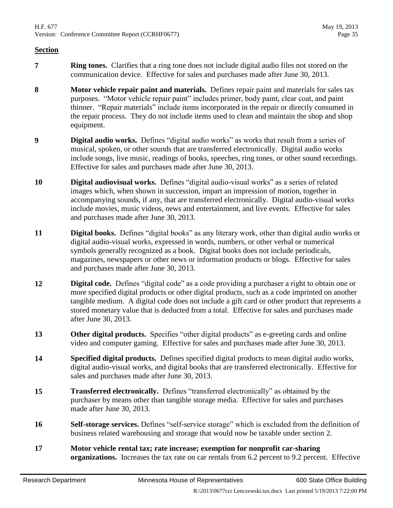- **7 Ring tones.** Clarifies that a ring tone does not include digital audio files not stored on the communication device. Effective for sales and purchases made after June 30, 2013.
- **8 Motor vehicle repair paint and materials.** Defines repair paint and materials for sales tax purposes. "Motor vehicle repair paint" includes primer, body paint, clear coat, and paint thinner. "Repair materials" include items incorporated in the repair or directly consumed in the repair process. They do not include items used to clean and maintain the shop and shop equipment.
- **9 Digital audio works.** Defines "digital audio works" as works that result from a series of musical, spoken, or other sounds that are transferred electronically. Digital audio works include songs, live music, readings of books, speeches, ring tones, or other sound recordings. Effective for sales and purchases made after June 30, 2013.
- **10 Digital audiovisual works.** Defines "digital audio-visual works" as a series of related images which, when shown in succession, impart an impression of motion, together in accompanying sounds, if any, that are transferred electronically. Digital audio-visual works include movies, music videos, news and entertainment, and live events. Effective for sales and purchases made after June 30, 2013.
- **11 Digital books.** Defines "digital books" as any literary work, other than digital audio works or digital audio-visual works, expressed in words, numbers, or other verbal or numerical symbols generally recognized as a book. Digital books does not include periodicals, magazines, newspapers or other news or information products or blogs. Effective for sales and purchases made after June 30, 2013.
- **12 Digital code.** Defines "digital code" as a code providing a purchaser a right to obtain one or more specified digital products or other digital products, such as a code imprinted on another tangible medium. A digital code does not include a gift card or other product that represents a stored monetary value that is deducted from a total. Effective for sales and purchases made after June 30, 2013.
- **13 Other digital products.** Specifies "other digital products" as e-greeting cards and online video and computer gaming. Effective for sales and purchases made after June 30, 2013.
- **14 Specified digital products.** Defines specified digital products to mean digital audio works, digital audio-visual works, and digital books that are transferred electronically. Effective for sales and purchases made after June 30, 2013.
- **15 Transferred electronically.** Defines "transferred electronically" as obtained by the purchaser by means other than tangible storage media. Effective for sales and purchases made after June 30, 2013.
- **16 Self-storage services.** Defines "self-service storage" which is excluded from the definition of business related warehousing and storage that would now be taxable under section [2.](#page-32-0)
- **17 Motor vehicle rental tax; rate increase; exemption for nonprofit car-sharing organizations.** Increases the tax rate on car rentals from 6.2 percent to 9.2 percent. Effective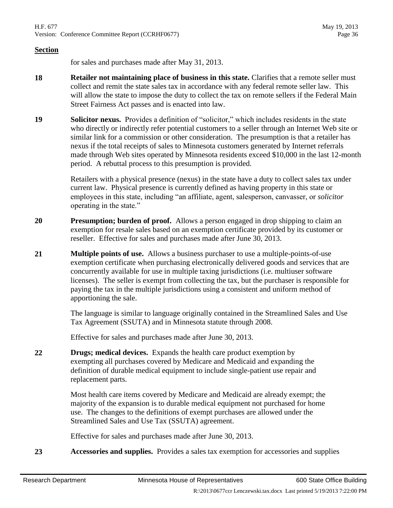for sales and purchases made after May 31, 2013.

- **18 Retailer not maintaining place of business in this state.** Clarifies that a remote seller must collect and remit the state sales tax in accordance with any federal remote seller law. This will allow the state to impose the duty to collect the tax on remote sellers if the Federal Main Street Fairness Act passes and is enacted into law.
- **19 Solicitor nexus.** Provides a definition of "solicitor," which includes residents in the state who directly or indirectly refer potential customers to a seller through an Internet Web site or similar link for a commission or other consideration. The presumption is that a retailer has nexus if the total receipts of sales to Minnesota customers generated by Internet referrals made through Web sites operated by Minnesota residents exceed \$10,000 in the last 12-month period. A rebuttal process to this presumption is provided.

Retailers with a physical presence (nexus) in the state have a duty to collect sales tax under current law. Physical presence is currently defined as having property in this state or employees in this state, including "an affiliate, agent, salesperson, canvasser, or *solicitor* operating in the state."

- **20 Presumption; burden of proof.** Allows a person engaged in drop shipping to claim an exemption for resale sales based on an exemption certificate provided by its customer or reseller. Effective for sales and purchases made after June 30, 2013.
- **21 Multiple points of use.** Allows a business purchaser to use a multiple-points-of-use exemption certificate when purchasing electronically delivered goods and services that are concurrently available for use in multiple taxing jurisdictions (i.e. multiuser software licenses). The seller is exempt from collecting the tax, but the purchaser is responsible for paying the tax in the multiple jurisdictions using a consistent and uniform method of apportioning the sale.

The language is similar to language originally contained in the Streamlined Sales and Use Tax Agreement (SSUTA) and in Minnesota statute through 2008.

Effective for sales and purchases made after June 30, 2013.

**22 Drugs; medical devices.** Expands the health care product exemption by exempting all purchases covered by Medicare and Medicaid and expanding the definition of durable medical equipment to include single-patient use repair and replacement parts.

> Most health care items covered by Medicare and Medicaid are already exempt; the majority of the expansion is to durable medical equipment not purchased for home use. The changes to the definitions of exempt purchases are allowed under the Streamlined Sales and Use Tax (SSUTA) agreement.

Effective for sales and purchases made after June 30, 2013.

**23 Accessories and supplies.** Provides a sales tax exemption for accessories and supplies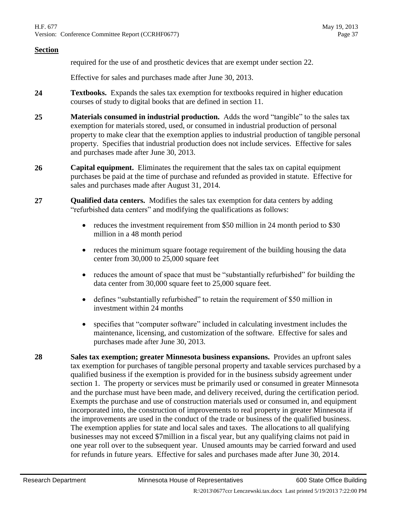required for the use of and prosthetic devices that are exempt under section [22.](#page-35-0)

Effective for sales and purchases made after June 30, 2013.

- **24 Textbooks.** Expands the sales tax exemption for textbooks required in higher education courses of study to digital books that are defined in section [11.](#page-34-0)
- **25 Materials consumed in industrial production.** Adds the word "tangible" to the sales tax exemption for materials stored, used, or consumed in industrial production of personal property to make clear that the exemption applies to industrial production of tangible personal property. Specifies that industrial production does not include services. Effective for sales and purchases made after June 30, 2013.
- <span id="page-36-0"></span>**26 Capital equipment.** Eliminates the requirement that the sales tax on capital equipment purchases be paid at the time of purchase and refunded as provided in statute. Effective for sales and purchases made after August 31, 2014.
- **27 Qualified data centers.** Modifies the sales tax exemption for data centers by adding "refurbished data centers" and modifying the qualifications as follows:
	- reduces the investment requirement from \$50 million in 24 month period to \$30 million in a 48 month period
	- reduces the minimum square footage requirement of the building housing the data center from 30,000 to 25,000 square feet
	- reduces the amount of space that must be "substantially refurbished" for building the data center from 30,000 square feet to 25,000 square feet.
	- defines "substantially refurbished" to retain the requirement of \$50 million in investment within 24 months
	- specifies that "computer software" included in calculating investment includes the maintenance, licensing, and customization of the software. Effective for sales and purchases made after June 30, 2013.
- **28 Sales tax exemption; greater Minnesota business expansions.** Provides an upfront sales tax exemption for purchases of tangible personal property and taxable services purchased by a qualified business if the exemption is provided for in the business subsidy agreement under section [1.](#page-31-0) The property or services must be primarily used or consumed in greater Minnesota and the purchase must have been made, and delivery received, during the certification period. Exempts the purchase and use of construction materials used or consumed in, and equipment incorporated into, the construction of improvements to real property in greater Minnesota if the improvements are used in the conduct of the trade or business of the qualified business. The exemption applies for state and local sales and taxes. The allocations to all qualifying businesses may not exceed \$7million in a fiscal year, but any qualifying claims not paid in one year roll over to the subsequent year. Unused amounts may be carried forward and used for refunds in future years. Effective for sales and purchases made after June 30, 2014.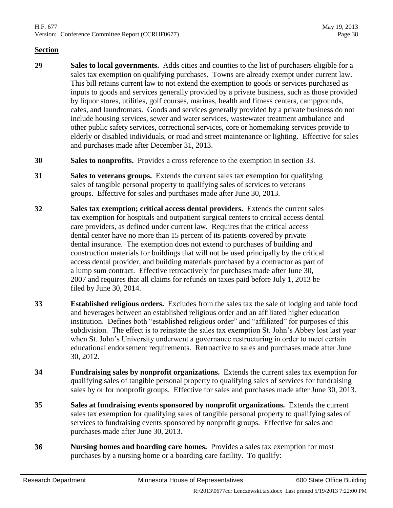- **29 Sales to local governments.** Adds cities and counties to the list of purchasers eligible for a sales tax exemption on qualifying purchases. Towns are already exempt under current law. This bill retains current law to not extend the exemption to goods or services purchased as inputs to goods and services generally provided by a private business, such as those provided by liquor stores, utilities, golf courses, marinas, health and fitness centers, campgrounds, cafes, and laundromats. Goods and services generally provided by a private business do not include housing services, sewer and water services, wastewater treatment ambulance and other public safety services, correctional services, core or homemaking services provide to elderly or disabled individuals, or road and street maintenance or lighting. Effective for sales and purchases made after December 31, 2013.
- **30 Sales to nonprofits.** Provides a cross reference to the exemption in section [33.](#page-37-0)
- **31 Sales to veterans groups.** Extends the current sales tax exemption for qualifying sales of tangible personal property to qualifying sales of services to veterans groups. Effective for sales and purchases made after June 30, 2013.
- **32 Sales tax exemption; critical access dental providers.** Extends the current sales tax exemption for hospitals and outpatient surgical centers to critical access dental care providers, as defined under current law. Requires that the critical access dental center have no more than 15 percent of its patients covered by private dental insurance. The exemption does not extend to purchases of building and construction materials for buildings that will not be used principally by the critical access dental provider, and building materials purchased by a contractor as part of a lump sum contract. Effective retroactively for purchases made after June 30, 2007 and requires that all claims for refunds on taxes paid before July 1, 2013 be filed by June 30, 2014.
- <span id="page-37-0"></span>**33 Established religious orders.** Excludes from the sales tax the sale of lodging and table food and beverages between an established religious order and an affiliated higher education institution. Defines both "established religious order" and "affiliated" for purposes of this subdivision. The effect is to reinstate the sales tax exemption St. John's Abbey lost last year when St. John's University underwent a governance restructuring in order to meet certain educational endorsement requirements. Retroactive to sales and purchases made after June 30, 2012.
- **34 Fundraising sales by nonprofit organizations.** Extends the current sales tax exemption for qualifying sales of tangible personal property to qualifying sales of services for fundraising sales by or for nonprofit groups. Effective for sales and purchases made after June 30, 2013.
- **35 Sales at fundraising events sponsored by nonprofit organizations.** Extends the current sales tax exemption for qualifying sales of tangible personal property to qualifying sales of services to fundraising events sponsored by nonprofit groups. Effective for sales and purchases made after June 30, 2013.
- **36 Nursing homes and boarding care homes.** Provides a sales tax exemption for most purchases by a nursing home or a boarding care facility. To qualify: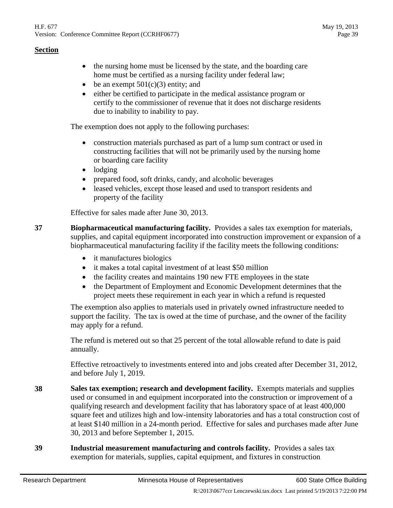- the nursing home must be licensed by the state, and the boarding care home must be certified as a nursing facility under federal law;
- be an exempt  $501(c)(3)$  entity; and
- either be certified to participate in the medical assistance program or certify to the commissioner of revenue that it does not discharge residents due to inability to inability to pay.

The exemption does not apply to the following purchases:

- construction materials purchased as part of a lump sum contract or used in constructing facilities that will not be primarily used by the nursing home or boarding care facility
- lodging
- prepared food, soft drinks, candy, and alcoholic beverages
- leased vehicles, except those leased and used to transport residents and property of the facility

Effective for sales made after June 30, 2013.

<span id="page-38-0"></span>**37 Biopharmaceutical manufacturing facility.** Provides a sales tax exemption for materials, supplies, and capital equipment incorporated into construction improvement or expansion of a biopharmaceutical manufacturing facility if the facility meets the following conditions:

- it manufactures biologics
- it makes a total capital investment of at least \$50 million
- the facility creates and maintains 190 new FTE employees in the state
- the Department of Employment and Economic Development determines that the project meets these requirement in each year in which a refund is requested

The exemption also applies to materials used in privately owned infrastructure needed to support the facility. The tax is owed at the time of purchase, and the owner of the facility may apply for a refund.

The refund is metered out so that 25 percent of the total allowable refund to date is paid annually.

Effective retroactively to investments entered into and jobs created after December 31, 2012, and before July 1, 2019.

- **38 Sales tax exemption; research and development facility.** Exempts materials and supplies used or consumed in and equipment incorporated into the construction or improvement of a qualifying research and development facility that has laboratory space of at least 400,000 square feet and utilizes high and low-intensity laboratories and has a total construction cost of at least \$140 million in a 24-month period. Effective for sales and purchases made after June 30, 2013 and before September 1, 2015.
- <span id="page-38-1"></span>**39 Industrial measurement manufacturing and controls facility.** Provides a sales tax exemption for materials, supplies, capital equipment, and fixtures in construction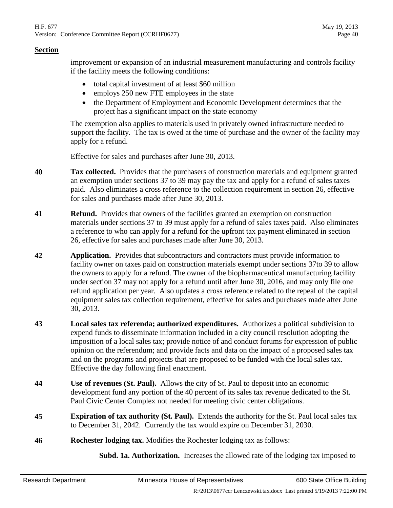improvement or expansion of an industrial measurement manufacturing and controls facility if the facility meets the following conditions:

- total capital investment of at least \$60 million
- employs 250 new FTE employees in the state
- the Department of Employment and Economic Development determines that the project has a significant impact on the state economy

The exemption also applies to materials used in privately owned infrastructure needed to support the facility. The tax is owed at the time of purchase and the owner of the facility may apply for a refund.

Effective for sales and purchases after June 30, 2013.

- **40 Tax collected.** Provides that the purchasers of construction materials and equipment granted an exemption under sections [37](#page-38-0) to [39](#page-38-1) may pay the tax and apply for a refund of sales taxes paid. Also eliminates a cross reference to the collection requirement in section [26,](#page-36-0) effective for sales and purchases made after June 30, 2013.
- **41 Refund.** Provides that owners of the facilities granted an exemption on construction materials under sections [37](#page-38-0) to [39](#page-38-1) must apply for a refund of sales taxes paid. Also eliminates a reference to who can apply for a refund for the upfront tax payment eliminated in section [26,](#page-36-0) effective for sales and purchases made after June 30, 2013.
- **42 Application.** Provides that subcontractors and contractors must provide information to facility owner on taxes paid on construction materials exempt under sections [37t](#page-38-0)o [39](#page-38-1) to allow the owners to apply for a refund. The owner of the biopharmaceutical manufacturing facility under section [37](#page-38-0) may not apply for a refund until after June 30, 2016, and may only file one refund application per year. Also updates a cross reference related to the repeal of the capital equipment sales tax collection requirement, effective for sales and purchases made after June 30, 2013.
- **43 Local sales tax referenda; authorized expenditures.** Authorizes a political subdivision to expend funds to disseminate information included in a city council resolution adopting the imposition of a local sales tax; provide notice of and conduct forums for expression of public opinion on the referendum; and provide facts and data on the impact of a proposed sales tax and on the programs and projects that are proposed to be funded with the local sales tax. Effective the day following final enactment.
- **44 Use of revenues (St. Paul).** Allows the city of St. Paul to deposit into an economic development fund any portion of the 40 percent of its sales tax revenue dedicated to the St. Paul Civic Center Complex not needed for meeting civic center obligations.
- **45 Expiration of tax authority (St. Paul).** Extends the authority for the St. Paul local sales tax to December 31, 2042. Currently the tax would expire on December 31, 2030.
- **46 Rochester lodging tax.** Modifies the Rochester lodging tax as follows:

**Subd. 1a. Authorization.** Increases the allowed rate of the lodging tax imposed to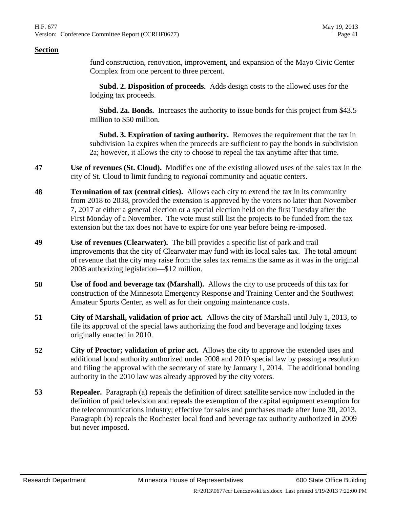fund construction, renovation, improvement, and expansion of the Mayo Civic Center Complex from one percent to three percent.

 **Subd. 2. Disposition of proceeds.** Adds design costs to the allowed uses for the lodging tax proceeds.

 **Subd. 2a. Bonds.** Increases the authority to issue bonds for this project from \$43.5 million to \$50 million.

 **Subd. 3. Expiration of taxing authority.** Removes the requirement that the tax in subdivision 1a expires when the proceeds are sufficient to pay the bonds in subdivision 2a; however, it allows the city to choose to repeal the tax anytime after that time.

- **47 Use of revenues (St. Cloud).** Modifies one of the existing allowed uses of the sales tax in the city of St. Cloud to limit funding to *regional* community and aquatic centers.
- **48 Termination of tax (central cities).** Allows each city to extend the tax in its community from 2018 to 2038, provided the extension is approved by the voters no later than November 7, 2017 at either a general election or a special election held on the first Tuesday after the First Monday of a November. The vote must still list the projects to be funded from the tax extension but the tax does not have to expire for one year before being re-imposed.
- **49 Use of revenues (Clearwater).** The bill provides a specific list of park and trail improvements that the city of Clearwater may fund with its local sales tax. The total amount of revenue that the city may raise from the sales tax remains the same as it was in the original 2008 authorizing legislation—\$12 million.
- **50 Use of food and beverage tax (Marshall).** Allows the city to use proceeds of this tax for construction of the Minnesota Emergency Response and Training Center and the Southwest Amateur Sports Center, as well as for their ongoing maintenance costs.
- **51 City of Marshall, validation of prior act.** Allows the city of Marshall until July 1, 2013, to file its approval of the special laws authorizing the food and beverage and lodging taxes originally enacted in 2010.
- **52 City of Proctor; validation of prior act.** Allows the city to approve the extended uses and additional bond authority authorized under 2008 and 2010 special law by passing a resolution and filing the approval with the secretary of state by January 1, 2014. The additional bonding authority in the 2010 law was already approved by the city voters.
- **53 Repealer.** Paragraph (a) repeals the definition of direct satellite service now included in the definition of paid television and repeals the exemption of the capital equipment exemption for the telecommunications industry; effective for sales and purchases made after June 30, 2013. Paragraph (b) repeals the Rochester local food and beverage tax authority authorized in 2009 but never imposed.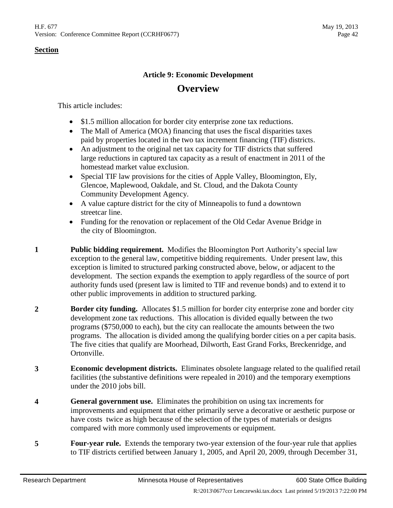# **Article 9: Economic Development Overview**

This article includes:

- \$1.5 million allocation for border city enterprise zone tax reductions.
- The Mall of America (MOA) financing that uses the fiscal disparities taxes paid by properties located in the two tax increment financing (TIF) districts.
- An adjustment to the original net tax capacity for TIF districts that suffered large reductions in captured tax capacity as a result of enactment in 2011 of the homestead market value exclusion.
- Special TIF law provisions for the cities of Apple Valley, Bloomington, Ely, Glencoe, Maplewood, Oakdale, and St. Cloud, and the Dakota County Community Development Agency.
- A value capture district for the city of Minneapolis to fund a downtown streetcar line.
- Funding for the renovation or replacement of the Old Cedar Avenue Bridge in the city of Bloomington.
- **1 Public bidding requirement.** Modifies the Bloomington Port Authority's special law exception to the general law, competitive bidding requirements. Under present law, this exception is limited to structured parking constructed above, below, or adjacent to the development. The section expands the exemption to apply regardless of the source of port authority funds used (present law is limited to TIF and revenue bonds) and to extend it to other public improvements in addition to structured parking.
- **2 Border city funding.** Allocates \$1.5 million for border city enterprise zone and border city development zone tax reductions. This allocation is divided equally between the two programs (\$750,000 to each), but the city can reallocate the amounts between the two programs. The allocation is divided among the qualifying border cities on a per capita basis. The five cities that qualify are Moorhead, Dilworth, East Grand Forks, Breckenridge, and Ortonville.
- **3 Economic development districts.** Eliminates obsolete language related to the qualified retail facilities (the substantive definitions were repealed in 2010) and the temporary exemptions under the 2010 jobs bill.
- **4 General government use.** Eliminates the prohibition on using tax increments for improvements and equipment that either primarily serve a decorative or aesthetic purpose or have costs twice as high because of the selection of the types of materials or designs compared with more commonly used improvements or equipment.
- **5 Four-year rule.** Extends the temporary two-year extension of the four-year rule that applies to TIF districts certified between January 1, 2005, and April 20, 2009, through December 31,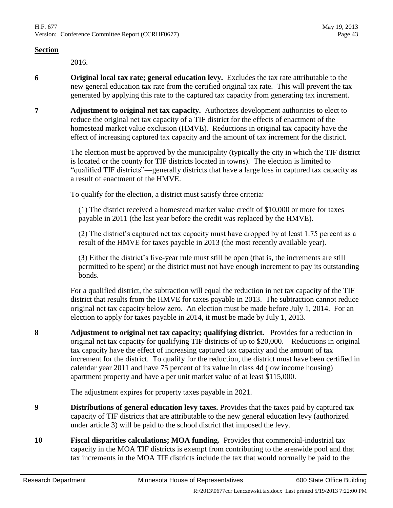2016.

- **6 Original local tax rate; general education levy.** Excludes the tax rate attributable to the new general education tax rate from the certified original tax rate. This will prevent the tax generated by applying this rate to the captured tax capacity from generating tax increment.
- **7 Adjustment to original net tax capacity.** Authorizes development authorities to elect to reduce the original net tax capacity of a TIF district for the effects of enactment of the homestead market value exclusion (HMVE). Reductions in original tax capacity have the effect of increasing captured tax capacity and the amount of tax increment for the district.

The election must be approved by the municipality (typically the city in which the TIF district is located or the county for TIF districts located in towns). The election is limited to "qualified TIF districts"—generally districts that have a large loss in captured tax capacity as a result of enactment of the HMVE.

To qualify for the election, a district must satisfy three criteria:

(1) The district received a homestead market value credit of \$10,000 or more for taxes payable in 2011 (the last year before the credit was replaced by the HMVE).

(2) The district's captured net tax capacity must have dropped by at least 1.75 percent as a result of the HMVE for taxes payable in 2013 (the most recently available year).

(3) Either the district's five-year rule must still be open (that is, the increments are still permitted to be spent) or the district must not have enough increment to pay its outstanding bonds.

For a qualified district, the subtraction will equal the reduction in net tax capacity of the TIF district that results from the HMVE for taxes payable in 2013. The subtraction cannot reduce original net tax capacity below zero. An election must be made before July 1, 2014. For an election to apply for taxes payable in 2014, it must be made by July 1, 2013.

**8 Adjustment to original net tax capacity; qualifying district.** Provides for a reduction in original net tax capacity for qualifying TIF districts of up to \$20,000. Reductions in original tax capacity have the effect of increasing captured tax capacity and the amount of tax increment for the district. To qualify for the reduction, the district must have been certified in calendar year 2011 and have 75 percent of its value in class 4d (low income housing) apartment property and have a per unit market value of at least \$115,000.

The adjustment expires for property taxes payable in 2021.

- **9 Distributions of general education levy taxes.** Provides that the taxes paid by captured tax capacity of TIF districts that are attributable to the new general education levy (authorized under article 3) will be paid to the school district that imposed the levy.
- <span id="page-42-0"></span>**10 Fiscal disparities calculations; MOA funding.** Provides that commercial-industrial tax capacity in the MOA TIF districts is exempt from contributing to the areawide pool and that tax increments in the MOA TIF districts include the tax that would normally be paid to the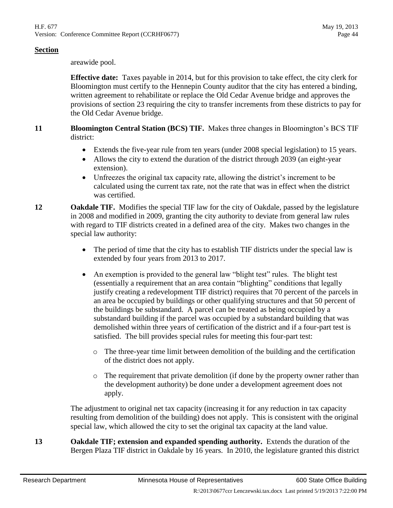areawide pool.

**Effective date:** Taxes payable in 2014, but for this provision to take effect, the city clerk for Bloomington must certify to the Hennepin County auditor that the city has entered a binding, written agreement to rehabilitate or replace the Old Cedar Avenue bridge and approves the provisions of section [23](#page-47-0) requiring the city to transfer increments from these districts to pay for the Old Cedar Avenue bridge.

# **11 Bloomington Central Station (BCS) TIF.** Makes three changes in Bloomington's BCS TIF district:

- Extends the five-year rule from ten years (under 2008 special legislation) to 15 years.
- Allows the city to extend the duration of the district through 2039 (an eight-year extension).
- Unfreezes the original tax capacity rate, allowing the district's increment to be calculated using the current tax rate, not the rate that was in effect when the district was certified.
- 12 **Oakdale TIF.** Modifies the special TIF law for the city of Oakdale, passed by the legislature in 2008 and modified in 2009, granting the city authority to deviate from general law rules with regard to TIF districts created in a defined area of the city. Makes two changes in the special law authority:
	- The period of time that the city has to establish TIF districts under the special law is extended by four years from 2013 to 2017.
	- An exemption is provided to the general law "blight test" rules. The blight test (essentially a requirement that an area contain "blighting" conditions that legally justify creating a redevelopment TIF district) requires that 70 percent of the parcels in an area be occupied by buildings or other qualifying structures and that 50 percent of the buildings be substandard. A parcel can be treated as being occupied by a substandard building if the parcel was occupied by a substandard building that was demolished within three years of certification of the district and if a four-part test is satisfied. The bill provides special rules for meeting this four-part test:
		- o The three-year time limit between demolition of the building and the certification of the district does not apply.
		- $\circ$  The requirement that private demolition (if done by the property owner rather than the development authority) be done under a development agreement does not apply.

The adjustment to original net tax capacity (increasing it for any reduction in tax capacity resulting from demolition of the building) does not apply. This is consistent with the original special law, which allowed the city to set the original tax capacity at the land value.

**13 Oakdale TIF; extension and expanded spending authority.** Extends the duration of the Bergen Plaza TIF district in Oakdale by 16 years. In 2010, the legislature granted this district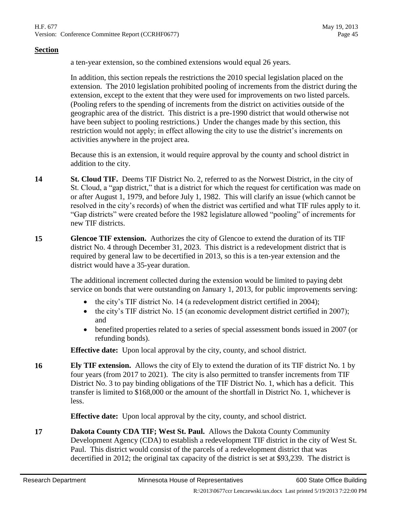a ten-year extension, so the combined extensions would equal 26 years.

In addition, this section repeals the restrictions the 2010 special legislation placed on the extension. The 2010 legislation prohibited pooling of increments from the district during the extension, except to the extent that they were used for improvements on two listed parcels. (Pooling refers to the spending of increments from the district on activities outside of the geographic area of the district. This district is a pre-1990 district that would otherwise not have been subject to pooling restrictions.) Under the changes made by this section, this restriction would not apply; in effect allowing the city to use the district's increments on activities anywhere in the project area.

Because this is an extension, it would require approval by the county and school district in addition to the city.

- **14 St. Cloud TIF.** Deems TIF District No. 2, referred to as the Norwest District, in the city of St. Cloud, a "gap district," that is a district for which the request for certification was made on or after August 1, 1979, and before July 1, 1982. This will clarify an issue (which cannot be resolved in the city's records) of when the district was certified and what TIF rules apply to it. "Gap districts" were created before the 1982 legislature allowed "pooling" of increments for new TIF districts.
- **15 Glencoe TIF extension.** Authorizes the city of Glencoe to extend the duration of its TIF district No. 4 through December 31, 2023. This district is a redevelopment district that is required by general law to be decertified in 2013, so this is a ten-year extension and the district would have a 35-year duration.

The additional increment collected during the extension would be limited to paying debt service on bonds that were outstanding on January 1, 2013, for public improvements serving:

- the city's TIF district No. 14 (a redevelopment district certified in 2004);
- the city's TIF district No. 15 (an economic development district certified in 2007); and
- benefited properties related to a series of special assessment bonds issued in 2007 (or refunding bonds).

**Effective date:** Upon local approval by the city, county, and school district.

**16 Ely TIF extension.** Allows the city of Ely to extend the duration of its TIF district No. 1 by four years (from 2017 to 2021). The city is also permitted to transfer increments from TIF District No. 3 to pay binding obligations of the TIF District No. 1, which has a deficit. This transfer is limited to \$168,000 or the amount of the shortfall in District No. 1, whichever is less.

**Effective date:** Upon local approval by the city, county, and school district.

**17 Dakota County CDA TIF; West St. Paul.** Allows the Dakota County Community Development Agency (CDA) to establish a redevelopment TIF district in the city of West St. Paul. This district would consist of the parcels of a redevelopment district that was decertified in 2012; the original tax capacity of the district is set at \$93,239. The district is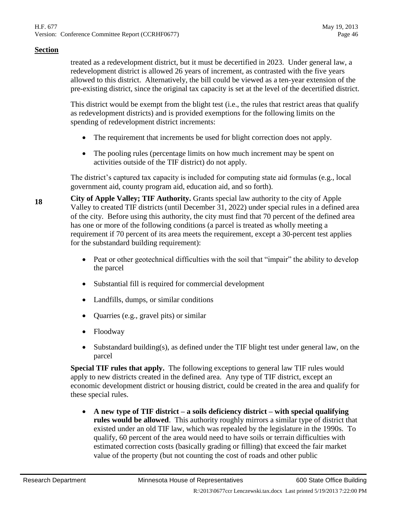treated as a redevelopment district, but it must be decertified in 2023. Under general law, a redevelopment district is allowed 26 years of increment, as contrasted with the five years allowed to this district. Alternatively, the bill could be viewed as a ten-year extension of the pre-existing district, since the original tax capacity is set at the level of the decertified district.

This district would be exempt from the blight test (i.e., the rules that restrict areas that qualify as redevelopment districts) and is provided exemptions for the following limits on the spending of redevelopment district increments:

- The requirement that increments be used for blight correction does not apply.
- The pooling rules (percentage limits on how much increment may be spent on activities outside of the TIF district) do not apply.

The district's captured tax capacity is included for computing state aid formulas (e.g., local government aid, county program aid, education aid, and so forth).

**<sup>18</sup> City of Apple Valley; TIF Authority.** Grants special law authority to the city of Apple Valley to created TIF districts (until December 31, 2022) under special rules in a defined area of the city. Before using this authority, the city must find that 70 percent of the defined area has one or more of the following conditions (a parcel is treated as wholly meeting a requirement if 70 percent of its area meets the requirement, except a 30-percent test applies for the substandard building requirement):

- Peat or other geotechnical difficulties with the soil that "impair" the ability to develop the parcel
- Substantial fill is required for commercial development
- Landfills, dumps, or similar conditions
- Quarries (e.g., gravel pits) or similar
- Floodway
- Substandard building(s), as defined under the TIF blight test under general law, on the parcel

**Special TIF rules that apply.** The following exceptions to general law TIF rules would apply to new districts created in the defined area. Any type of TIF district, except an economic development district or housing district, could be created in the area and qualify for these special rules.

 **A new type of TIF district – a soils deficiency district – with special qualifying rules would be allowed**. This authority roughly mirrors a similar type of district that existed under an old TIF law, which was repealed by the legislature in the 1990s. To qualify, 60 percent of the area would need to have soils or terrain difficulties with estimated correction costs (basically grading or filling) that exceed the fair market value of the property (but not counting the cost of roads and other public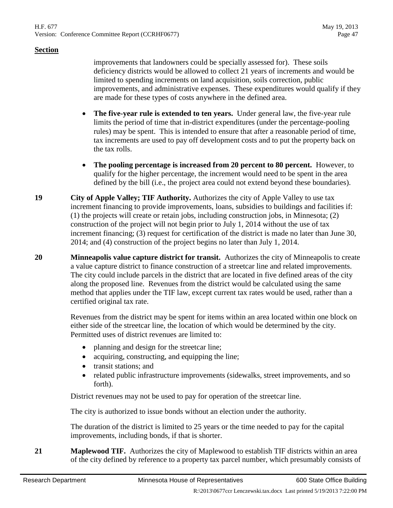improvements that landowners could be specially assessed for). These soils deficiency districts would be allowed to collect 21 years of increments and would be limited to spending increments on land acquisition, soils correction, public improvements, and administrative expenses. These expenditures would qualify if they are made for these types of costs anywhere in the defined area.

- **The five-year rule is extended to ten years.** Under general law, the five-year rule limits the period of time that in-district expenditures (under the percentage-pooling rules) may be spent. This is intended to ensure that after a reasonable period of time, tax increments are used to pay off development costs and to put the property back on the tax rolls.
- **The pooling percentage is increased from 20 percent to 80 percent.** However, to qualify for the higher percentage, the increment would need to be spent in the area defined by the bill (i.e., the project area could not extend beyond these boundaries).
- **19 City of Apple Valley; TIF Authority.** Authorizes the city of Apple Valley to use tax increment financing to provide improvements, loans, subsidies to buildings and facilities if: (1) the projects will create or retain jobs, including construction jobs, in Minnesota; (2) construction of the project will not begin prior to July 1, 2014 without the use of tax increment financing; (3) request for certification of the district is made no later than June 30, 2014; and (4) construction of the project begins no later than July 1, 2014.
- **20 Minneapolis value capture district for transit.** Authorizes the city of Minneapolis to create a value capture district to finance construction of a streetcar line and related improvements. The city could include parcels in the district that are located in five defined areas of the city along the proposed line. Revenues from the district would be calculated using the same method that applies under the TIF law, except current tax rates would be used, rather than a certified original tax rate.

Revenues from the district may be spent for items within an area located within one block on either side of the streetcar line, the location of which would be determined by the city. Permitted uses of district revenues are limited to:

- planning and design for the streetcar line;
- acquiring, constructing, and equipping the line;
- transit stations; and
- related public infrastructure improvements (sidewalks, street improvements, and so forth).

District revenues may not be used to pay for operation of the streetcar line.

The city is authorized to issue bonds without an election under the authority.

The duration of the district is limited to 25 years or the time needed to pay for the capital improvements, including bonds, if that is shorter.

**21 Maplewood TIF.** Authorizes the city of Maplewood to establish TIF districts within an area of the city defined by reference to a property tax parcel number, which presumably consists of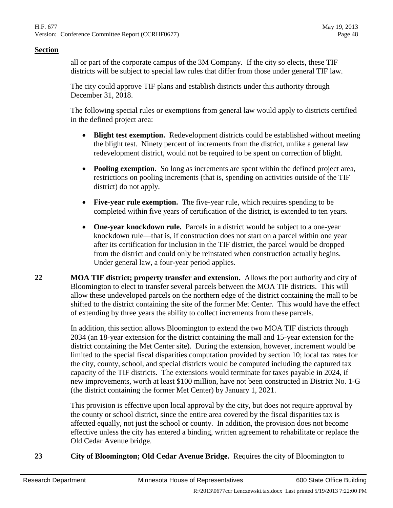all or part of the corporate campus of the 3M Company. If the city so elects, these TIF districts will be subject to special law rules that differ from those under general TIF law.

The city could approve TIF plans and establish districts under this authority through December 31, 2018.

The following special rules or exemptions from general law would apply to districts certified in the defined project area:

- **Blight test exemption.** Redevelopment districts could be established without meeting the blight test. Ninety percent of increments from the district, unlike a general law redevelopment district, would not be required to be spent on correction of blight.
- **Pooling exemption.** So long as increments are spent within the defined project area, restrictions on pooling increments (that is, spending on activities outside of the TIF district) do not apply.
- **Five-year rule exemption.** The five-year rule, which requires spending to be completed within five years of certification of the district, is extended to ten years.
- **One-year knockdown rule.** Parcels in a district would be subject to a one-year knockdown rule—that is, if construction does not start on a parcel within one year after its certification for inclusion in the TIF district, the parcel would be dropped from the district and could only be reinstated when construction actually begins. Under general law, a four-year period applies.
- **22 MOA TIF district; property transfer and extension.** Allows the port authority and city of Bloomington to elect to transfer several parcels between the MOA TIF districts. This will allow these undeveloped parcels on the northern edge of the district containing the mall to be shifted to the district containing the site of the former Met Center. This would have the effect of extending by three years the ability to collect increments from these parcels.

In addition, this section allows Bloomington to extend the two MOA TIF districts through 2034 (an 18-year extension for the district containing the mall and 15-year extension for the district containing the Met Center site). During the extension, however, increment would be limited to the special fiscal disparities computation provided by section [10;](#page-42-0) local tax rates for the city, county, school, and special districts would be computed including the captured tax capacity of the TIF districts. The extensions would terminate for taxes payable in 2024, if new improvements, worth at least \$100 million, have not been constructed in District No. 1-G (the district containing the former Met Center) by January 1, 2021.

This provision is effective upon local approval by the city, but does not require approval by the county or school district, since the entire area covered by the fiscal disparities tax is affected equally, not just the school or county. In addition, the provision does not become effective unless the city has entered a binding, written agreement to rehabilitate or replace the Old Cedar Avenue bridge.

<span id="page-47-0"></span>**23 City of Bloomington; Old Cedar Avenue Bridge.** Requires the city of Bloomington to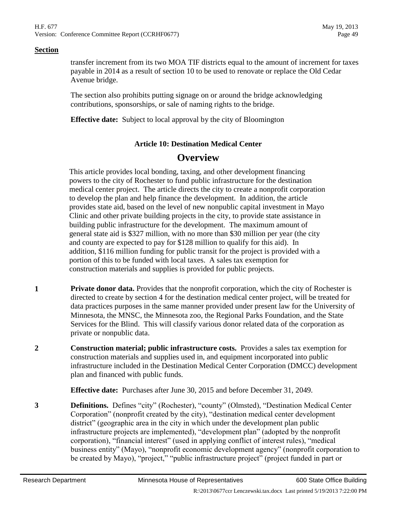transfer increment from its two MOA TIF districts equal to the amount of increment for taxes payable in 2014 as a result of section [10](#page-42-0) to be used to renovate or replace the Old Cedar Avenue bridge.

The section also prohibits putting signage on or around the bridge acknowledging contributions, sponsorships, or sale of naming rights to the bridge.

**Effective date:** Subject to local approval by the city of Bloomington

# **Article 10: Destination Medical Center**

# **Overview**

This article provides local bonding, taxing, and other development financing powers to the city of Rochester to fund public infrastructure for the destination medical center project. The article directs the city to create a nonprofit corporation to develop the plan and help finance the development. In addition, the article provides state aid, based on the level of new nonpublic capital investment in Mayo Clinic and other private building projects in the city, to provide state assistance in building public infrastructure for the development. The maximum amount of general state aid is \$327 million, with no more than \$30 million per year (the city and county are expected to pay for \$128 million to qualify for this aid). In addition, \$116 million funding for public transit for the project is provided with a portion of this to be funded with local taxes. A sales tax exemption for construction materials and supplies is provided for public projects.

- **1 Private donor data.** Provides that the nonprofit corporation, which the city of Rochester is directed to create by section [4](#page-49-0) for the destination medical center project, will be treated for data practices purposes in the same manner provided under present law for the University of Minnesota, the MNSC, the Minnesota zoo, the Regional Parks Foundation, and the State Services for the Blind. This will classify various donor related data of the corporation as private or nonpublic data.
- **2 Construction material; public infrastructure costs.** Provides a sales tax exemption for construction materials and supplies used in, and equipment incorporated into public infrastructure included in the Destination Medical Center Corporation (DMCC) development plan and financed with public funds.

**Effective date:** Purchases after June 30, 2015 and before December 31, 2049.

**3 Definitions.** Defines "city" (Rochester), "county" (Olmsted), "Destination Medical Center Corporation" (nonprofit created by the city), "destination medical center development district" (geographic area in the city in which under the development plan public infrastructure projects are implemented), "development plan" (adopted by the nonprofit corporation), "financial interest" (used in applying conflict of interest rules), "medical business entity" (Mayo), "nonprofit economic development agency" (nonprofit corporation to be created by Mayo), "project," "public infrastructure project" (project funded in part or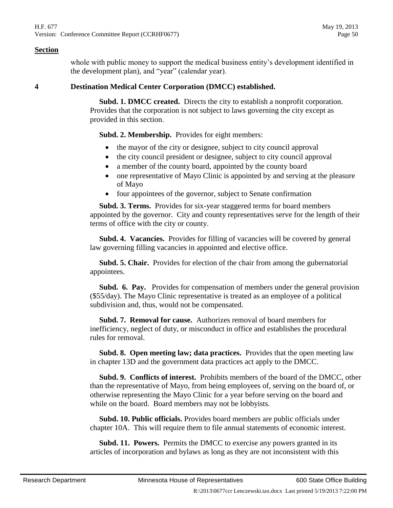whole with public money to support the medical business entity's development identified in the development plan), and "year" (calendar year).

# <span id="page-49-0"></span>**4 Destination Medical Center Corporation (DMCC) established.**

 **Subd. 1. DMCC created.** Directs the city to establish a nonprofit corporation. Provides that the corporation is not subject to laws governing the city except as provided in this section.

**Subd. 2. Membership.** Provides for eight members:

- the mayor of the city or designee, subject to city council approval
- the city council president or designee, subject to city council approval
- a member of the county board, appointed by the county board
- one representative of Mayo Clinic is appointed by and serving at the pleasure of Mayo
- four appointees of the governor, subject to Senate confirmation

 **Subd. 3. Terms.** Provides for six-year staggered terms for board members appointed by the governor. City and county representatives serve for the length of their terms of office with the city or county.

 **Subd. 4. Vacancies.** Provides for filling of vacancies will be covered by general law governing filling vacancies in appointed and elective office.

 **Subd. 5. Chair.** Provides for election of the chair from among the gubernatorial appointees.

 **Subd. 6. Pay.** Provides for compensation of members under the general provision (\$55/day). The Mayo Clinic representative is treated as an employee of a political subdivision and, thus, would not be compensated.

 **Subd. 7. Removal for cause.** Authorizes removal of board members for inefficiency, neglect of duty, or misconduct in office and establishes the procedural rules for removal.

 **Subd. 8. Open meeting law; data practices.** Provides that the open meeting law in chapter 13D and the government data practices act apply to the DMCC.

 **Subd. 9. Conflicts of interest.** Prohibits members of the board of the DMCC, other than the representative of Mayo, from being employees of, serving on the board of, or otherwise representing the Mayo Clinic for a year before serving on the board and while on the board. Board members may not be lobbyists.

 **Subd. 10. Public officials.** Provides board members are public officials under chapter 10A. This will require them to file annual statements of economic interest.

 **Subd. 11. Powers.** Permits the DMCC to exercise any powers granted in its articles of incorporation and bylaws as long as they are not inconsistent with this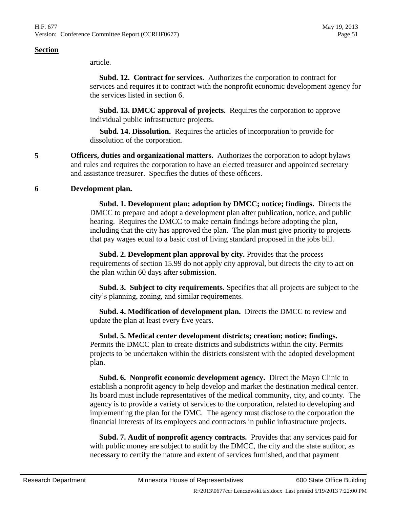article.

 **Subd. 12. Contract for services.** Authorizes the corporation to contract for services and requires it to contract with the nonprofit economic development agency for the services listed in section [6.](#page-50-0)

 **Subd. 13. DMCC approval of projects.** Requires the corporation to approve individual public infrastructure projects.

 **Subd. 14. Dissolution.** Requires the articles of incorporation to provide for dissolution of the corporation.

**5 Officers, duties and organizational matters.** Authorizes the corporation to adopt bylaws and rules and requires the corporation to have an elected treasurer and appointed secretary and assistance treasurer. Specifies the duties of these officers.

# <span id="page-50-0"></span>**6 Development plan.**

 **Subd. 1. Development plan; adoption by DMCC; notice; findings.** Directs the DMCC to prepare and adopt a development plan after publication, notice, and public hearing. Requires the DMCC to make certain findings before adopting the plan, including that the city has approved the plan. The plan must give priority to projects that pay wages equal to a basic cost of living standard proposed in the jobs bill.

 **Subd. 2. Development plan approval by city.** Provides that the process requirements of section 15.99 do not apply city approval, but directs the city to act on the plan within 60 days after submission.

 **Subd. 3. Subject to city requirements.** Specifies that all projects are subject to the city's planning, zoning, and similar requirements.

 **Subd. 4. Modification of development plan.** Directs the DMCC to review and update the plan at least every five years.

 **Subd. 5. Medical center development districts; creation; notice; findings.** Permits the DMCC plan to create districts and subdistricts within the city. Permits projects to be undertaken within the districts consistent with the adopted development plan.

 **Subd. 6. Nonprofit economic development agency.** Direct the Mayo Clinic to establish a nonprofit agency to help develop and market the destination medical center. Its board must include representatives of the medical community, city, and county. The agency is to provide a variety of services to the corporation, related to developing and implementing the plan for the DMC. The agency must disclose to the corporation the financial interests of its employees and contractors in public infrastructure projects.

 **Subd. 7. Audit of nonprofit agency contracts.** Provides that any services paid for with public money are subject to audit by the DMCC, the city and the state auditor, as necessary to certify the nature and extent of services furnished, and that payment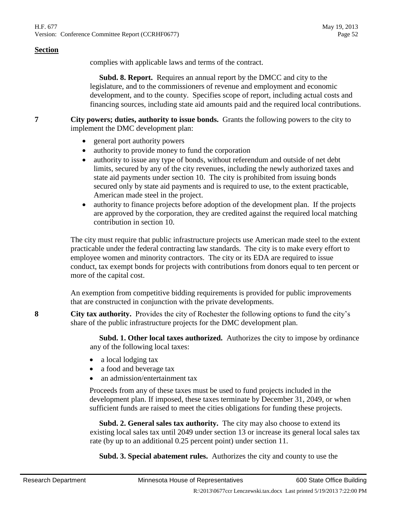complies with applicable laws and terms of the contract.

 **Subd. 8. Report.** Requires an annual report by the DMCC and city to the legislature, and to the commissioners of revenue and employment and economic development, and to the county. Specifies scope of report, including actual costs and financing sources, including state aid amounts paid and the required local contributions.

**7 City powers; duties, authority to issue bonds.** Grants the following powers to the city to implement the DMC development plan:

- general port authority powers
- authority to provide money to fund the corporation
- authority to issue any type of bonds, without referendum and outside of net debt limits, secured by any of the city revenues, including the newly authorized taxes and state aid payments under section [10.](#page-52-0) The city is prohibited from issuing bonds secured only by state aid payments and is required to use, to the extent practicable, American made steel in the project.
- authority to finance projects before adoption of the development plan. If the projects are approved by the corporation, they are credited against the required local matching contribution in section [10.](#page-52-0)

The city must require that public infrastructure projects use American made steel to the extent practicable under the federal contracting law standards. The city is to make every effort to employee women and minority contractors. The city or its EDA are required to issue conduct, tax exempt bonds for projects with contributions from donors equal to ten percent or more of the capital cost.

An exemption from competitive bidding requirements is provided for public improvements that are constructed in conjunction with the private developments.

**8 City tax authority.** Provides the city of Rochester the following options to fund the city's share of the public infrastructure projects for the DMC development plan.

> **Subd. 1. Other local taxes authorized.** Authorizes the city to impose by ordinance any of the following local taxes:

- a local lodging tax
- a food and beverage tax
- an admission/entertainment tax

Proceeds from any of these taxes must be used to fund projects included in the development plan. If imposed, these taxes terminate by December 31, 2049, or when sufficient funds are raised to meet the cities obligations for funding these projects.

 **Subd. 2. General sales tax authority.** The city may also choose to extend its existing local sales tax until 2049 under section [13](#page-54-0) or increase its general local sales tax rate (by up to an additional 0.25 percent point) under section [11.](#page-54-1)

**Subd. 3. Special abatement rules.** Authorizes the city and county to use the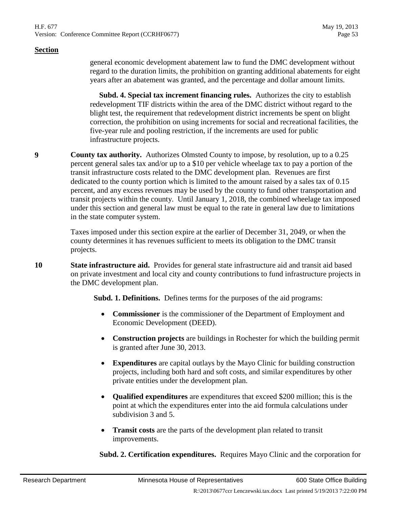#### H.F. 677 May 19, 2013 Version: Conference Committee Report (CCRHF0677) Page 53

#### **Section**

general economic development abatement law to fund the DMC development without regard to the duration limits, the prohibition on granting additional abatements for eight years after an abatement was granted, and the percentage and dollar amount limits.

 **Subd. 4. Special tax increment financing rules.** Authorizes the city to establish redevelopment TIF districts within the area of the DMC district without regard to the blight test, the requirement that redevelopment district increments be spent on blight correction, the prohibition on using increments for social and recreational facilities, the five-year rule and pooling restriction, if the increments are used for public infrastructure projects.

**9 County tax authority.** Authorizes Olmsted County to impose, by resolution, up to a 0.25 percent general sales tax and/or up to a \$10 per vehicle wheelage tax to pay a portion of the transit infrastructure costs related to the DMC development plan. Revenues are first dedicated to the county portion which is limited to the amount raised by a sales tax of 0.15 percent, and any excess revenues may be used by the county to fund other transportation and transit projects within the county. Until January 1, 2018, the combined wheelage tax imposed under this section and general law must be equal to the rate in general law due to limitations in the state computer system.

> Taxes imposed under this section expire at the earlier of December 31, 2049, or when the county determines it has revenues sufficient to meets its obligation to the DMC transit projects.

<span id="page-52-0"></span>**10 State infrastructure aid.** Provides for general state infrastructure aid and transit aid based on private investment and local city and county contributions to fund infrastructure projects in the DMC development plan.

**Subd. 1. Definitions.** Defines terms for the purposes of the aid programs:

- **Commissioner** is the commissioner of the Department of Employment and Economic Development (DEED).
- **Construction projects** are buildings in Rochester for which the building permit is granted after June 30, 2013.
- **Expenditures** are capital outlays by the Mayo Clinic for building construction projects, including both hard and soft costs, and similar expenditures by other private entities under the development plan.
- **Qualified expenditures** are expenditures that exceed \$200 million; this is the point at which the expenditures enter into the aid formula calculations under subdivision 3 and 5.
- **Transit costs** are the parts of the development plan related to transit improvements.

 **Subd. 2. Certification expenditures.** Requires Mayo Clinic and the corporation for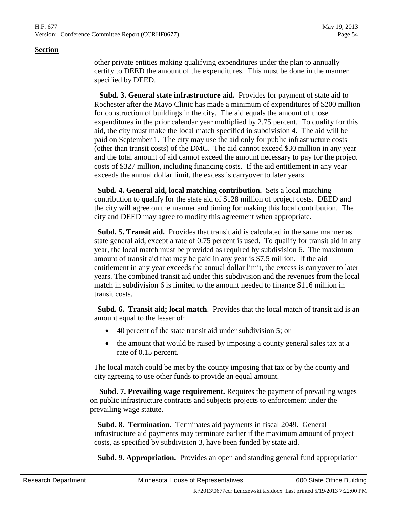other private entities making qualifying expenditures under the plan to annually certify to DEED the amount of the expenditures. This must be done in the manner specified by DEED.

 **Subd. 3. General state infrastructure aid.** Provides for payment of state aid to Rochester after the Mayo Clinic has made a minimum of expenditures of \$200 million for construction of buildings in the city. The aid equals the amount of those expenditures in the prior calendar year multiplied by 2.75 percent. To qualify for this aid, the city must make the local match specified in subdivision 4. The aid will be paid on September 1. The city may use the aid only for public infrastructure costs (other than transit costs) of the DMC. The aid cannot exceed \$30 million in any year and the total amount of aid cannot exceed the amount necessary to pay for the project costs of \$327 million, including financing costs. If the aid entitlement in any year exceeds the annual dollar limit, the excess is carryover to later years.

 **Subd. 4. General aid, local matching contribution.** Sets a local matching contribution to qualify for the state aid of \$128 million of project costs. DEED and the city will agree on the manner and timing for making this local contribution. The city and DEED may agree to modify this agreement when appropriate.

 **Subd. 5. Transit aid.** Provides that transit aid is calculated in the same manner as state general aid, except a rate of 0.75 percent is used. To qualify for transit aid in any year, the local match must be provided as required by subdivision 6. The maximum amount of transit aid that may be paid in any year is \$7.5 million. If the aid entitlement in any year exceeds the annual dollar limit, the excess is carryover to later years. The combined transit aid under this subdivision and the revenues from the local match in subdivision 6 is limited to the amount needed to finance \$116 million in transit costs.

 **Subd. 6. Transit aid; local match**. Provides that the local match of transit aid is an amount equal to the lesser of:

- 40 percent of the state transit aid under subdivision 5; or
- the amount that would be raised by imposing a county general sales tax at a rate of 0.15 percent.

The local match could be met by the county imposing that tax or by the county and city agreeing to use other funds to provide an equal amount.

 **Subd. 7. Prevailing wage requirement.** Requires the payment of prevailing wages on public infrastructure contracts and subjects projects to enforcement under the prevailing wage statute.

 **Subd. 8. Termination.** Terminates aid payments in fiscal 2049. General infrastructure aid payments may terminate earlier if the maximum amount of project costs, as specified by subdivision 3, have been funded by state aid.

 **Subd. 9. Appropriation.** Provides an open and standing general fund appropriation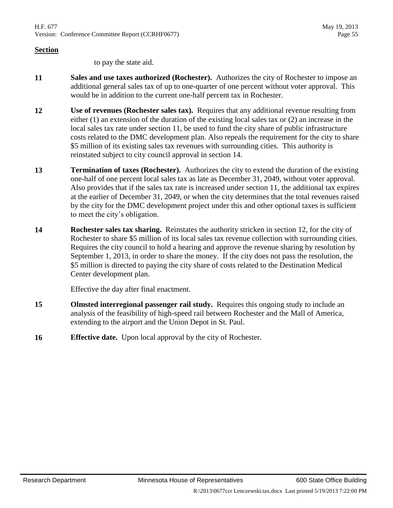to pay the state aid.

- <span id="page-54-1"></span>11 **Sales and use taxes authorized (Rochester).** Authorizes the city of Rochester to impose an additional general sales tax of up to one-quarter of one percent without voter approval. This would be in addition to the current one-half percent tax in Rochester.
- <span id="page-54-3"></span>**12 Use of revenues (Rochester sales tax).** Requires that any additional revenue resulting from either (1) an extension of the duration of the existing local sales tax or (2) an increase in the local sales tax rate under section [11,](#page-54-1) be used to fund the city share of public infrastructure costs related to the DMC development plan. Also repeals the requirement for the city to share \$5 million of its existing sales tax revenues with surrounding cities. This authority is reinstated subject to city council approval in section [14.](#page-54-2)
- <span id="page-54-0"></span>**13 Termination of taxes (Rochester).** Authorizes the city to extend the duration of the existing one-half of one percent local sales tax as late as December 31, 2049, without voter approval. Also provides that if the sales tax rate is increased under section [11,](#page-54-1) the additional tax expires at the earlier of December 31, 2049, or when the city determines that the total revenues raised by the city for the DMC development project under this and other optional taxes is sufficient to meet the city's obligation.
- <span id="page-54-2"></span>**14 Rochester sales tax sharing.** Reinstates the authority stricken in section [12,](#page-54-3) for the city of Rochester to share \$5 million of its local sales tax revenue collection with surrounding cities. Requires the city council to hold a hearing and approve the revenue sharing by resolution by September 1, 2013, in order to share the money. If the city does not pass the resolution, the \$5 million is directed to paying the city share of costs related to the Destination Medical Center development plan.

Effective the day after final enactment.

- **15 Olmsted interregional passenger rail study.** Requires this ongoing study to include an analysis of the feasibility of high-speed rail between Rochester and the Mall of America, extending to the airport and the Union Depot in St. Paul.
- **16 Effective date.** Upon local approval by the city of Rochester.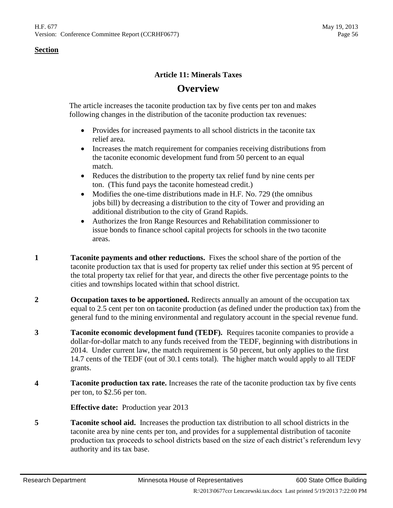# **Article 11: Minerals Taxes**

# **Overview**

The article increases the taconite production tax by five cents per ton and makes following changes in the distribution of the taconite production tax revenues:

- Provides for increased payments to all school districts in the taconite tax relief area.
- Increases the match requirement for companies receiving distributions from the taconite economic development fund from 50 percent to an equal match.
- Reduces the distribution to the property tax relief fund by nine cents per ton. (This fund pays the taconite homestead credit.)
- Modifies the one-time distributions made in H.F. No. 729 (the omnibus jobs bill) by decreasing a distribution to the city of Tower and providing an additional distribution to the city of Grand Rapids.
- Authorizes the Iron Range Resources and Rehabilitation commissioner to issue bonds to finance school capital projects for schools in the two taconite areas.
- **1 Taconite payments and other reductions.** Fixes the school share of the portion of the taconite production tax that is used for property tax relief under this section at 95 percent of the total property tax relief for that year, and directs the other five percentage points to the cities and townships located within that school district.
- **2 Cocupation taxes to be apportioned.** Redirects annually an amount of the occupation tax equal to 2.5 cent per ton on taconite production (as defined under the production tax) from the general fund to the mining environmental and regulatory account in the special revenue fund.
- **3 Taconite economic development fund (TEDF).** Requires taconite companies to provide a dollar-for-dollar match to any funds received from the TEDF, beginning with distributions in 2014. Under current law, the match requirement is 50 percent, but only applies to the first 14.7 cents of the TEDF (out of 30.1 cents total). The higher match would apply to all TEDF grants.
- **4 Taconite production tax rate.** Increases the rate of the taconite production tax by five cents per ton, to \$2.56 per ton.

**Effective date:** Production year 2013

<span id="page-55-0"></span>**5 Taconite school aid.** Increases the production tax distribution to all school districts in the taconite area by nine cents per ton, and provides for a supplemental distribution of taconite production tax proceeds to school districts based on the size of each district's referendum levy authority and its tax base.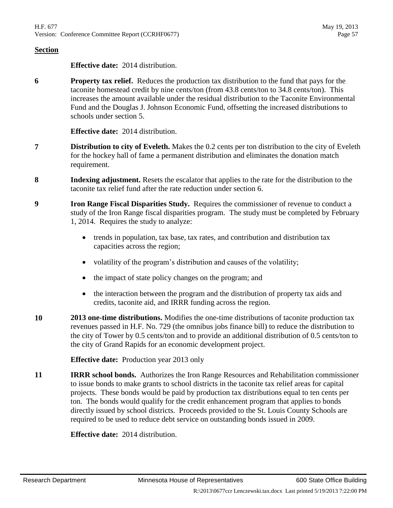**Effective date:** 2014 distribution.

<span id="page-56-0"></span>**6 Property tax relief.** Reduces the production tax distribution to the fund that pays for the taconite homestead credit by nine cents/ton (from 43.8 cents/ton to 34.8 cents/ton). This increases the amount available under the residual distribution to the Taconite Environmental Fund and the Douglas J. Johnson Economic Fund, offsetting the increased distributions to schools under section [5.](#page-55-0)

**Effective date:** 2014 distribution.

- **7 Distribution to city of Eveleth.** Makes the 0.2 cents per ton distribution to the city of Eveleth for the hockey hall of fame a permanent distribution and eliminates the donation match requirement.
- **8 Indexing adjustment.** Resets the escalator that applies to the rate for the distribution to the taconite tax relief fund after the rate reduction under section [6.](#page-56-0)
- **9 Iron Range Fiscal Disparities Study.** Requires the commissioner of revenue to conduct a study of the Iron Range fiscal disparities program. The study must be completed by February 1, 2014. Requires the study to analyze:
	- trends in population, tax base, tax rates, and contribution and distribution tax capacities across the region;
	- volatility of the program's distribution and causes of the volatility;
	- the impact of state policy changes on the program; and
	- the interaction between the program and the distribution of property tax aids and credits, taconite aid, and IRRR funding across the region.
- **10 2013 one-time distributions.** Modifies the one-time distributions of taconite production tax revenues passed in H.F. No. 729 (the omnibus jobs finance bill) to reduce the distribution to the city of Tower by 0.5 cents/ton and to provide an additional distribution of 0.5 cents/ton to the city of Grand Rapids for an economic development project.

**Effective date:** Production year 2013 only

**11 IRRR school bonds.** Authorizes the Iron Range Resources and Rehabilitation commissioner to issue bonds to make grants to school districts in the taconite tax relief areas for capital projects. These bonds would be paid by production tax distributions equal to ten cents per ton. The bonds would qualify for the credit enhancement program that applies to bonds directly issued by school districts. Proceeds provided to the St. Louis County Schools are required to be used to reduce debt service on outstanding bonds issued in 2009.

**Effective date:** 2014 distribution.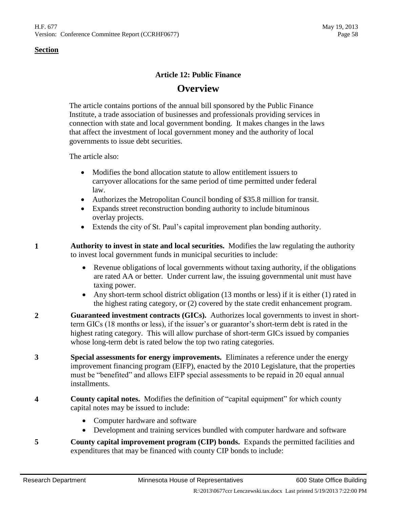# **Article 12: Public Finance**

# **Overview**

The article contains portions of the annual bill sponsored by the Public Finance Institute, a trade association of businesses and professionals providing services in connection with state and local government bonding. It makes changes in the laws that affect the investment of local government money and the authority of local governments to issue debt securities.

The article also:

- Modifies the bond allocation statute to allow entitlement issuers to carryover allocations for the same period of time permitted under federal law.
- Authorizes the Metropolitan Council bonding of \$35.8 million for transit.
- Expands street reconstruction bonding authority to include bituminous overlay projects.
- Extends the city of St. Paul's capital improvement plan bonding authority.
- **1 Authority to invest in state and local securities.** Modifies the law regulating the authority to invest local government funds in municipal securities to include:
	- Revenue obligations of local governments without taxing authority, if the obligations are rated AA or better. Under current law, the issuing governmental unit must have taxing power.
	- Any short-term school district obligation (13 months or less) if it is either (1) rated in the highest rating category, or (2) covered by the state credit enhancement program.
- **2 Guaranteed investment contracts (GICs).** Authorizes local governments to invest in shortterm GICs (18 months or less), if the issuer's or guarantor's short-term debt is rated in the highest rating category. This will allow purchase of short-term GICs issued by companies whose long-term debt is rated below the top two rating categories.
- **3 Special assessments for energy improvements.** Eliminates a reference under the energy improvement financing program (EIFP), enacted by the 2010 Legislature, that the properties must be "benefited" and allows EIFP special assessments to be repaid in 20 equal annual installments.
- <span id="page-57-0"></span>**4 County capital notes.** Modifies the definition of "capital equipment" for which county capital notes may be issued to include:
	- Computer hardware and software
	- Development and training services bundled with computer hardware and software
- <span id="page-57-1"></span>**5 County capital improvement program (CIP) bonds.** Expands the permitted facilities and expenditures that may be financed with county CIP bonds to include: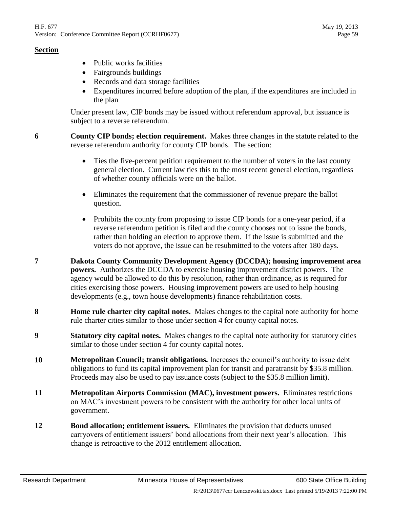- Public works facilities
- Fairgrounds buildings
- Records and data storage facilities
- Expenditures incurred before adoption of the plan, if the expenditures are included in the plan

Under present law, CIP bonds may be issued without referendum approval, but issuance is subject to a reverse referendum.

<span id="page-58-0"></span>**6 County CIP bonds; election requirement.** Makes three changes in the statute related to the reverse referendum authority for county CIP bonds. The section:

- Ties the five-percent petition requirement to the number of voters in the last county general election. Current law ties this to the most recent general election, regardless of whether county officials were on the ballot.
- Eliminates the requirement that the commissioner of revenue prepare the ballot question.
- Prohibits the county from proposing to issue CIP bonds for a one-year period, if a reverse referendum petition is filed and the county chooses not to issue the bonds, rather than holding an election to approve them. If the issue is submitted and the voters do not approve, the issue can be resubmitted to the voters after 180 days.
- **7 Dakota County Community Development Agency (DCCDA); housing improvement area powers.** Authorizes the DCCDA to exercise housing improvement district powers. The agency would be allowed to do this by resolution, rather than ordinance, as is required for cities exercising those powers. Housing improvement powers are used to help housing developments (e.g., town house developments) finance rehabilitation costs.
- **8 Home rule charter city capital notes.** Makes changes to the capital note authority for home rule charter cities similar to those under section [4](#page-57-0) for county capital notes.
- **9 Statutory city capital notes.** Makes changes to the capital note authority for statutory cities similar to those under section [4](#page-57-0) for county capital notes.
- **10 Metropolitan Council; transit obligations.** Increases the council's authority to issue debt obligations to fund its capital improvement plan for transit and paratransit by \$35.8 million. Proceeds may also be used to pay issuance costs (subject to the \$35.8 million limit).
- **11 Metropolitan Airports Commission (MAC), investment powers.** Eliminates restrictions on MAC's investment powers to be consistent with the authority for other local units of government.
- **12 Bond allocation; entitlement issuers.** Eliminates the provision that deducts unused carryovers of entitlement issuers' bond allocations from their next year's allocation. This change is retroactive to the 2012 entitlement allocation.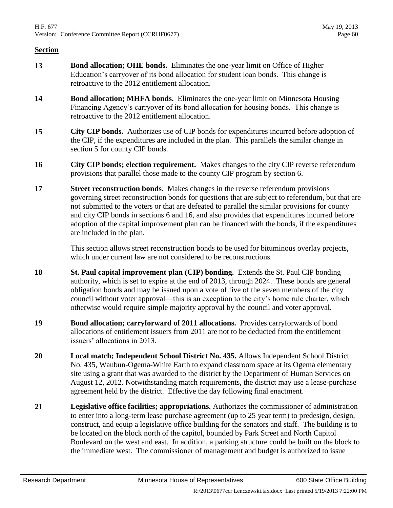- **13 Bond allocation; OHE bonds.** Eliminates the one-year limit on Office of Higher Education's carryover of its bond allocation for student loan bonds. This change is retroactive to the 2012 entitlement allocation.
- **14 Bond allocation; MHFA bonds.** Eliminates the one-year limit on Minnesota Housing Financing Agency's carryover of its bond allocation for housing bonds. This change is retroactive to the 2012 entitlement allocation.
- **15 City CIP bonds.** Authorizes use of CIP bonds for expenditures incurred before adoption of the CIP, if the expenditures are included in the plan. This parallels the similar change in section [5](#page-57-1) for county CIP bonds.
- <span id="page-59-0"></span>**16 City CIP bonds; election requirement.** Makes changes to the city CIP reverse referendum provisions that parallel those made to the county CIP program by section [6.](#page-58-0)
- **17 Street reconstruction bonds.** Makes changes in the reverse referendum provisions governing street reconstruction bonds for questions that are subject to referendum, but that are not submitted to the voters or that are defeated to parallel the similar provisions for county and city CIP bonds in sections [6](#page-58-0) and [16,](#page-59-0) and also provides that expenditures incurred before adoption of the capital improvement plan can be financed with the bonds, if the expenditures are included in the plan.

This section allows street reconstruction bonds to be used for bituminous overlay projects, which under current law are not considered to be reconstructions.

- **18 St. Paul capital improvement plan (CIP) bonding.** Extends the St. Paul CIP bonding authority, which is set to expire at the end of 2013, through 2024. These bonds are general obligation bonds and may be issued upon a vote of five of the seven members of the city council without voter approval—this is an exception to the city's home rule charter, which otherwise would require simple majority approval by the council and voter approval.
- **19 Bond allocation; carryforward of 2011 allocations.** Provides carryforwards of bond allocations of entitlement issuers from 2011 are not to be deducted from the entitlement issuers' allocations in 2013.
- **20 Local match; Independent School District No. 435.** Allows Independent School District No. 435, Waubun-Ogema-White Earth to expand classroom space at its Ogema elementary site using a grant that was awarded to the district by the Department of Human Services on August 12, 2012. Notwithstanding match requirements, the district may use a lease-purchase agreement held by the district. Effective the day following final enactment.
- **21 Legislative office facilities; appropriations.** Authorizes the commissioner of administration to enter into a long-term lease purchase agreement (up to 25 year term) to predesign, design, construct, and equip a legislative office building for the senators and staff. The building is to be located on the block north of the capitol, bounded by Park Street and North Capitol Boulevard on the west and east. In addition, a parking structure could be built on the block to the immediate west. The commissioner of management and budget is authorized to issue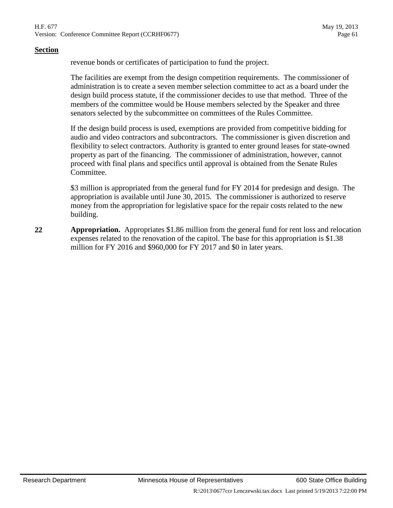revenue bonds or certificates of participation to fund the project.

The facilities are exempt from the design competition requirements. The commissioner of administration is to create a seven member selection committee to act as a board under the design build process statute, if the commissioner decides to use that method. Three of the members of the committee would be House members selected by the Speaker and three senators selected by the subcommittee on committees of the Rules Committee.

If the design build process is used, exemptions are provided from competitive bidding for audio and video contractors and subcontractors. The commissioner is given discretion and flexibility to select contractors. Authority is granted to enter ground leases for state-owned property as part of the financing. The commissioner of administration, however, cannot proceed with final plans and specifics until approval is obtained from the Senate Rules Committee.

\$3 million is appropriated from the general fund for FY 2014 for predesign and design. The appropriation is available until June 30, 2015. The commissioner is authorized to reserve money from the appropriation for legislative space for the repair costs related to the new building.

**22 Appropriation.** Appropriates \$1.86 million from the general fund for rent loss and relocation expenses related to the renovation of the capitol. The base for this appropriation is \$1.38 million for FY 2016 and \$960,000 for FY 2017 and \$0 in later years.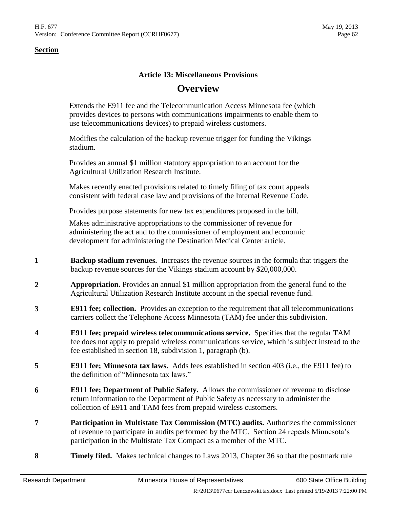# **Article 13: Miscellaneous Provisions**

# **Overview**

Extends the E911 fee and the Telecommunication Access Minnesota fee (which provides devices to persons with communications impairments to enable them to use telecommunications devices) to prepaid wireless customers.

Modifies the calculation of the backup revenue trigger for funding the Vikings stadium.

Provides an annual \$1 million statutory appropriation to an account for the Agricultural Utilization Research Institute.

Makes recently enacted provisions related to timely filing of tax court appeals consistent with federal case law and provisions of the Internal Revenue Code.

Provides purpose statements for new tax expenditures proposed in the bill.

Makes administrative appropriations to the commissioner of revenue for administering the act and to the commissioner of employment and economic development for administering the Destination Medical Center article.

- **1 Backup stadium revenues.** Increases the revenue sources in the formula that triggers the backup revenue sources for the Vikings stadium account by \$20,000,000.
- **2 Appropriation.** Provides an annual \$1 million appropriation from the general fund to the Agricultural Utilization Research Institute account in the special revenue fund.
- **3 E911 fee; collection.** Provides an exception to the requirement that all telecommunications carriers collect the Telephone Access Minnesota (TAM) fee under this subdivision.
- **4 E911 fee; prepaid wireless telecommunications service.** Specifies that the regular TAM fee does not apply to prepaid wireless communications service, which is subject instead to the fee established in section [18,](#page-62-0) subdivision 1, paragraph (b).
- **5 E911 fee; Minnesota tax laws.** Adds fees established in section 403 (i.e., the E911 fee) to the definition of "Minnesota tax laws."
- **6 E911 fee; Department of Public Safety.** Allows the commissioner of revenue to disclose return information to the Department of Public Safety as necessary to administer the collection of E911 and TAM fees from prepaid wireless customers.
- **7 Participation in Multistate Tax Commission (MTC) audits.** Authorizes the commissioner of revenue to participate in audits performed by the MTC. Section [24](#page-64-0) repeals Minnesota's participation in the Multistate Tax Compact as a member of the MTC.
- **8 Timely filed.** Makes technical changes to Laws 2013, Chapter 36 so that the postmark rule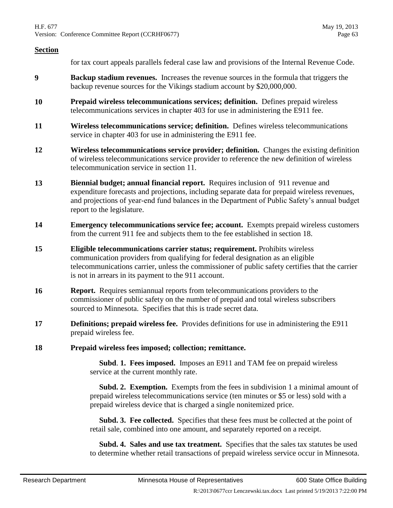for tax court appeals parallels federal case law and provisions of the Internal Revenue Code.

- **9 Backup stadium revenues.** Increases the revenue sources in the formula that triggers the backup revenue sources for the Vikings stadium account by \$20,000,000.
- **10 Prepaid wireless telecommunications services; definition.** Defines prepaid wireless telecommunications services in chapter 403 for use in administering the E911 fee.
- <span id="page-62-1"></span>**11 Wireless telecommunications service; definition.** Defines wireless telecommunications service in chapter 403 for use in administering the E911 fee.
- **12 Wireless telecommunications service provider; definition.** Changes the existing definition of wireless telecommunications service provider to reference the new definition of wireless telecommunication service in section [11.](#page-62-1)
- **13 Biennial budget; annual financial report.** Requires inclusion of 911 revenue and expenditure forecasts and projections, including separate data for prepaid wireless revenues, and projections of year-end fund balances in the Department of Public Safety's annual budget report to the legislature.
- **14 Emergency telecommunications service fee; account.** Exempts prepaid wireless customers from the current 911 fee and subjects them to the fee established in section [18.](#page-62-0)
- **15 Eligible telecommunications carrier status; requirement.** Prohibits wireless communication providers from qualifying for federal designation as an eligible telecommunications carrier, unless the commissioner of public safety certifies that the carrier is not in arrears in its payment to the 911 account.
- **16 Report.** Requires semiannual reports from telecommunications providers to the commissioner of public safety on the number of prepaid and total wireless subscribers sourced to Minnesota. Specifies that this is trade secret data.
- **17 Definitions; prepaid wireless fee.** Provides definitions for use in administering the E911 prepaid wireless fee.
- <span id="page-62-0"></span>**18 Prepaid wireless fees imposed; collection; remittance.**

 **Subd**. **1. Fees imposed.** Imposes an E911 and TAM fee on prepaid wireless service at the current monthly rate.

**Subd. 2. Exemption.** Exempts from the fees in subdivision 1 a minimal amount of prepaid wireless telecommunications service (ten minutes or \$5 or less) sold with a prepaid wireless device that is charged a single nonitemized price.

 **Subd. 3. Fee collected.** Specifies that these fees must be collected at the point of retail sale, combined into one amount, and separately reported on a receipt.

 **Subd. 4. Sales and use tax treatment.** Specifies that the sales tax statutes be used to determine whether retail transactions of prepaid wireless service occur in Minnesota.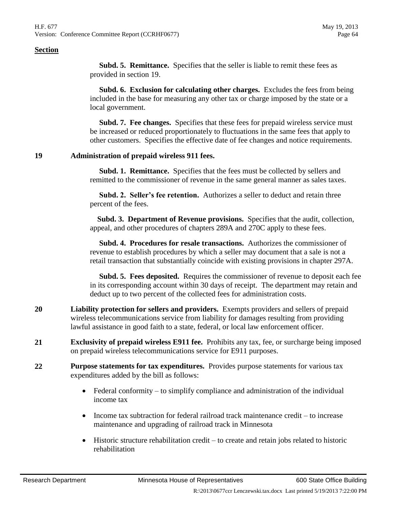**Subd. 5. Remittance.** Specifies that the seller is liable to remit these fees as provided in section [19.](#page-63-0)

 **Subd. 6. Exclusion for calculating other charges.** Excludes the fees from being included in the base for measuring any other tax or charge imposed by the state or a local government.

 **Subd. 7. Fee changes.** Specifies that these fees for prepaid wireless service must be increased or reduced proportionately to fluctuations in the same fees that apply to other customers. Specifies the effective date of fee changes and notice requirements.

#### <span id="page-63-0"></span>**19 Administration of prepaid wireless 911 fees.**

 **Subd. 1. Remittance.** Specifies that the fees must be collected by sellers and remitted to the commissioner of revenue in the same general manner as sales taxes.

 **Subd. 2. Seller's fee retention.** Authorizes a seller to deduct and retain three percent of the fees.

 **Subd. 3. Department of Revenue provisions.** Specifies that the audit, collection, appeal, and other procedures of chapters 289A and 270C apply to these fees.

 **Subd. 4. Procedures for resale transactions.** Authorizes the commissioner of revenue to establish procedures by which a seller may document that a sale is not a retail transaction that substantially coincide with existing provisions in chapter 297A.

 **Subd. 5. Fees deposited.** Requires the commissioner of revenue to deposit each fee in its corresponding account within 30 days of receipt. The department may retain and deduct up to two percent of the collected fees for administration costs.

- **20 Liability protection for sellers and providers.** Exempts providers and sellers of prepaid wireless telecommunications service from liability for damages resulting from providing lawful assistance in good faith to a state, federal, or local law enforcement officer.
- **21 Exclusivity of prepaid wireless E911 fee.** Prohibits any tax, fee, or surcharge being imposed on prepaid wireless telecommunications service for E911 purposes.
- **22 Purpose statements for tax expenditures.** Provides purpose statements for various tax expenditures added by the bill as follows:
	- Federal conformity to simplify compliance and administration of the individual income tax
	- Income tax subtraction for federal railroad track maintenance credit to increase maintenance and upgrading of railroad track in Minnesota
	- Historic structure rehabilitation credit to create and retain jobs related to historic rehabilitation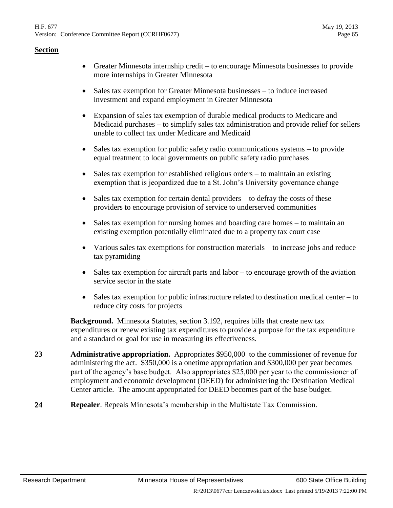- Greater Minnesota internship credit to encourage Minnesota businesses to provide more internships in Greater Minnesota
- Sales tax exemption for Greater Minnesota businesses to induce increased investment and expand employment in Greater Minnesota
- Expansion of sales tax exemption of durable medical products to Medicare and Medicaid purchases – to simplify sales tax administration and provide relief for sellers unable to collect tax under Medicare and Medicaid
- Sales tax exemption for public safety radio communications systems to provide equal treatment to local governments on public safety radio purchases
- Sales tax exemption for established religious orders to maintain an existing exemption that is jeopardized due to a St. John's University governance change
- Sales tax exemption for certain dental providers to defray the costs of these providers to encourage provision of service to underserved communities
- Sales tax exemption for nursing homes and boarding care homes to maintain an existing exemption potentially eliminated due to a property tax court case
- Various sales tax exemptions for construction materials to increase jobs and reduce tax pyramiding
- Sales tax exemption for aircraft parts and labor to encourage growth of the aviation service sector in the state
- Sales tax exemption for public infrastructure related to destination medical center to reduce city costs for projects

**Background.** Minnesota Statutes, section 3.192, requires bills that create new tax expenditures or renew existing tax expenditures to provide a purpose for the tax expenditure and a standard or goal for use in measuring its effectiveness.

- **23 Administrative appropriation.** Appropriates \$950,000 to the commissioner of revenue for administering the act. \$350,000 is a onetime appropriation and \$300,000 per year becomes part of the agency's base budget. Also appropriates \$25,000 per year to the commissioner of employment and economic development (DEED) for administering the Destination Medical Center article. The amount appropriated for DEED becomes part of the base budget.
- <span id="page-64-0"></span>**24 Repealer**. Repeals Minnesota's membership in the Multistate Tax Commission.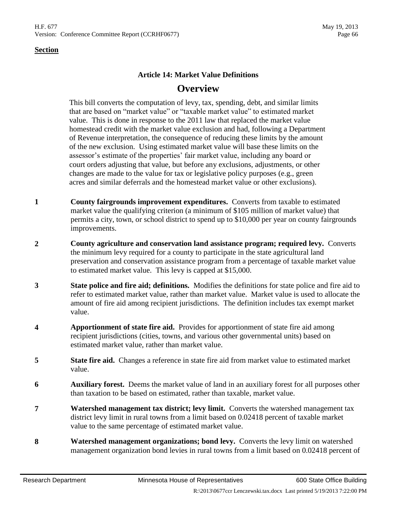# **Article 14: Market Value Definitions Overview**

This bill converts the computation of levy, tax, spending, debt, and similar limits that are based on "market value" or "taxable market value" to estimated market value. This is done in response to the 2011 law that replaced the market value homestead credit with the market value exclusion and had, following a Department of Revenue interpretation, the consequence of reducing these limits by the amount of the new exclusion. Using estimated market value will base these limits on the assessor's estimate of the properties' fair market value, including any board or court orders adjusting that value, but before any exclusions, adjustments, or other changes are made to the value for tax or legislative policy purposes (e.g., green acres and similar deferrals and the homestead market value or other exclusions).

- **1 County fairgrounds improvement expenditures.** Converts from taxable to estimated market value the qualifying criterion (a minimum of \$105 million of market value) that permits a city, town, or school district to spend up to \$10,000 per year on county fairgrounds improvements.
- **2 County agriculture and conservation land assistance program; required levy.** Converts the minimum levy required for a county to participate in the state agricultural land preservation and conservation assistance program from a percentage of taxable market value to estimated market value. This levy is capped at \$15,000.
- **3 State police and fire aid; definitions.** Modifies the definitions for state police and fire aid to refer to estimated market value, rather than market value. Market value is used to allocate the amount of fire aid among recipient jurisdictions. The definition includes tax exempt market value.
- **4 Apportionment of state fire aid.** Provides for apportionment of state fire aid among recipient jurisdictions (cities, towns, and various other governmental units) based on estimated market value, rather than market value.
- **5 State fire aid.** Changes a reference in state fire aid from market value to estimated market value.
- **6 Auxiliary forest.** Deems the market value of land in an auxiliary forest for all purposes other than taxation to be based on estimated, rather than taxable, market value.
- **7 Watershed management tax district; levy limit.** Converts the watershed management tax district levy limit in rural towns from a limit based on 0.02418 percent of taxable market value to the same percentage of estimated market value.
- **8 Watershed management organizations; bond levy.** Converts the levy limit on watershed management organization bond levies in rural towns from a limit based on 0.02418 percent of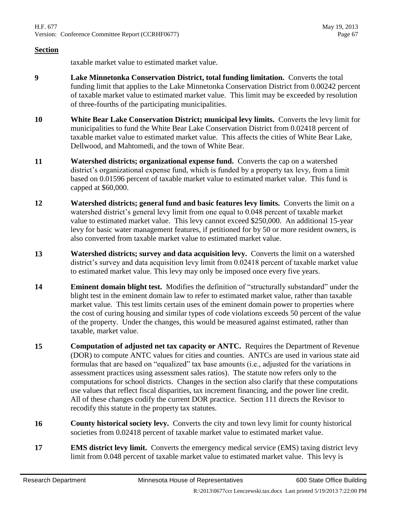taxable market value to estimated market value.

- **9 Lake Minnetonka Conservation District, total funding limitation.** Converts the total funding limit that applies to the Lake Minnetonka Conservation District from 0.00242 percent of taxable market value to estimated market value. This limit may be exceeded by resolution of three-fourths of the participating municipalities.
- **10 White Bear Lake Conservation District; municipal levy limits.** Converts the levy limit for municipalities to fund the White Bear Lake Conservation District from 0.02418 percent of taxable market value to estimated market value. This affects the cities of White Bear Lake, Dellwood, and Mahtomedi, and the town of White Bear.
- **11 Watershed districts; organizational expense fund.** Converts the cap on a watershed district's organizational expense fund, which is funded by a property tax levy, from a limit based on 0.01596 percent of taxable market value to estimated market value. This fund is capped at \$60,000.
- **12 Watershed districts; general fund and basic features levy limits.** Converts the limit on a watershed district's general levy limit from one equal to 0.048 percent of taxable market value to estimated market value. This levy cannot exceed \$250,000. An additional 15-year levy for basic water management features, if petitioned for by 50 or more resident owners, is also converted from taxable market value to estimated market value.
- **13 Watershed districts; survey and data acquisition levy.** Converts the limit on a watershed district's survey and data acquisition levy limit from 0.02418 percent of taxable market value to estimated market value. This levy may only be imposed once every five years.
- **14 Eminent domain blight test.** Modifies the definition of "structurally substandard" under the blight test in the eminent domain law to refer to estimated market value, rather than taxable market value. This test limits certain uses of the eminent domain power to properties where the cost of curing housing and similar types of code violations exceeds 50 percent of the value of the property. Under the changes, this would be measured against estimated, rather than taxable, market value.
- **15 Computation of adjusted net tax capacity or ANTC.** Requires the Department of Revenue (DOR) to compute ANTC values for cities and counties. ANTCs are used in various state aid formulas that are based on "equalized" tax base amounts (i.e., adjusted for the variations in assessment practices using assessment sales ratios). The statute now refers only to the computations for school districts. Changes in the section also clarify that these computations use values that reflect fiscal disparities, tax increment financing, and the power line credit. All of these changes codify the current DOR practice. Section [111](#page-75-0) directs the Revisor to recodify this statute in the property tax statutes.
- **16 County historical society levy.** Converts the city and town levy limit for county historical societies from 0.02418 percent of taxable market value to estimated market value.
- **17 EMS district levy limit.** Converts the emergency medical service (EMS) taxing district levy limit from 0.048 percent of taxable market value to estimated market value. This levy is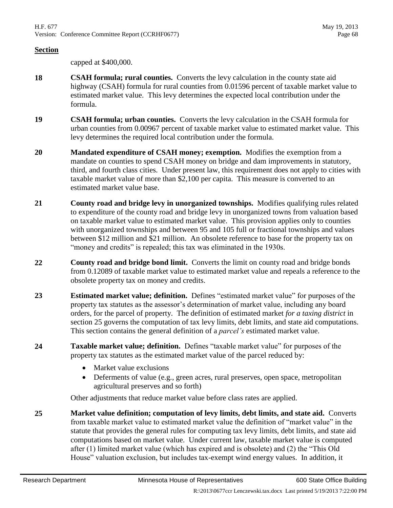capped at \$400,000.

- **18 CSAH formula; rural counties.** Converts the levy calculation in the county state aid highway (CSAH) formula for rural counties from 0.01596 percent of taxable market value to estimated market value. This levy determines the expected local contribution under the formula.
- **19 CSAH formula; urban counties.** Converts the levy calculation in the CSAH formula for urban counties from 0.00967 percent of taxable market value to estimated market value. This levy determines the required local contribution under the formula.
- **20 Mandated expenditure of CSAH money; exemption.** Modifies the exemption from a mandate on counties to spend CSAH money on bridge and dam improvements in statutory, third, and fourth class cities. Under present law, this requirement does not apply to cities with taxable market value of more than \$2,100 per capita. This measure is converted to an estimated market value base.
- **21 County road and bridge levy in unorganized townships.** Modifies qualifying rules related to expenditure of the county road and bridge levy in unorganized towns from valuation based on taxable market value to estimated market value. This provision applies only to counties with unorganized townships and between 95 and 105 full or fractional townships and values between \$12 million and \$21 million. An obsolete reference to base for the property tax on "money and credits" is repealed; this tax was eliminated in the 1930s.
- **22 County road and bridge bond limit.** Converts the limit on county road and bridge bonds from 0.12089 of taxable market value to estimated market value and repeals a reference to the obsolete property tax on money and credits.
- **23 Estimated market value; definition.** Defines "estimated market value" for purposes of the property tax statutes as the assessor's determination of market value, including any board orders, for the parcel of property. The definition of estimated market *for a taxing district* in section [25](#page-67-0) governs the computation of tax levy limits, debt limits, and state aid computations. This section contains the general definition of a *parcel's* estimated market value.
- <span id="page-67-1"></span>**24 Taxable market value; definition.** Defines "taxable market value" for purposes of the property tax statutes as the estimated market value of the parcel reduced by:
	- Market value exclusions
	- Deferments of value (e.g., green acres, rural preserves, open space, metropolitan agricultural preserves and so forth)

Other adjustments that reduce market value before class rates are applied.

<span id="page-67-0"></span>**25 Market value definition; computation of levy limits, debt limits, and state aid.** Converts from taxable market value to estimated market value the definition of "market value" in the statute that provides the general rules for computing tax levy limits, debt limits, and state aid computations based on market value. Under current law, taxable market value is computed after (1) limited market value (which has expired and is obsolete) and (2) the "This Old House" valuation exclusion, but includes tax-exempt wind energy values. In addition, it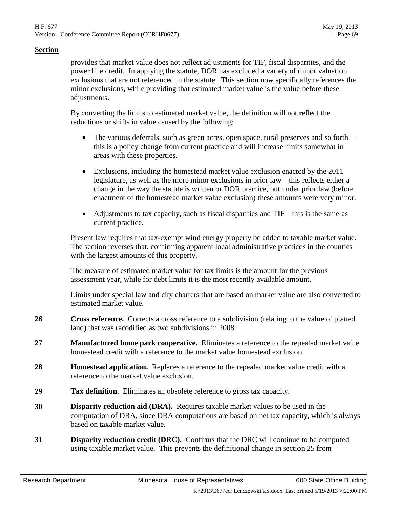provides that market value does not reflect adjustments for TIF, fiscal disparities, and the power line credit. In applying the statute, DOR has excluded a variety of minor valuation exclusions that are not referenced in the statute. This section now specifically references the minor exclusions, while providing that estimated market value is the value before these adjustments.

By converting the limits to estimated market value, the definition will not reflect the reductions or shifts in value caused by the following:

- The various deferrals, such as green acres, open space, rural preserves and so forth this is a policy change from current practice and will increase limits somewhat in areas with these properties.
- Exclusions, including the homestead market value exclusion enacted by the 2011 legislature, as well as the more minor exclusions in prior law—this reflects either a change in the way the statute is written or DOR practice, but under prior law (before enactment of the homestead market value exclusion) these amounts were very minor.
- Adjustments to tax capacity, such as fiscal disparities and TIF—this is the same as current practice.

Present law requires that tax-exempt wind energy property be added to taxable market value. The section reverses that, confirming apparent local administrative practices in the counties with the largest amounts of this property.

The measure of estimated market value for tax limits is the amount for the previous assessment year, while for debt limits it is the most recently available amount.

Limits under special law and city charters that are based on market value are also converted to estimated market value.

- **26 Cross reference.** Corrects a cross reference to a subdivision (relating to the value of platted land) that was recodified as two subdivisions in 2008.
- **27 Manufactured home park cooperative.** Eliminates a reference to the repealed market value homestead credit with a reference to the market value homestead exclusion.
- **28 Homestead application.** Replaces a reference to the repealed market value credit with a reference to the market value exclusion.
- **29 Tax definition.** Eliminates an obsolete reference to gross tax capacity.
- **30 Disparity reduction aid (DRA).** Requires taxable market values to be used in the computation of DRA, since DRA computations are based on net tax capacity, which is always based on taxable market value.
- **31 Disparity reduction credit (DRC).** Confirms that the DRC will continue to be computed using taxable market value. This prevents the definitional change in section [25](#page-67-0) from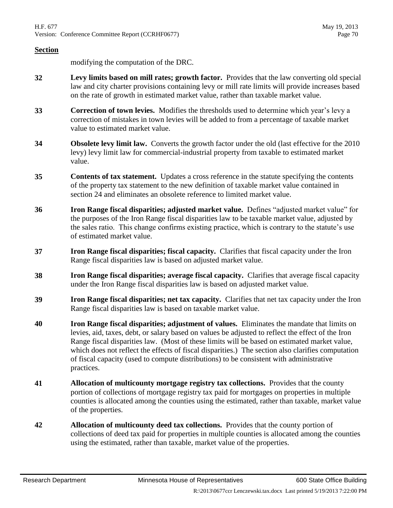modifying the computation of the DRC.

- **32 Levy limits based on mill rates; growth factor.** Provides that the law converting old special law and city charter provisions containing levy or mill rate limits will provide increases based on the rate of growth in estimated market value, rather than taxable market value.
- **33 Correction of town levies.** Modifies the thresholds used to determine which year's levy a correction of mistakes in town levies will be added to from a percentage of taxable market value to estimated market value.
- **34 Obsolete levy limit law.** Converts the growth factor under the old (last effective for the 2010 levy) levy limit law for commercial-industrial property from taxable to estimated market value.
- **35 Contents of tax statement.** Updates a cross reference in the statute specifying the contents of the property tax statement to the new definition of taxable market value contained in section [24](#page-67-1) and eliminates an obsolete reference to limited market value.
- **36 Iron Range fiscal disparities; adjusted market value.** Defines "adjusted market value" for the purposes of the Iron Range fiscal disparities law to be taxable market value, adjusted by the sales ratio. This change confirms existing practice, which is contrary to the statute's use of estimated market value.
- **37 Iron Range fiscal disparities; fiscal capacity.** Clarifies that fiscal capacity under the Iron Range fiscal disparities law is based on adjusted market value.
- **38 Iron Range fiscal disparities; average fiscal capacity.** Clarifies that average fiscal capacity under the Iron Range fiscal disparities law is based on adjusted market value.
- **39 Iron Range fiscal disparities; net tax capacity.** Clarifies that net tax capacity under the Iron Range fiscal disparities law is based on taxable market value.
- **40 Iron Range fiscal disparities; adjustment of values.** Eliminates the mandate that limits on levies, aid, taxes, debt, or salary based on values be adjusted to reflect the effect of the Iron Range fiscal disparities law. (Most of these limits will be based on estimated market value, which does not reflect the effects of fiscal disparities.) The section also clarifies computation of fiscal capacity (used to compute distributions) to be consistent with administrative practices.
- **41 Allocation of multicounty mortgage registry tax collections.** Provides that the county portion of collections of mortgage registry tax paid for mortgages on properties in multiple counties is allocated among the counties using the estimated, rather than taxable, market value of the properties.
- **42 Allocation of multicounty deed tax collections.** Provides that the county portion of collections of deed tax paid for properties in multiple counties is allocated among the counties using the estimated, rather than taxable, market value of the properties.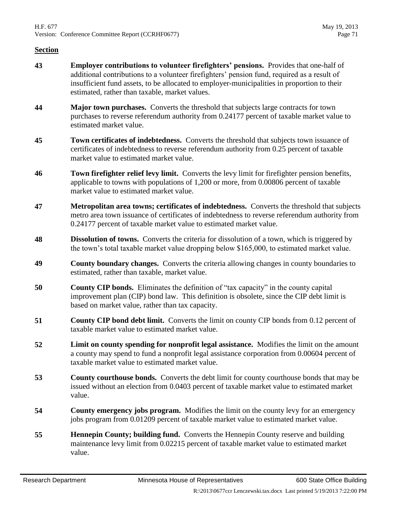- **43 Employer contributions to volunteer firefighters' pensions.** Provides that one-half of additional contributions to a volunteer firefighters' pension fund, required as a result of insufficient fund assets, to be allocated to employer-municipalities in proportion to their estimated, rather than taxable, market values.
- **44 Major town purchases.** Converts the threshold that subjects large contracts for town purchases to reverse referendum authority from 0.24177 percent of taxable market value to estimated market value.
- **45 Town certificates of indebtedness.** Converts the threshold that subjects town issuance of certificates of indebtedness to reverse referendum authority from 0.25 percent of taxable market value to estimated market value.
- **46 Town firefighter relief levy limit.** Converts the levy limit for firefighter pension benefits, applicable to towns with populations of 1,200 or more, from 0.00806 percent of taxable market value to estimated market value.
- **47 Metropolitan area towns; certificates of indebtedness.** Converts the threshold that subjects metro area town issuance of certificates of indebtedness to reverse referendum authority from 0.24177 percent of taxable market value to estimated market value.
- **48 Dissolution of towns.** Converts the criteria for dissolution of a town, which is triggered by the town's total taxable market value dropping below \$165,000, to estimated market value.
- **49 County boundary changes.** Converts the criteria allowing changes in county boundaries to estimated, rather than taxable, market value.
- **50 County CIP bonds.** Eliminates the definition of "tax capacity" in the county capital improvement plan (CIP) bond law. This definition is obsolete, since the CIP debt limit is based on market value, rather than tax capacity.
- **51 County CIP bond debt limit.** Converts the limit on county CIP bonds from 0.12 percent of taxable market value to estimated market value.
- **52 Limit on county spending for nonprofit legal assistance.** Modifies the limit on the amount a county may spend to fund a nonprofit legal assistance corporation from 0.00604 percent of taxable market value to estimated market value.
- **53 County courthouse bonds.** Converts the debt limit for county courthouse bonds that may be issued without an election from 0.0403 percent of taxable market value to estimated market value.
- **54 County emergency jobs program.** Modifies the limit on the county levy for an emergency jobs program from 0.01209 percent of taxable market value to estimated market value.
- **55 Hennepin County; building fund.** Converts the Hennepin County reserve and building maintenance levy limit from 0.02215 percent of taxable market value to estimated market value.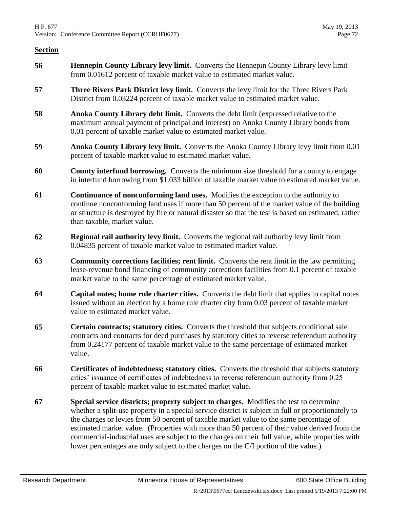- **56 Hennepin County Library levy limit.** Converts the Hennepin County Library levy limit from 0.01612 percent of taxable market value to estimated market value.
- **57 Three Rivers Park District levy limit.** Converts the levy limit for the Three Rivers Park District from 0.03224 percent of taxable market value to estimated market value.
- **58 Anoka County Library debt limit.** Converts the debt limit (expressed relative to the maximum annual payment of principal and interest) on Anoka County Library bonds from 0.01 percent of taxable market value to estimated market value.
- **59 Anoka County Library levy limit.** Converts the Anoka County Library levy limit from 0.01 percent of taxable market value to estimated market value.
- **60 County interfund borrowing.** Converts the minimum size threshold for a county to engage in interfund borrowing from \$1.033 billion of taxable market value to estimated market value.
- **61 Continuance of nonconforming land uses.** Modifies the exception to the authority to continue nonconforming land uses if more than 50 percent of the market value of the building or structure is destroyed by fire or natural disaster so that the test is based on estimated, rather than taxable, market value.
- **62 Regional rail authority levy limit.** Converts the regional rail authority levy limit from 0.04835 percent of taxable market value to estimated market value.
- **63 Community corrections facilities; rent limit.** Converts the rent limit in the law permitting lease-revenue bond financing of community corrections facilities from 0.1 percent of taxable market value to the same percentage of estimated market value.
- **64 Capital notes; home rule charter cities.** Converts the debt limit that applies to capital notes issued without an election by a home rule charter city from 0.03 percent of taxable market value to estimated market value.
- **65 Certain contracts; statutory cities.** Converts the threshold that subjects conditional sale contracts and contracts for deed purchases by statutory cities to reverse referendum authority from 0.24177 percent of taxable market value to the same percentage of estimated market value.
- **66 Certificates of indebtedness; statutory cities.** Converts the threshold that subjects statutory cities' issuance of certificates of indebtedness to reverse referendum authority from 0.25 percent of taxable market value to estimated market value.
- **67 Special service districts; property subject to charges.** Modifies the test to determine whether a split-use property in a special service district is subject in full or proportionately to the charges or levies from 50 percent of taxable market value to the same percentage of estimated market value. (Properties with more than 50 percent of their value derived from the commercial-industrial uses are subject to the charges on their full value, while properties with lower percentages are only subject to the charges on the C/I portion of the value.)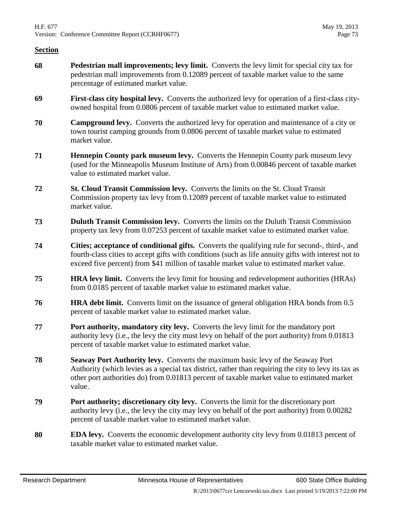- **68 Pedestrian mall improvements; levy limit.** Converts the levy limit for special city tax for pedestrian mall improvements from 0.12089 percent of taxable market value to the same percentage of estimated market value.
- **69 First-class city hospital levy.** Converts the authorized levy for operation of a first-class cityowned hospital from 0.0806 percent of taxable market value to estimated market value.
- **70 Campground levy.** Converts the authorized levy for operation and maintenance of a city or town tourist camping grounds from 0.0806 percent of taxable market value to estimated market value.
- **71 Hennepin County park museum levy.** Converts the Hennepin County park museum levy (used for the Minneapolis Museum Institute of Arts) from 0.00846 percent of taxable market value to estimated market value.
- **72 St. Cloud Transit Commission levy.** Converts the limits on the St. Cloud Transit Commission property tax levy from 0.12089 percent of taxable market value to estimated market value.
- **73 Duluth Transit Commission levy.** Converts the limits on the Duluth Transit Commission property tax levy from 0.07253 percent of taxable market value to estimated market value.
- **74 Cities; acceptance of conditional gifts.** Converts the qualifying rule for second-, third-, and fourth-class cities to accept gifts with conditions (such as life annuity gifts with interest not to exceed five percent) from \$41 million of taxable market value to estimated market value.
- **75 HRA levy limit.** Converts the levy limit for housing and redevelopment authorities (HRAs) from 0.0185 percent of taxable market value to estimated market value.
- **76 HRA debt limit.** Converts limit on the issuance of general obligation HRA bonds from 0.5 percent of taxable market value to estimated market value.
- **77 Port authority, mandatory city levy.** Converts the levy limit for the mandatory port authority levy (i.e., the levy the city must levy on behalf of the port authority) from 0.01813 percent of taxable market value to estimated market value.
- **78 Seaway Port Authority levy.** Converts the maximum basic levy of the Seaway Port Authority (which levies as a special tax district, rather than requiring the city to levy its tax as other port authorities do) from 0.01813 percent of taxable market value to estimated market value.
- **79 Port authority; discretionary city levy.** Converts the limit for the discretionary port authority levy (i.e., the levy the city may levy on behalf of the port authority) from 0.00282 percent of taxable market value to estimated market value.
- **80 EDA levy.** Converts the economic development authority city levy from 0.01813 percent of taxable market value to estimated market value.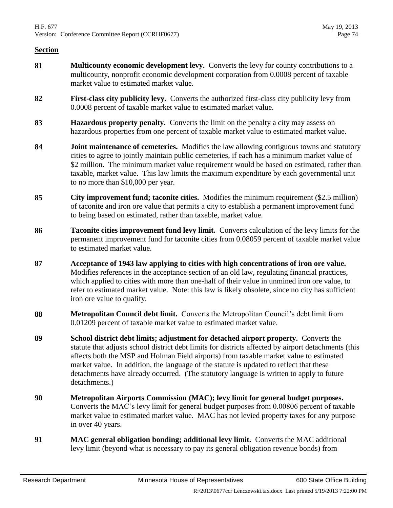- **81 Multicounty economic development levy.** Converts the levy for county contributions to a multicounty, nonprofit economic development corporation from 0.0008 percent of taxable market value to estimated market value.
- **82 First-class city publicity levy.** Converts the authorized first-class city publicity levy from 0.0008 percent of taxable market value to estimated market value.
- **83 Hazardous property penalty.** Converts the limit on the penalty a city may assess on hazardous properties from one percent of taxable market value to estimated market value.
- **84 Joint maintenance of cemeteries.** Modifies the law allowing contiguous towns and statutory cities to agree to jointly maintain public cemeteries, if each has a minimum market value of \$2 million. The minimum market value requirement would be based on estimated, rather than taxable, market value. This law limits the maximum expenditure by each governmental unit to no more than \$10,000 per year.
- **85 City improvement fund; taconite cities.** Modifies the minimum requirement (\$2.5 million) of taconite and iron ore value that permits a city to establish a permanent improvement fund to being based on estimated, rather than taxable, market value.
- **86 Taconite cities improvement fund levy limit.** Converts calculation of the levy limits for the permanent improvement fund for taconite cities from 0.08059 percent of taxable market value to estimated market value.
- **87 Acceptance of 1943 law applying to cities with high concentrations of iron ore value.** Modifies references in the acceptance section of an old law, regulating financial practices, which applied to cities with more than one-half of their value in unmined iron ore value, to refer to estimated market value. Note: this law is likely obsolete, since no city has sufficient iron ore value to qualify.
- **88 Metropolitan Council debt limit.** Converts the Metropolitan Council's debt limit from 0.01209 percent of taxable market value to estimated market value.
- **89 School district debt limits; adjustment for detached airport property.** Converts the statute that adjusts school district debt limits for districts affected by airport detachments (this affects both the MSP and Holman Field airports) from taxable market value to estimated market value. In addition, the language of the statute is updated to reflect that these detachments have already occurred. (The statutory language is written to apply to future detachments.)
- **90 Metropolitan Airports Commission (MAC); levy limit for general budget purposes.** Converts the MAC's levy limit for general budget purposes from 0.00806 percent of taxable market value to estimated market value. MAC has not levied property taxes for any purpose in over 40 years.
- **91 MAC general obligation bonding; additional levy limit.** Converts the MAC additional levy limit (beyond what is necessary to pay its general obligation revenue bonds) from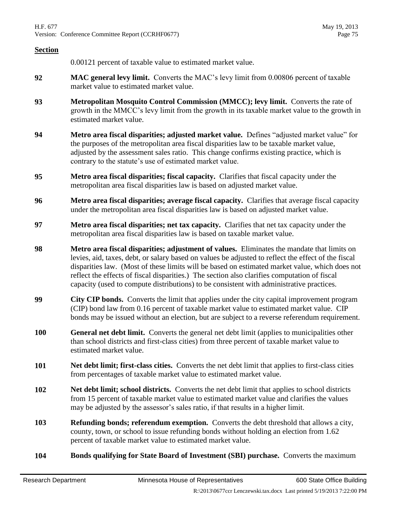0.00121 percent of taxable value to estimated market value.

- **92 MAC general levy limit.** Converts the MAC's levy limit from 0.00806 percent of taxable market value to estimated market value.
- **93 Metropolitan Mosquito Control Commission (MMCC); levy limit.** Converts the rate of growth in the MMCC's levy limit from the growth in its taxable market value to the growth in estimated market value.
- **94 Metro area fiscal disparities; adjusted market value.** Defines "adjusted market value" for the purposes of the metropolitan area fiscal disparities law to be taxable market value, adjusted by the assessment sales ratio. This change confirms existing practice, which is contrary to the statute's use of estimated market value.
- <span id="page-74-0"></span>**95 Metro area fiscal disparities; fiscal capacity.** Clarifies that fiscal capacity under the metropolitan area fiscal disparities law is based on adjusted market value.
- **96 Metro area fiscal disparities; average fiscal capacity.** Clarifies that average fiscal capacity under the metropolitan area fiscal disparities law is based on adjusted market value.
- **97 Metro area fiscal disparities; net tax capacity.** Clarifies that net tax capacity under the metropolitan area fiscal disparities law is based on taxable market value.
- **98 Metro area fiscal disparities; adjustment of values.** Eliminates the mandate that limits on levies, aid, taxes, debt, or salary based on values be adjusted to reflect the effect of the fiscal disparities law. (Most of these limits will be based on estimated market value, which does not reflect the effects of fiscal disparities.) The section also clarifies computation of fiscal capacity (used to compute distributions) to be consistent with administrative practices.
- **99 City CIP bonds.** Converts the limit that applies under the city capital improvement program (CIP) bond law from 0.16 percent of taxable market value to estimated market value. CIP bonds may be issued without an election, but are subject to a reverse referendum requirement.
- **100 General net debt limit.** Converts the general net debt limit (applies to municipalities other than school districts and first-class cities) from three percent of taxable market value to estimated market value.
- **101 Net debt limit; first-class cities.** Converts the net debt limit that applies to first-class cities from percentages of taxable market value to estimated market value.
- **102 Net debt limit; school districts.** Converts the net debt limit that applies to school districts from 15 percent of taxable market value to estimated market value and clarifies the values may be adjusted by the assessor's sales ratio, if that results in a higher limit.
- **103 Refunding bonds; referendum exemption.** Converts the debt threshold that allows a city, county, town, or school to issue refunding bonds without holding an election from 1.62 percent of taxable market value to estimated market value.
- **104 Bonds qualifying for State Board of Investment (SBI) purchase.** Converts the maximum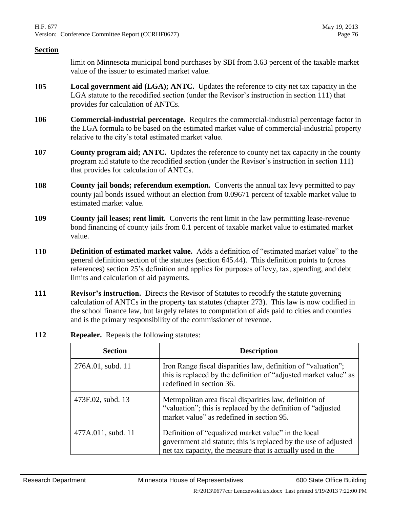### **Section**

limit on Minnesota municipal bond purchases by SBI from 3.63 percent of the taxable market value of the issuer to estimated market value.

- **105 Local government aid (LGA); ANTC.** Updates the reference to city net tax capacity in the LGA statute to the recodified section (under the Revisor's instruction in section [111\)](#page-75-0) that provides for calculation of ANTCs.
- **106 Commercial-industrial percentage.** Requires the commercial-industrial percentage factor in the LGA formula to be based on the estimated market value of commercial-industrial property relative to the city's total estimated market value.
- **107 County program aid; ANTC.** Updates the reference to county net tax capacity in the county program aid statute to the recodified section (under the Revisor's instruction in section [111\)](#page-75-0) that provides for calculation of ANTCs.
- **108 County jail bonds; referendum exemption.** Converts the annual tax levy permitted to pay county jail bonds issued without an election from 0.09671 percent of taxable market value to estimated market value.
- **109 County jail leases; rent limit.** Converts the rent limit in the law permitting lease-revenue bond financing of county jails from 0.1 percent of taxable market value to estimated market value.
- **110 Definition of estimated market value.** Adds a definition of "estimated market value" to the general definition section of the statutes (section 645.44). This definition points to (cross references) section [25'](#page-67-0)s definition and applies for purposes of levy, tax, spending, and debt limits and calculation of aid payments.
- <span id="page-75-0"></span>**111 Revisor's instruction.** Directs the Revisor of Statutes to recodify the statute governing calculation of ANTCs in the property tax statutes (chapter 273). This law is now codified in the school finance law, but largely relates to computation of aids paid to cities and counties and is the primary responsibility of the commissioner of revenue.
- **112 Repealer.** Repeals the following statutes:

| <b>Section</b>     | <b>Description</b>                                                                                                                                                                   |  |  |  |  |  |  |  |
|--------------------|--------------------------------------------------------------------------------------------------------------------------------------------------------------------------------------|--|--|--|--|--|--|--|
| 276A.01, subd. 11  | Iron Range fiscal disparities law, definition of "valuation";<br>this is replaced by the definition of "adjusted market value" as<br>redefined in section 36.                        |  |  |  |  |  |  |  |
| 473F.02, subd. 13  | Metropolitan area fiscal disparities law, definition of<br>"valuation"; this is replaced by the definition of "adjusted"<br>market value" as redefined in section 95.                |  |  |  |  |  |  |  |
| 477A.011, subd. 11 | Definition of "equalized market value" in the local<br>government aid statute; this is replaced by the use of adjusted<br>net tax capacity, the measure that is actually used in the |  |  |  |  |  |  |  |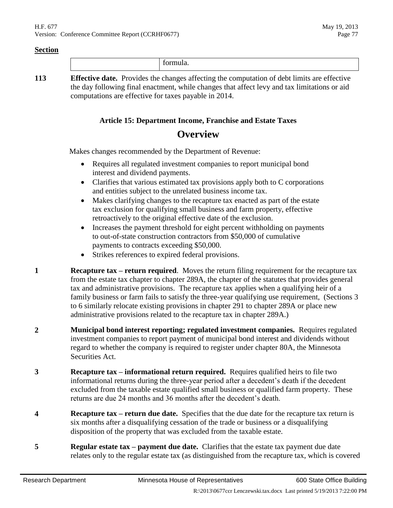|   |      |                          |     |  | . |               |  |  |               |     |               |  |
|---|------|--------------------------|-----|--|---|---------------|--|--|---------------|-----|---------------|--|
| . | $ -$ | $\overline{\phantom{a}}$ | $-$ |  |   | $\sim$ $\sim$ |  |  | $\sim$ $\sim$ | - - | $\sim$ $\sim$ |  |

**113 Effective date.** Provides the changes affecting the computation of debt limits are effective the day following final enactment, while changes that affect levy and tax limitations or aid computations are effective for taxes payable in 2014.

## **Article 15: Department Income, Franchise and Estate Taxes**

# **Overview**

Makes changes recommended by the Department of Revenue:

- Requires all regulated investment companies to report municipal bond interest and dividend payments.
- Clarifies that various estimated tax provisions apply both to C corporations and entities subject to the unrelated business income tax.
- Makes clarifying changes to the recapture tax enacted as part of the estate tax exclusion for qualifying small business and farm property, effective retroactively to the original effective date of the exclusion.
- Increases the payment threshold for eight percent withholding on payments to out-of-state construction contractors from \$50,000 of cumulative payments to contracts exceeding \$50,000.
- Strikes references to expired federal provisions.
- **1 Recapture tax return required**. Moves the return filing requirement for the recapture tax from the estate tax chapter to chapter 289A, the chapter of the statutes that provides general tax and administrative provisions. The recapture tax applies when a qualifying heir of a family business or farm fails to satisfy the three-year qualifying use requirement, (Sections [3](#page-76-0) to [6](#page-77-0) similarly relocate existing provisions in chapter 291 to chapter 289A or place new administrative provisions related to the recapture tax in chapter 289A.)
- **2 Municipal bond interest reporting; regulated investment companies.** Requires regulated investment companies to report payment of municipal bond interest and dividends without regard to whether the company is required to register under chapter 80A, the Minnesota Securities Act.
- <span id="page-76-0"></span>**3 Recapture tax – informational return required.** Requires qualified heirs to file two informational returns during the three-year period after a decedent's death if the decedent excluded from the taxable estate qualified small business or qualified farm property. These returns are due 24 months and 36 months after the decedent's death.
- **4 Recapture tax – return due date.** Specifies that the due date for the recapture tax return is six months after a disqualifying cessation of the trade or business or a disqualifying disposition of the property that was excluded from the taxable estate.
- **5 Regular estate tax – payment due date.** Clarifies that the estate tax payment due date relates only to the regular estate tax (as distinguished from the recapture tax, which is covered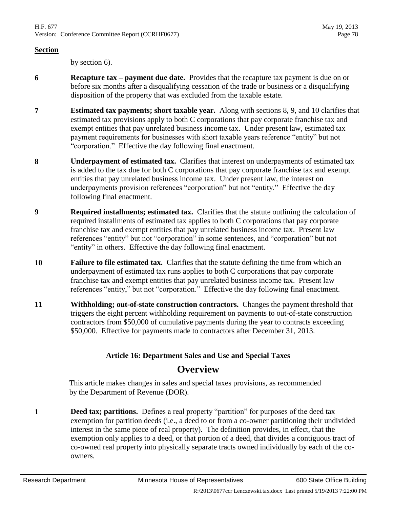### **Section**

by section [6\)](#page-77-0).

- <span id="page-77-0"></span>**6 Recapture tax – payment due date.** Provides that the recapture tax payment is due on or before six months after a disqualifying cessation of the trade or business or a disqualifying disposition of the property that was excluded from the taxable estate.
- **7 Estimated tax payments; short taxable year.** Along with sections [8,](#page-77-1) [9,](#page-77-2) and [10](#page-77-3) clarifies that estimated tax provisions apply to both C corporations that pay corporate franchise tax and exempt entities that pay unrelated business income tax. Under present law, estimated tax payment requirements for businesses with short taxable years reference "entity" but not "corporation." Effective the day following final enactment.
- <span id="page-77-1"></span>**8 Underpayment of estimated tax.** Clarifies that interest on underpayments of estimated tax is added to the tax due for both C corporations that pay corporate franchise tax and exempt entities that pay unrelated business income tax. Under present law, the interest on underpayments provision references "corporation" but not "entity." Effective the day following final enactment.
- <span id="page-77-2"></span>**9 Required installments; estimated tax.** Clarifies that the statute outlining the calculation of required installments of estimated tax applies to both C corporations that pay corporate franchise tax and exempt entities that pay unrelated business income tax. Present law references "entity" but not "corporation" in some sentences, and "corporation" but not "entity" in others. Effective the day following final enactment.
- <span id="page-77-3"></span>**10 Failure to file estimated tax.** Clarifies that the statute defining the time from which an underpayment of estimated tax runs applies to both C corporations that pay corporate franchise tax and exempt entities that pay unrelated business income tax. Present law references "entity," but not "corporation." Effective the day following final enactment.
- **11 Withholding; out-of-state construction contractors.** Changes the payment threshold that triggers the eight percent withholding requirement on payments to out-of-state construction contractors from \$50,000 of cumulative payments during the year to contracts exceeding \$50,000. Effective for payments made to contractors after December 31, 2013.

# **Article 16: Department Sales and Use and Special Taxes**

# **Overview**

This article makes changes in sales and special taxes provisions, as recommended by the Department of Revenue (DOR).

**1 Deed tax; partitions.** Defines a real property "partition" for purposes of the deed tax exemption for partition deeds (i.e., a deed to or from a co-owner partitioning their undivided interest in the same piece of real property). The definition provides, in effect, that the exemption only applies to a deed, or that portion of a deed, that divides a contiguous tract of co-owned real property into physically separate tracts owned individually by each of the coowners.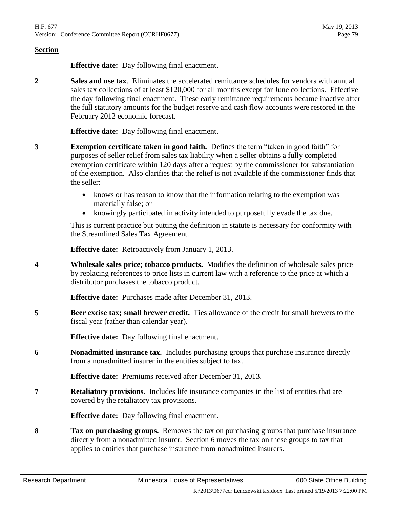**Effective date:** Day following final enactment.

<span id="page-78-1"></span>**2 Sales and use tax**. Eliminates the accelerated remittance schedules for vendors with annual sales tax collections of at least \$120,000 for all months except for June collections. Effective the day following final enactment. These early remittance requirements became inactive after the full statutory amounts for the budget reserve and cash flow accounts were restored in the February 2012 economic forecast.

**Effective date:** Day following final enactment.

- **3 Exemption certificate taken in good faith.** Defines the term "taken in good faith" for purposes of seller relief from sales tax liability when a seller obtains a fully completed exemption certificate within 120 days after a request by the commissioner for substantiation of the exemption. Also clarifies that the relief is not available if the commissioner finds that the seller:
	- knows or has reason to know that the information relating to the exemption was materially false; or
	- knowingly participated in activity intended to purposefully evade the tax due.

This is current practice but putting the definition in statute is necessary for conformity with the Streamlined Sales Tax Agreement.

**Effective date:** Retroactively from January 1, 2013.

**4 Wholesale sales price; tobacco products.** Modifies the definition of wholesale sales price by replacing references to price lists in current law with a reference to the price at which a distributor purchases the tobacco product.

**Effective date:** Purchases made after December 31, 2013.

**5 Beer excise tax; small brewer credit.** Ties allowance of the credit for small brewers to the fiscal year (rather than calendar year).

**Effective date:** Day following final enactment.

<span id="page-78-0"></span>**6 Nonadmitted insurance tax.** Includes purchasing groups that purchase insurance directly from a nonadmitted insurer in the entities subject to tax.

**Effective date:** Premiums received after December 31, 2013.

**7 Retaliatory provisions.** Includes life insurance companies in the list of entities that are covered by the retaliatory tax provisions.

**Effective date:** Day following final enactment.

**8 Tax on purchasing groups.** Removes the tax on purchasing groups that purchase insurance directly from a nonadmitted insurer. Section [6](#page-78-0) moves the tax on these groups to tax that applies to entities that purchase insurance from nonadmitted insurers.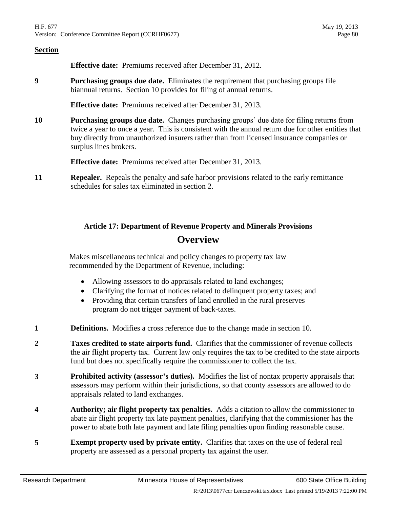**Effective date:** Premiums received after December 31, 2012.

**9 Purchasing groups due date.** Eliminates the requirement that purchasing groups file biannual returns. Section [10](#page-79-0) provides for filing of annual returns.

**Effective date:** Premiums received after December 31, 2013.

<span id="page-79-0"></span>**10 Purchasing groups due date.** Changes purchasing groups' due date for filing returns from twice a year to once a year. This is consistent with the annual return due for other entities that buy directly from unauthorized insurers rather than from licensed insurance companies or surplus lines brokers.

**Effective date:** Premiums received after December 31, 2013.

**11 Repealer.** Repeals the penalty and safe harbor provisions related to the early remittance schedules for sales tax eliminated in section [2.](#page-78-1)

# **Article 17: Department of Revenue Property and Minerals Provisions Overview**

Makes miscellaneous technical and policy changes to property tax law recommended by the Department of Revenue, including:

- Allowing assessors to do appraisals related to land exchanges;
- Clarifying the format of notices related to delinquent property taxes; and
- Providing that certain transfers of land enrolled in the rural preserves program do not trigger payment of back-taxes.
- **1 Definitions.** Modifies a cross reference due to the change made in section [10.](#page-80-0)
- **2 Taxes credited to state airports fund.** Clarifies that the commissioner of revenue collects the air flight property tax. Current law only requires the tax to be credited to the state airports fund but does not specifically require the commissioner to collect the tax.
- <span id="page-79-1"></span>**3 Prohibited activity (assessor's duties).** Modifies the list of nontax property appraisals that assessors may perform within their jurisdictions, so that county assessors are allowed to do appraisals related to land exchanges.
- **4 Authority; air flight property tax penalties.** Adds a citation to allow the commissioner to abate air flight property tax late payment penalties, clarifying that the commissioner has the power to abate both late payment and late filing penalties upon finding reasonable cause.
- **5 Exempt property used by private entity.** Clarifies that taxes on the use of federal real property are assessed as a personal property tax against the user.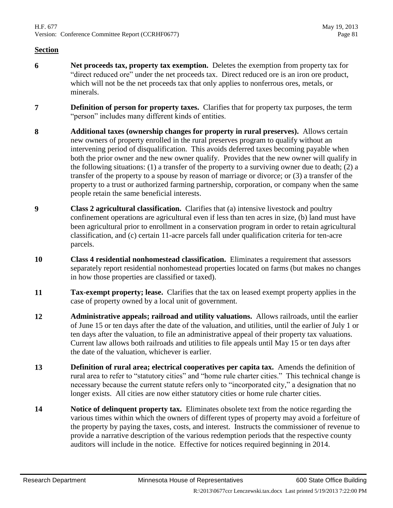- **6 Net proceeds tax, property tax exemption.** Deletes the exemption from property tax for "direct reduced ore" under the net proceeds tax. Direct reduced ore is an iron ore product, which will not be the net proceeds tax that only applies to nonferrous ores, metals, or minerals.
- **7 Definition of person for property taxes.** Clarifies that for property tax purposes, the term "person" includes many different kinds of entities.
- **8 Additional taxes (ownership changes for property in rural preserves).** Allows certain new owners of property enrolled in the rural preserves program to qualify without an intervening period of disqualification. This avoids deferred taxes becoming payable when both the prior owner and the new owner qualify. Provides that the new owner will qualify in the following situations: (1) a transfer of the property to a surviving owner due to death; (2) a transfer of the property to a spouse by reason of marriage or divorce; or (3) a transfer of the property to a trust or authorized farming partnership, corporation, or company when the same people retain the same beneficial interests.
- **9 Class 2 agricultural classification.** Clarifies that (a) intensive livestock and poultry confinement operations are agricultural even if less than ten acres in size, (b) land must have been agricultural prior to enrollment in a conservation program in order to retain agricultural classification, and (c) certain 11-acre parcels fall under qualification criteria for ten-acre parcels.
- <span id="page-80-0"></span>**10 Class 4 residential nonhomestead classification.** Eliminates a requirement that assessors separately report residential nonhomestead properties located on farms (but makes no changes in how those properties are classified or taxed).
- **11 Tax-exempt property; lease.** Clarifies that the tax on leased exempt property applies in the case of property owned by a local unit of government.
- **12 Administrative appeals; railroad and utility valuations.** Allows railroads, until the earlier of June 15 or ten days after the date of the valuation, and utilities, until the earlier of July 1 or ten days after the valuation, to file an administrative appeal of their property tax valuations. Current law allows both railroads and utilities to file appeals until May 15 or ten days after the date of the valuation, whichever is earlier.
- **13 Definition of rural area; electrical cooperatives per capita tax.** Amends the definition of rural area to refer to "statutory cities" and "home rule charter cities." This technical change is necessary because the current statute refers only to "incorporated city," a designation that no longer exists. All cities are now either statutory cities or home rule charter cities.
- **14 Notice of delinquent property tax.** Eliminates obsolete text from the notice regarding the various times within which the owners of different types of property may avoid a forfeiture of the property by paying the taxes, costs, and interest. Instructs the commissioner of revenue to provide a narrative description of the various redemption periods that the respective county auditors will include in the notice. Effective for notices required beginning in 2014.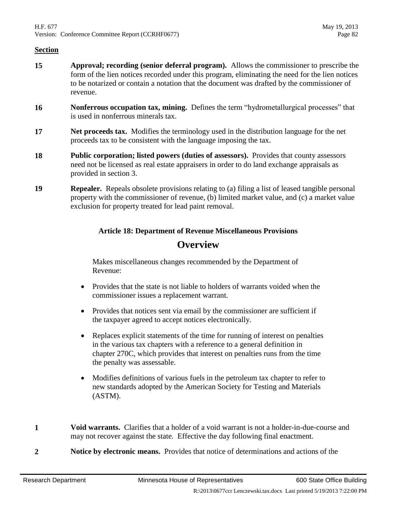- **15 Approval; recording (senior deferral program).** Allows the commissioner to prescribe the form of the lien notices recorded under this program, eliminating the need for the lien notices to be notarized or contain a notation that the document was drafted by the commissioner of revenue.
- **16 Nonferrous occupation tax, mining.** Defines the term "hydrometallurgical processes" that is used in nonferrous minerals tax.
- **17 Net proceeds tax.** Modifies the terminology used in the distribution language for the net proceeds tax to be consistent with the language imposing the tax.
- **18 Public corporation; listed powers (duties of assessors).** Provides that county assessors need not be licensed as real estate appraisers in order to do land exchange appraisals as provided in section [3.](#page-79-1)
- **19 Repealer.** Repeals obsolete provisions relating to (a) filing a list of leased tangible personal property with the commissioner of revenue, (b) limited market value, and (c) a market value exclusion for property treated for lead paint removal.

# **Article 18: Department of Revenue Miscellaneous Provisions Overview**

Makes miscellaneous changes recommended by the Department of Revenue:

- Provides that the state is not liable to holders of warrants voided when the commissioner issues a replacement warrant.
- Provides that notices sent via email by the commissioner are sufficient if the taxpayer agreed to accept notices electronically.
- Replaces explicit statements of the time for running of interest on penalties in the various tax chapters with a reference to a general definition in chapter 270C, which provides that interest on penalties runs from the time the penalty was assessable.
- Modifies definitions of various fuels in the petroleum tax chapter to refer to new standards adopted by the American Society for Testing and Materials (ASTM).
- **1 Void warrants.** Clarifies that a holder of a void warrant is not a holder-in-due-course and may not recover against the state. Effective the day following final enactment.
- **2 Notice by electronic means.** Provides that notice of determinations and actions of the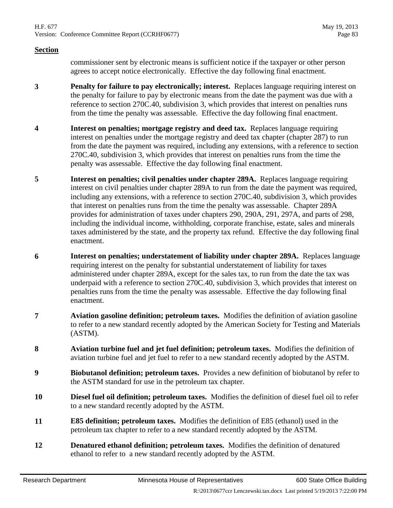#### **Section**

commissioner sent by electronic means is sufficient notice if the taxpayer or other person agrees to accept notice electronically. Effective the day following final enactment.

- **3 Penalty for failure to pay electronically; interest.** Replaces language requiring interest on the penalty for failure to pay by electronic means from the date the payment was due with a reference to section 270C.40, subdivision 3, which provides that interest on penalties runs from the time the penalty was assessable. Effective the day following final enactment.
- **4 Interest on penalties; mortgage registry and deed tax.** Replaces language requiring interest on penalties under the mortgage registry and deed tax chapter (chapter 287) to run from the date the payment was required, including any extensions, with a reference to section 270C.40, subdivision 3, which provides that interest on penalties runs from the time the penalty was assessable. Effective the day following final enactment.
- **5 Interest on penalties; civil penalties under chapter 289A.** Replaces language requiring interest on civil penalties under chapter 289A to run from the date the payment was required, including any extensions, with a reference to section 270C.40, subdivision 3, which provides that interest on penalties runs from the time the penalty was assessable. Chapter 289A provides for administration of taxes under chapters 290, 290A, 291, 297A, and parts of 298, including the individual income, withholding, corporate franchise, estate, sales and minerals taxes administered by the state, and the property tax refund. Effective the day following final enactment.
- **6 Interest on penalties; understatement of liability under chapter 289A.** Replaces language requiring interest on the penalty for substantial understatement of liability for taxes administered under chapter 289A, except for the sales tax, to run from the date the tax was underpaid with a reference to section 270C.40, subdivision 3, which provides that interest on penalties runs from the time the penalty was assessable. Effective the day following final enactment.
- **7 Aviation gasoline definition; petroleum taxes.** Modifies the definition of aviation gasoline to refer to a new standard recently adopted by the American Society for Testing and Materials (ASTM).
- **8 Aviation turbine fuel and jet fuel definition; petroleum taxes.** Modifies the definition of aviation turbine fuel and jet fuel to refer to a new standard recently adopted by the ASTM.
- **9 Biobutanol definition; petroleum taxes.** Provides a new definition of biobutanol by refer to the ASTM standard for use in the petroleum tax chapter.
- **10 Diesel fuel oil definition; petroleum taxes.** Modifies the definition of diesel fuel oil to refer to a new standard recently adopted by the ASTM.
- **11 E85 definition; petroleum taxes.** Modifies the definition of E85 (ethanol) used in the petroleum tax chapter to refer to a new standard recently adopted by the ASTM.
- **12 Denatured ethanol definition; petroleum taxes.** Modifies the definition of denatured ethanol to refer to a new standard recently adopted by the ASTM.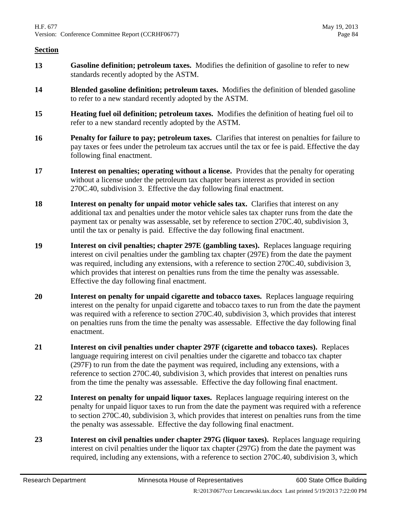- **13 Gasoline definition; petroleum taxes.** Modifies the definition of gasoline to refer to new standards recently adopted by the ASTM.
- **14 Blended gasoline definition; petroleum taxes.** Modifies the definition of blended gasoline to refer to a new standard recently adopted by the ASTM.
- **15 Heating fuel oil definition; petroleum taxes.** Modifies the definition of heating fuel oil to refer to a new standard recently adopted by the ASTM.
- **16 Penalty for failure to pay; petroleum taxes.** Clarifies that interest on penalties for failure to pay taxes or fees under the petroleum tax accrues until the tax or fee is paid. Effective the day following final enactment.
- **17 Interest on penalties; operating without a license.** Provides that the penalty for operating without a license under the petroleum tax chapter bears interest as provided in section 270C.40, subdivision 3. Effective the day following final enactment.
- **18 Interest on penalty for unpaid motor vehicle sales tax.** Clarifies that interest on any additional tax and penalties under the motor vehicle sales tax chapter runs from the date the payment tax or penalty was assessable, set by reference to section 270C.40, subdivision 3, until the tax or penalty is paid. Effective the day following final enactment.
- **19 Interest on civil penalties; chapter 297E (gambling taxes).** Replaces language requiring interest on civil penalties under the gambling tax chapter (297E) from the date the payment was required, including any extensions, with a reference to section 270C.40, subdivision 3, which provides that interest on penalties runs from the time the penalty was assessable. Effective the day following final enactment.
- **20 Interest on penalty for unpaid cigarette and tobacco taxes.** Replaces language requiring interest on the penalty for unpaid cigarette and tobacco taxes to run from the date the payment was required with a reference to section 270C.40, subdivision 3, which provides that interest on penalties runs from the time the penalty was assessable. Effective the day following final enactment.
- **21 Interest on civil penalties under chapter 297F (cigarette and tobacco taxes).** Replaces language requiring interest on civil penalties under the cigarette and tobacco tax chapter (297F) to run from the date the payment was required, including any extensions, with a reference to section 270C.40, subdivision 3, which provides that interest on penalties runs from the time the penalty was assessable. Effective the day following final enactment.
- **22 Interest on penalty for unpaid liquor taxes.** Replaces language requiring interest on the penalty for unpaid liquor taxes to run from the date the payment was required with a reference to section 270C.40, subdivision 3, which provides that interest on penalties runs from the time the penalty was assessable. Effective the day following final enactment.
- **23 Interest on civil penalties under chapter 297G (liquor taxes).** Replaces language requiring interest on civil penalties under the liquor tax chapter (297G) from the date the payment was required, including any extensions, with a reference to section 270C.40, subdivision 3, which